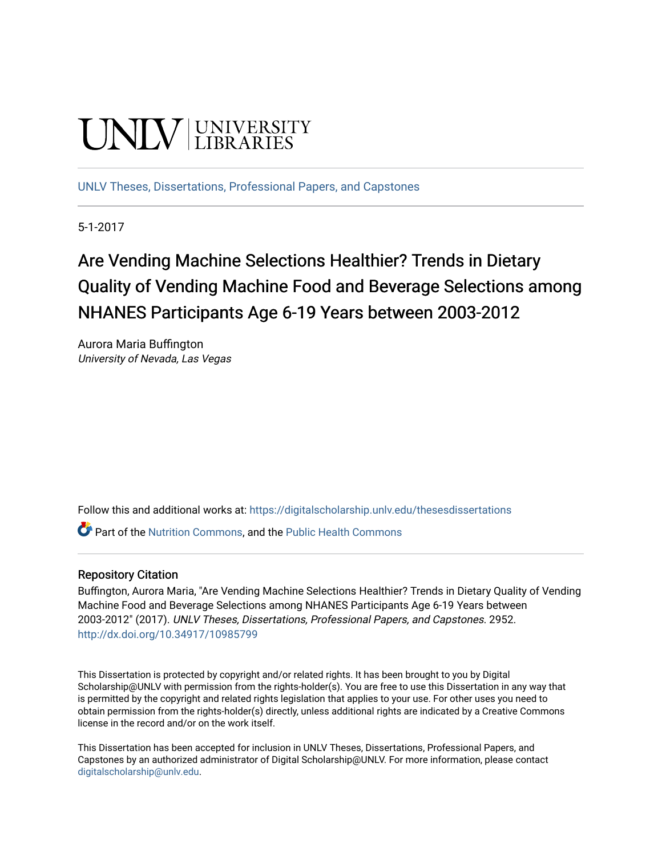# **UNIVERSITY**

[UNLV Theses, Dissertations, Professional Papers, and Capstones](https://digitalscholarship.unlv.edu/thesesdissertations)

5-1-2017

# Are Vending Machine Selections Healthier? Trends in Dietary Quality of Vending Machine Food and Beverage Selections among NHANES Participants Age 6-19 Years between 2003-2012

Aurora Maria Buffington University of Nevada, Las Vegas

Follow this and additional works at: [https://digitalscholarship.unlv.edu/thesesdissertations](https://digitalscholarship.unlv.edu/thesesdissertations?utm_source=digitalscholarship.unlv.edu%2Fthesesdissertations%2F2952&utm_medium=PDF&utm_campaign=PDFCoverPages)

**P** Part of the [Nutrition Commons](http://network.bepress.com/hgg/discipline/95?utm_source=digitalscholarship.unlv.edu%2Fthesesdissertations%2F2952&utm_medium=PDF&utm_campaign=PDFCoverPages), and the [Public Health Commons](http://network.bepress.com/hgg/discipline/738?utm_source=digitalscholarship.unlv.edu%2Fthesesdissertations%2F2952&utm_medium=PDF&utm_campaign=PDFCoverPages)

#### Repository Citation

Buffington, Aurora Maria, "Are Vending Machine Selections Healthier? Trends in Dietary Quality of Vending Machine Food and Beverage Selections among NHANES Participants Age 6-19 Years between 2003-2012" (2017). UNLV Theses, Dissertations, Professional Papers, and Capstones. 2952. <http://dx.doi.org/10.34917/10985799>

This Dissertation is protected by copyright and/or related rights. It has been brought to you by Digital Scholarship@UNLV with permission from the rights-holder(s). You are free to use this Dissertation in any way that is permitted by the copyright and related rights legislation that applies to your use. For other uses you need to obtain permission from the rights-holder(s) directly, unless additional rights are indicated by a Creative Commons license in the record and/or on the work itself.

This Dissertation has been accepted for inclusion in UNLV Theses, Dissertations, Professional Papers, and Capstones by an authorized administrator of Digital Scholarship@UNLV. For more information, please contact [digitalscholarship@unlv.edu](mailto:digitalscholarship@unlv.edu).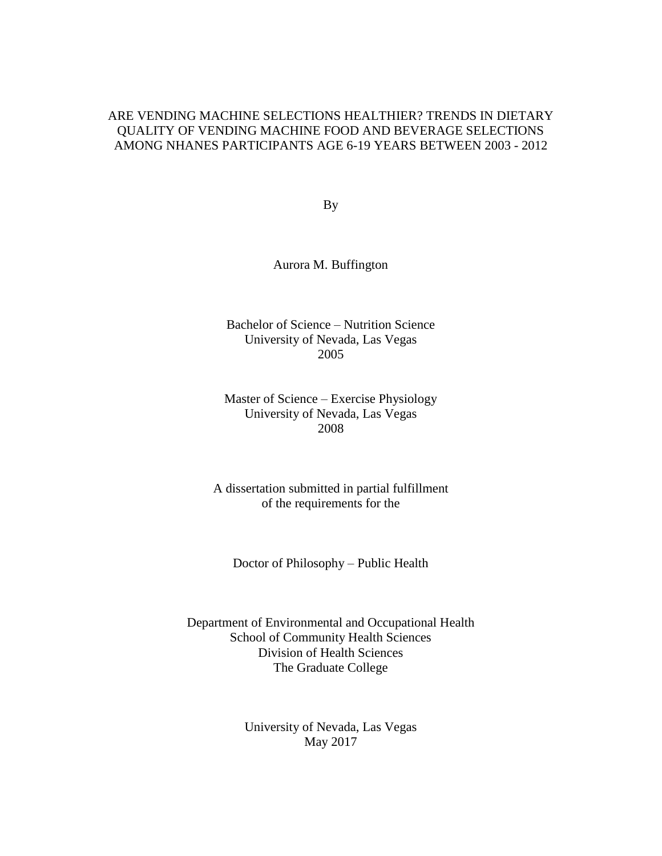### ARE VENDING MACHINE SELECTIONS HEALTHIER? TRENDS IN DIETARY QUALITY OF VENDING MACHINE FOOD AND BEVERAGE SELECTIONS AMONG NHANES PARTICIPANTS AGE 6-19 YEARS BETWEEN 2003 - 2012

By

Aurora M. Buffington

Bachelor of Science – Nutrition Science University of Nevada, Las Vegas 2005

Master of Science – Exercise Physiology University of Nevada, Las Vegas 2008

A dissertation submitted in partial fulfillment of the requirements for the

Doctor of Philosophy – Public Health

Department of Environmental and Occupational Health School of Community Health Sciences Division of Health Sciences The Graduate College

> University of Nevada, Las Vegas May 2017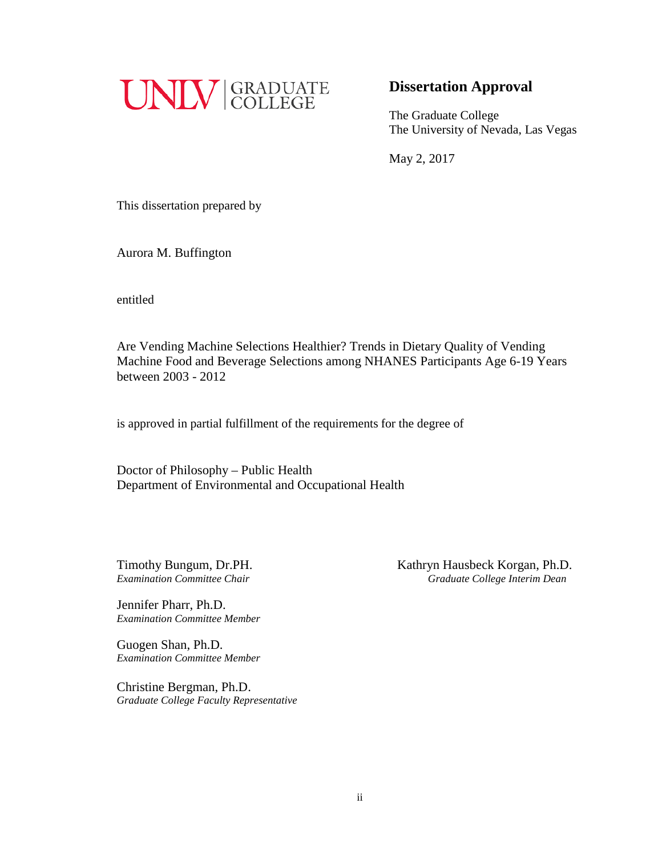

# **Dissertation Approval**

The Graduate College The University of Nevada, Las Vegas

May 2, 2017

This dissertation prepared by

Aurora M. Buffington

entitled

Are Vending Machine Selections Healthier? Trends in Dietary Quality of Vending Machine Food and Beverage Selections among NHANES Participants Age 6-19 Years between 2003 - 2012

is approved in partial fulfillment of the requirements for the degree of

Doctor of Philosophy – Public Health Department of Environmental and Occupational Health

Timothy Bungum, Dr.PH.<br> *Examination Committee Chair*<br> *Craduate College Interim Dean Examination Committee Chair Graduate College Interim Dean*

Jennifer Pharr, Ph.D. *Examination Committee Member*

Guogen Shan, Ph.D. *Examination Committee Member*

Christine Bergman, Ph.D. *Graduate College Faculty Representative*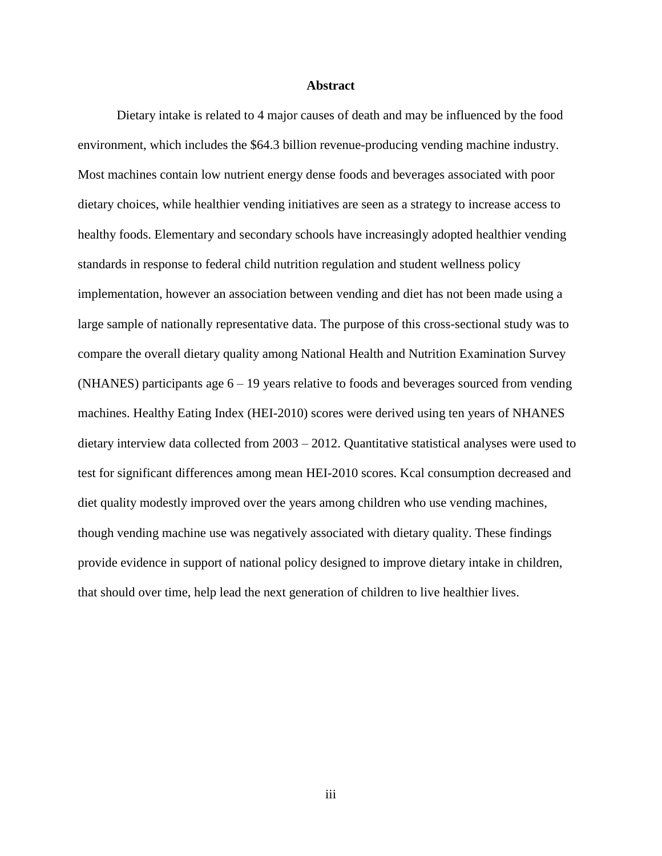#### **Abstract**

Dietary intake is related to 4 major causes of death and may be influenced by the food environment, which includes the \$64.3 billion revenue-producing vending machine industry. Most machines contain low nutrient energy dense foods and beverages associated with poor dietary choices, while healthier vending initiatives are seen as a strategy to increase access to healthy foods. Elementary and secondary schools have increasingly adopted healthier vending standards in response to federal child nutrition regulation and student wellness policy implementation, however an association between vending and diet has not been made using a large sample of nationally representative data. The purpose of this cross-sectional study was to compare the overall dietary quality among National Health and Nutrition Examination Survey (NHANES) participants age  $6 - 19$  years relative to foods and beverages sourced from vending machines. Healthy Eating Index (HEI-2010) scores were derived using ten years of NHANES dietary interview data collected from 2003 – 2012. Quantitative statistical analyses were used to test for significant differences among mean HEI-2010 scores. Kcal consumption decreased and diet quality modestly improved over the years among children who use vending machines, though vending machine use was negatively associated with dietary quality. These findings provide evidence in support of national policy designed to improve dietary intake in children, that should over time, help lead the next generation of children to live healthier lives.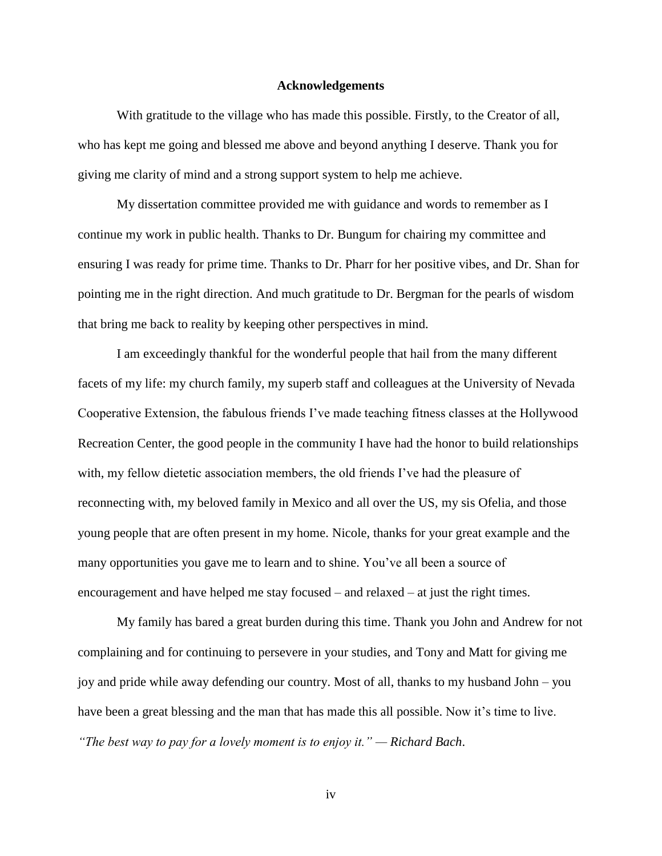#### **Acknowledgements**

With gratitude to the village who has made this possible. Firstly, to the Creator of all, who has kept me going and blessed me above and beyond anything I deserve. Thank you for giving me clarity of mind and a strong support system to help me achieve.

My dissertation committee provided me with guidance and words to remember as I continue my work in public health. Thanks to Dr. Bungum for chairing my committee and ensuring I was ready for prime time. Thanks to Dr. Pharr for her positive vibes, and Dr. Shan for pointing me in the right direction. And much gratitude to Dr. Bergman for the pearls of wisdom that bring me back to reality by keeping other perspectives in mind.

I am exceedingly thankful for the wonderful people that hail from the many different facets of my life: my church family, my superb staff and colleagues at the University of Nevada Cooperative Extension, the fabulous friends I've made teaching fitness classes at the Hollywood Recreation Center, the good people in the community I have had the honor to build relationships with, my fellow dietetic association members, the old friends I've had the pleasure of reconnecting with, my beloved family in Mexico and all over the US, my sis Ofelia, and those young people that are often present in my home. Nicole, thanks for your great example and the many opportunities you gave me to learn and to shine. You've all been a source of encouragement and have helped me stay focused – and relaxed – at just the right times.

My family has bared a great burden during this time. Thank you John and Andrew for not complaining and for continuing to persevere in your studies, and Tony and Matt for giving me joy and pride while away defending our country. Most of all, thanks to my husband John – you have been a great blessing and the man that has made this all possible. Now it's time to live. *"The best way to pay for a lovely moment is to enjoy it." — Richard Bach*.

iv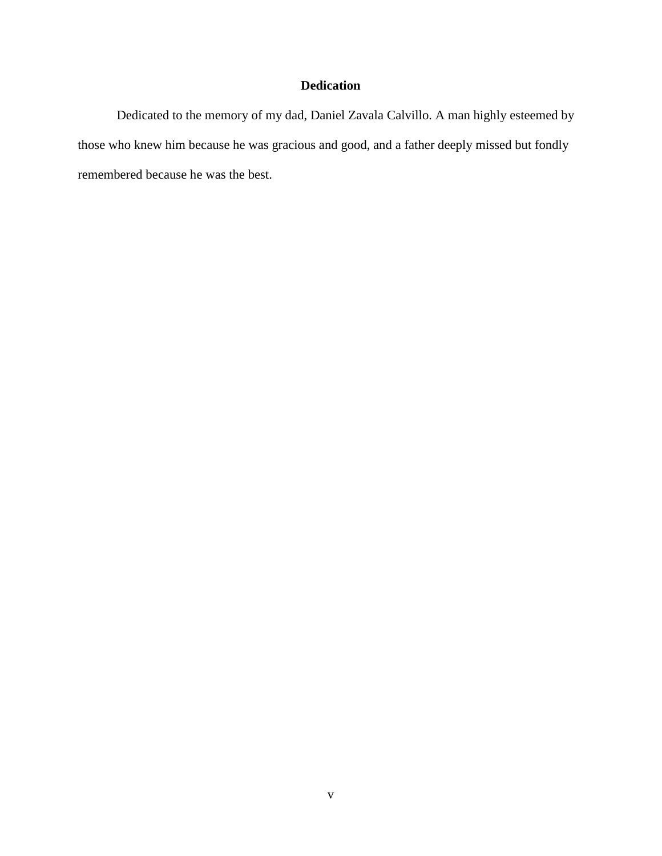# **Dedication**

Dedicated to the memory of my dad, Daniel Zavala Calvillo. A man highly esteemed by those who knew him because he was gracious and good, and a father deeply missed but fondly remembered because he was the best.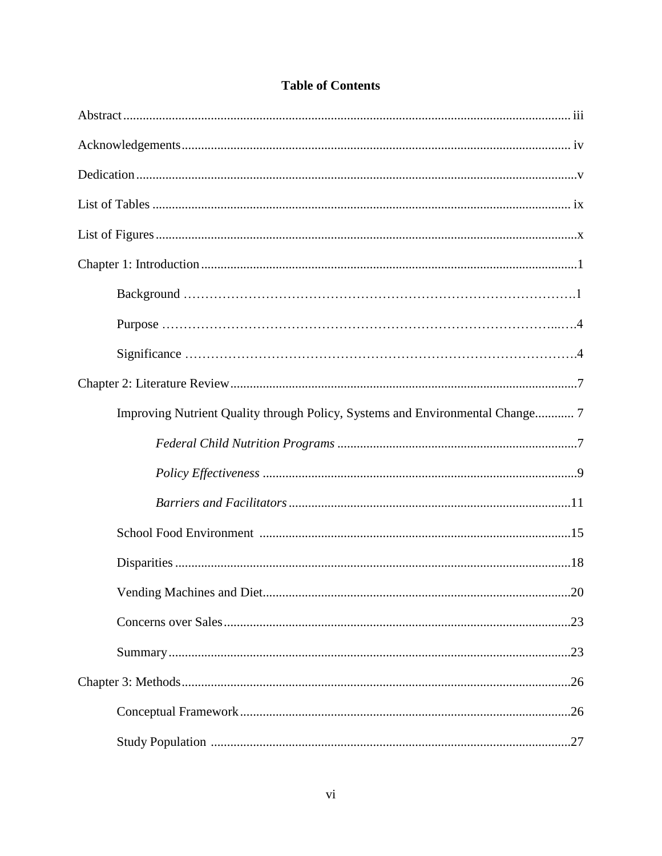| Improving Nutrient Quality through Policy, Systems and Environmental Change 7 |
|-------------------------------------------------------------------------------|
|                                                                               |
|                                                                               |
|                                                                               |
|                                                                               |
|                                                                               |
|                                                                               |
|                                                                               |
|                                                                               |
|                                                                               |
|                                                                               |
|                                                                               |

# **Table of Contents**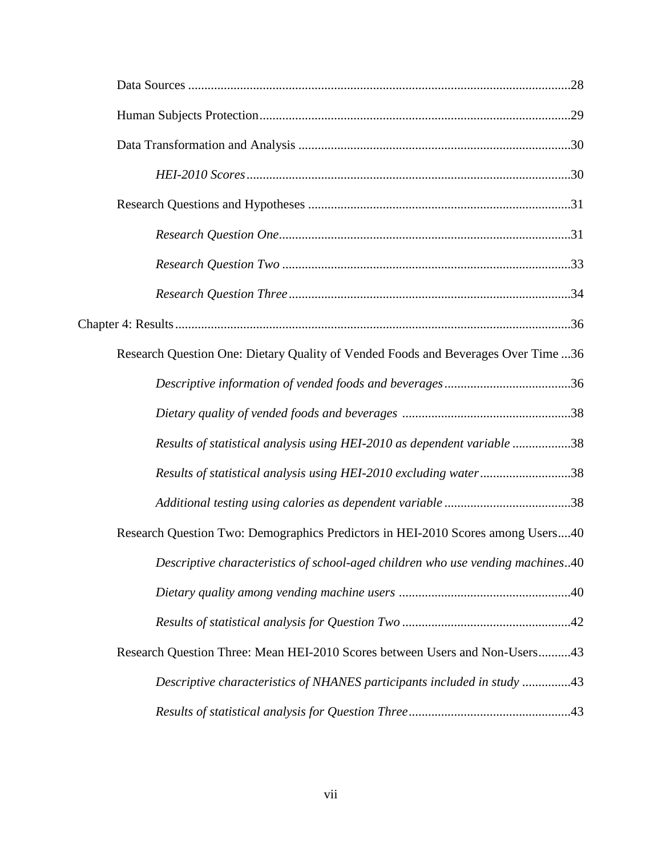| Research Question One: Dietary Quality of Vended Foods and Beverages Over Time 36 |  |
|-----------------------------------------------------------------------------------|--|
|                                                                                   |  |
|                                                                                   |  |
| Results of statistical analysis using HEI-2010 as dependent variable 38           |  |
| Results of statistical analysis using HEI-2010 excluding water38                  |  |
|                                                                                   |  |
| Research Question Two: Demographics Predictors in HEI-2010 Scores among Users40   |  |
| Descriptive characteristics of school-aged children who use vending machines40    |  |
|                                                                                   |  |
|                                                                                   |  |
| Research Question Three: Mean HEI-2010 Scores between Users and Non-Users43       |  |
| Descriptive characteristics of NHANES participants included in study 43           |  |
|                                                                                   |  |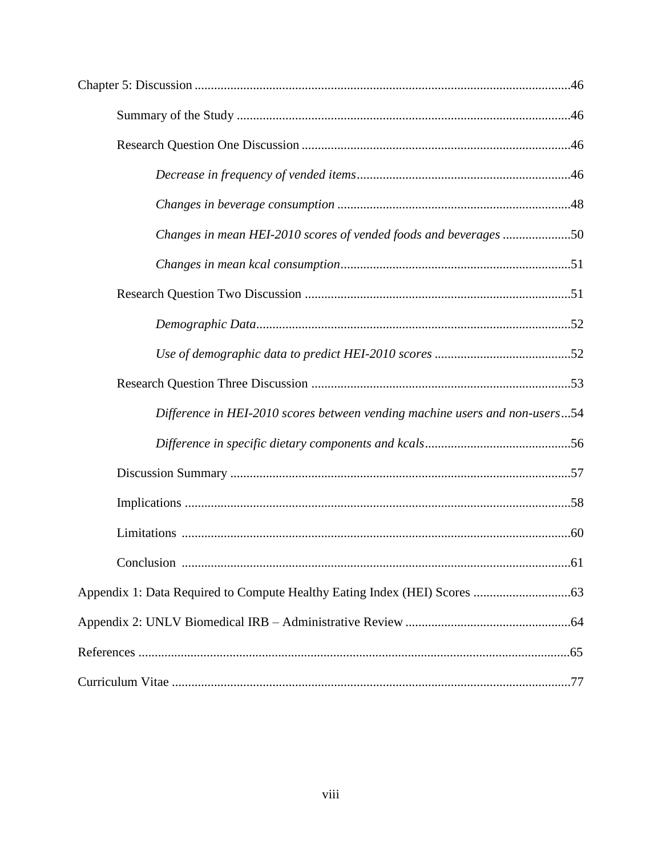| Changes in mean HEI-2010 scores of vended foods and beverages 50            |
|-----------------------------------------------------------------------------|
|                                                                             |
|                                                                             |
|                                                                             |
|                                                                             |
|                                                                             |
| Difference in HEI-2010 scores between vending machine users and non-users54 |
|                                                                             |
|                                                                             |
|                                                                             |
|                                                                             |
|                                                                             |
|                                                                             |
|                                                                             |
|                                                                             |
|                                                                             |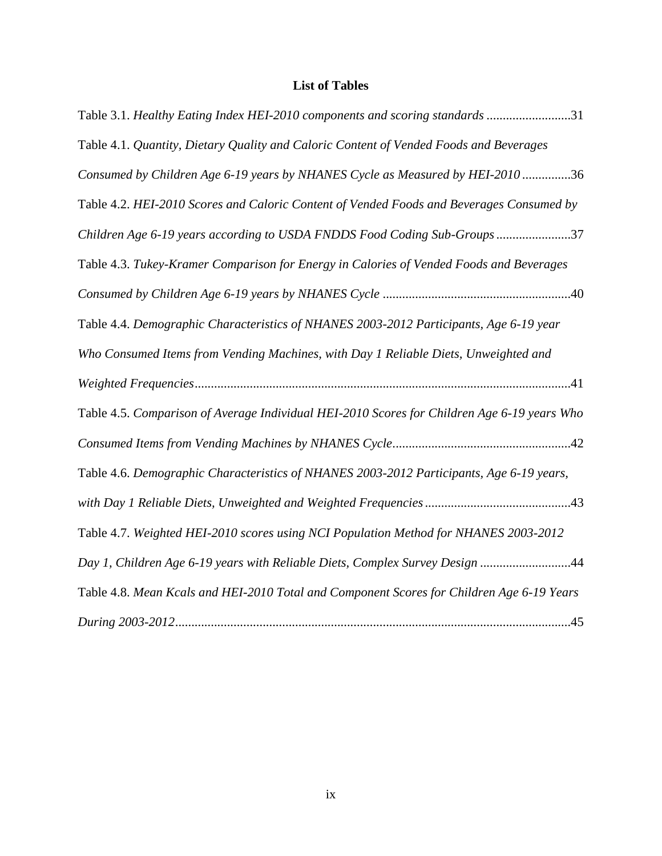# **List of Tables**

| Table 3.1. Healthy Eating Index HEI-2010 components and scoring standards 31                |
|---------------------------------------------------------------------------------------------|
| Table 4.1. Quantity, Dietary Quality and Caloric Content of Vended Foods and Beverages      |
| Consumed by Children Age 6-19 years by NHANES Cycle as Measured by HEI-2010 36              |
| Table 4.2. HEI-2010 Scores and Caloric Content of Vended Foods and Beverages Consumed by    |
| Children Age 6-19 years according to USDA FNDDS Food Coding Sub-Groups37                    |
| Table 4.3. Tukey-Kramer Comparison for Energy in Calories of Vended Foods and Beverages     |
|                                                                                             |
| Table 4.4. Demographic Characteristics of NHANES 2003-2012 Participants, Age 6-19 year      |
| Who Consumed Items from Vending Machines, with Day 1 Reliable Diets, Unweighted and         |
|                                                                                             |
| Table 4.5. Comparison of Average Individual HEI-2010 Scores for Children Age 6-19 years Who |
|                                                                                             |
| Table 4.6. Demographic Characteristics of NHANES 2003-2012 Participants, Age 6-19 years,    |
|                                                                                             |
| Table 4.7. Weighted HEI-2010 scores using NCI Population Method for NHANES 2003-2012        |
| Day 1, Children Age 6-19 years with Reliable Diets, Complex Survey Design 44                |
| Table 4.8. Mean Kcals and HEI-2010 Total and Component Scores for Children Age 6-19 Years   |
|                                                                                             |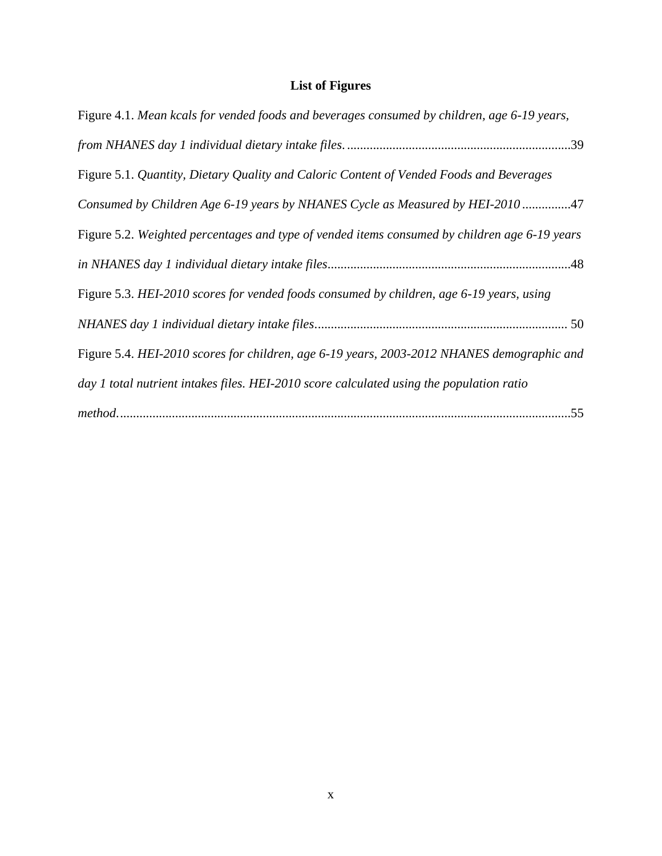# **List of Figures**

| Figure 4.1. Mean kcals for vended foods and beverages consumed by children, age 6-19 years,   |  |  |  |
|-----------------------------------------------------------------------------------------------|--|--|--|
|                                                                                               |  |  |  |
| Figure 5.1. Quantity, Dietary Quality and Caloric Content of Vended Foods and Beverages       |  |  |  |
| Consumed by Children Age 6-19 years by NHANES Cycle as Measured by HEI-2010 47                |  |  |  |
| Figure 5.2. Weighted percentages and type of vended items consumed by children age 6-19 years |  |  |  |
|                                                                                               |  |  |  |
| Figure 5.3. HEI-2010 scores for vended foods consumed by children, age 6-19 years, using      |  |  |  |
|                                                                                               |  |  |  |
| Figure 5.4. HEI-2010 scores for children, age 6-19 years, 2003-2012 NHANES demographic and    |  |  |  |
| day 1 total nutrient intakes files. HEI-2010 score calculated using the population ratio      |  |  |  |
|                                                                                               |  |  |  |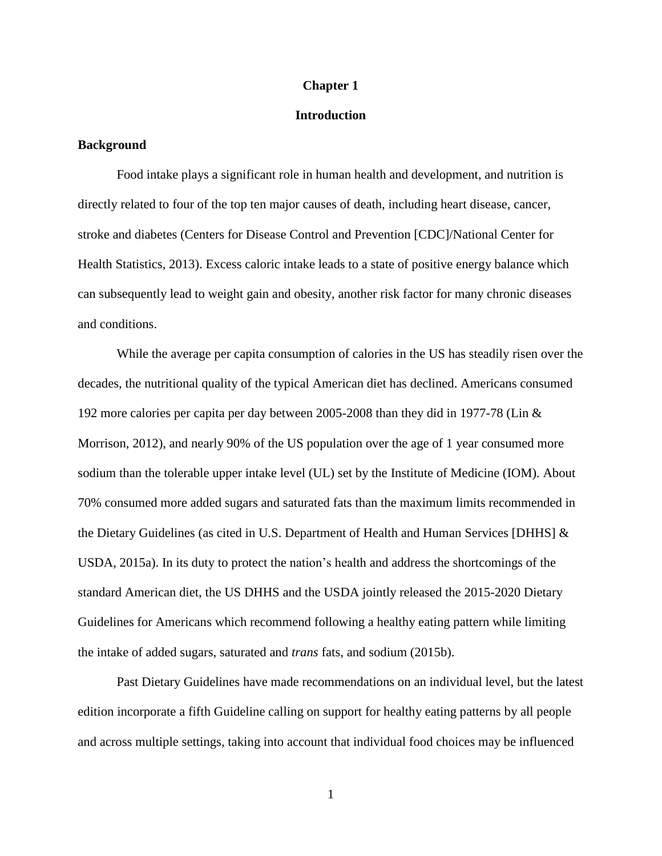#### **Chapter 1**

#### **Introduction**

#### **Background**

Food intake plays a significant role in human health and development, and nutrition is directly related to four of the top ten major causes of death, including heart disease, cancer, stroke and diabetes (Centers for Disease Control and Prevention [CDC]/National Center for Health Statistics, 2013). Excess caloric intake leads to a state of positive energy balance which can subsequently lead to weight gain and obesity, another risk factor for many chronic diseases and conditions.

While the average per capita consumption of calories in the US has steadily risen over the decades, the nutritional quality of the typical American diet has declined. Americans consumed 192 more calories per capita per day between 2005-2008 than they did in 1977-78 (Lin & Morrison, 2012), and nearly 90% of the US population over the age of 1 year consumed more sodium than the tolerable upper intake level (UL) set by the Institute of Medicine (IOM). About 70% consumed more added sugars and saturated fats than the maximum limits recommended in the Dietary Guidelines (as cited in U.S. Department of Health and Human Services [DHHS] & USDA, 2015a). In its duty to protect the nation's health and address the shortcomings of the standard American diet, the US DHHS and the USDA jointly released the 2015-2020 Dietary Guidelines for Americans which recommend following a healthy eating pattern while limiting the intake of added sugars, saturated and *trans* fats, and sodium (2015b).

Past Dietary Guidelines have made recommendations on an individual level, but the latest edition incorporate a fifth Guideline calling on support for healthy eating patterns by all people and across multiple settings, taking into account that individual food choices may be influenced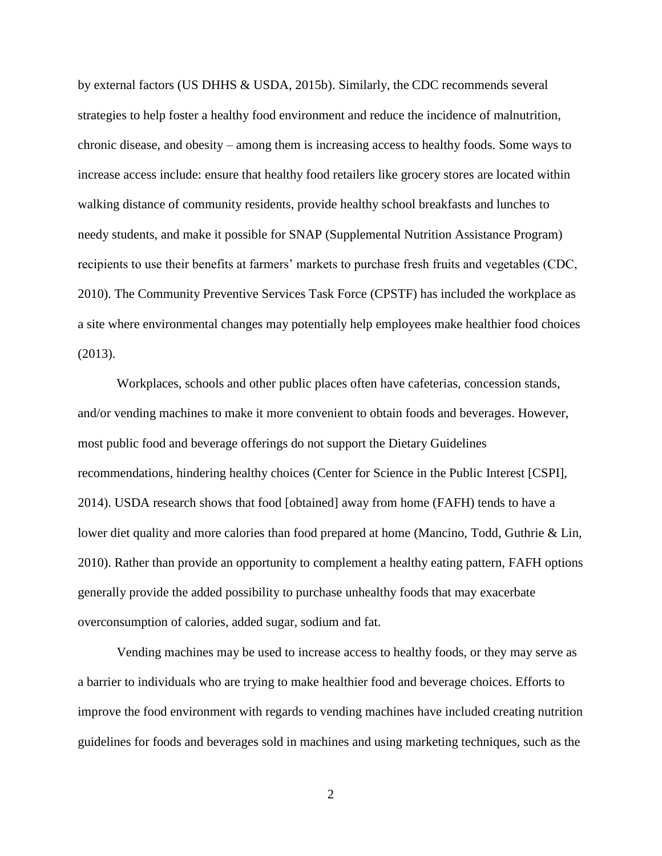by external factors (US DHHS & USDA, 2015b). Similarly, the CDC recommends several strategies to help foster a healthy food environment and reduce the incidence of malnutrition, chronic disease, and obesity – among them is increasing access to healthy foods. Some ways to increase access include: ensure that healthy food retailers like grocery stores are located within walking distance of community residents, provide healthy school breakfasts and lunches to needy students, and make it possible for SNAP (Supplemental Nutrition Assistance Program) recipients to use their benefits at farmers' markets to purchase fresh fruits and vegetables (CDC, 2010). The Community Preventive Services Task Force (CPSTF) has included the workplace as a site where environmental changes may potentially help employees make healthier food choices (2013).

Workplaces, schools and other public places often have cafeterias, concession stands, and/or vending machines to make it more convenient to obtain foods and beverages. However, most public food and beverage offerings do not support the Dietary Guidelines recommendations, hindering healthy choices (Center for Science in the Public Interest [CSPI], 2014). USDA research shows that food [obtained] away from home (FAFH) tends to have a lower diet quality and more calories than food prepared at home (Mancino, Todd, Guthrie & Lin, 2010). Rather than provide an opportunity to complement a healthy eating pattern, FAFH options generally provide the added possibility to purchase unhealthy foods that may exacerbate overconsumption of calories, added sugar, sodium and fat.

Vending machines may be used to increase access to healthy foods, or they may serve as a barrier to individuals who are trying to make healthier food and beverage choices. Efforts to improve the food environment with regards to vending machines have included creating nutrition guidelines for foods and beverages sold in machines and using marketing techniques, such as the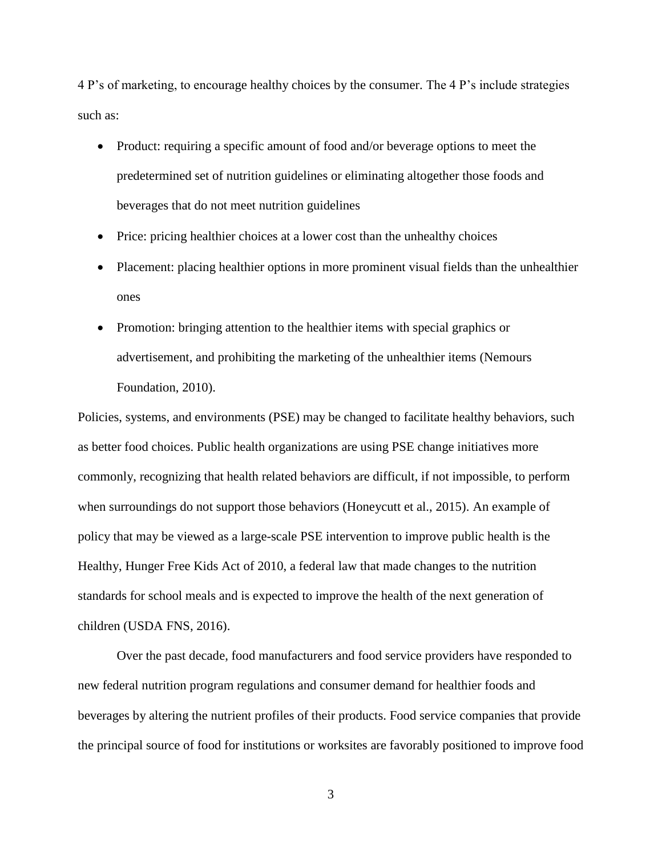4 P's of marketing, to encourage healthy choices by the consumer. The 4 P's include strategies such as:

- Product: requiring a specific amount of food and/or beverage options to meet the predetermined set of nutrition guidelines or eliminating altogether those foods and beverages that do not meet nutrition guidelines
- Price: pricing healthier choices at a lower cost than the unhealthy choices
- Placement: placing healthier options in more prominent visual fields than the unhealthier ones
- Promotion: bringing attention to the healthier items with special graphics or advertisement, and prohibiting the marketing of the unhealthier items (Nemours Foundation, 2010).

Policies, systems, and environments (PSE) may be changed to facilitate healthy behaviors, such as better food choices. Public health organizations are using PSE change initiatives more commonly, recognizing that health related behaviors are difficult, if not impossible, to perform when surroundings do not support those behaviors (Honeycutt et al., 2015). An example of policy that may be viewed as a large-scale PSE intervention to improve public health is the Healthy, Hunger Free Kids Act of 2010, a federal law that made changes to the nutrition standards for school meals and is expected to improve the health of the next generation of children (USDA FNS, 2016).

Over the past decade, food manufacturers and food service providers have responded to new federal nutrition program regulations and consumer demand for healthier foods and beverages by altering the nutrient profiles of their products. Food service companies that provide the principal source of food for institutions or worksites are favorably positioned to improve food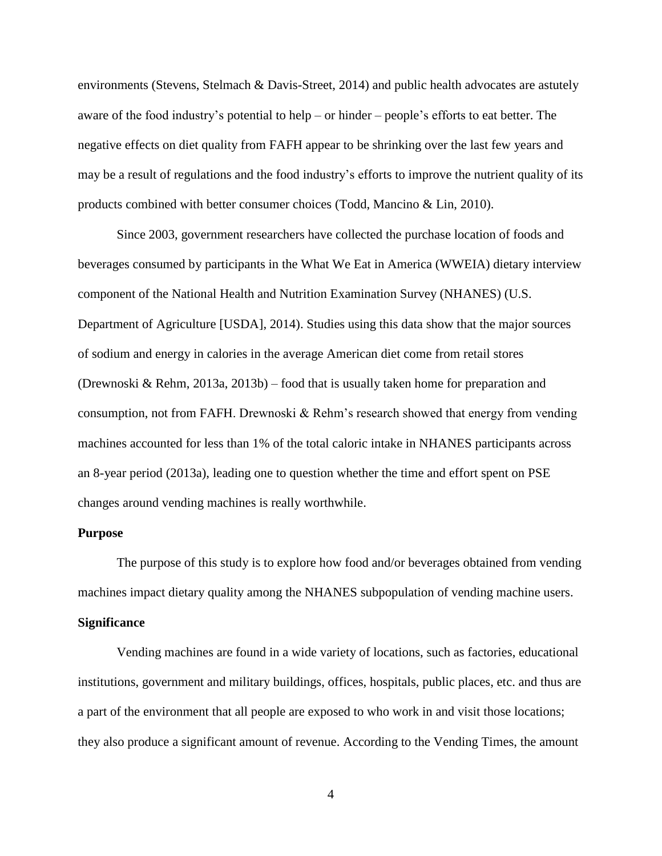environments (Stevens, Stelmach & Davis-Street, 2014) and public health advocates are astutely aware of the food industry's potential to help – or hinder – people's efforts to eat better. The negative effects on diet quality from FAFH appear to be shrinking over the last few years and may be a result of regulations and the food industry's efforts to improve the nutrient quality of its products combined with better consumer choices (Todd, Mancino & Lin, 2010).

Since 2003, government researchers have collected the purchase location of foods and beverages consumed by participants in the What We Eat in America (WWEIA) dietary interview component of the National Health and Nutrition Examination Survey (NHANES) (U.S. Department of Agriculture [USDA], 2014). Studies using this data show that the major sources of sodium and energy in calories in the average American diet come from retail stores (Drewnoski & Rehm, 2013a, 2013b) – food that is usually taken home for preparation and consumption, not from FAFH. Drewnoski & Rehm's research showed that energy from vending machines accounted for less than 1% of the total caloric intake in NHANES participants across an 8-year period (2013a), leading one to question whether the time and effort spent on PSE changes around vending machines is really worthwhile.

#### **Purpose**

The purpose of this study is to explore how food and/or beverages obtained from vending machines impact dietary quality among the NHANES subpopulation of vending machine users.

## **Significance**

Vending machines are found in a wide variety of locations, such as factories, educational institutions, government and military buildings, offices, hospitals, public places, etc. and thus are a part of the environment that all people are exposed to who work in and visit those locations; they also produce a significant amount of revenue. According to the Vending Times, the amount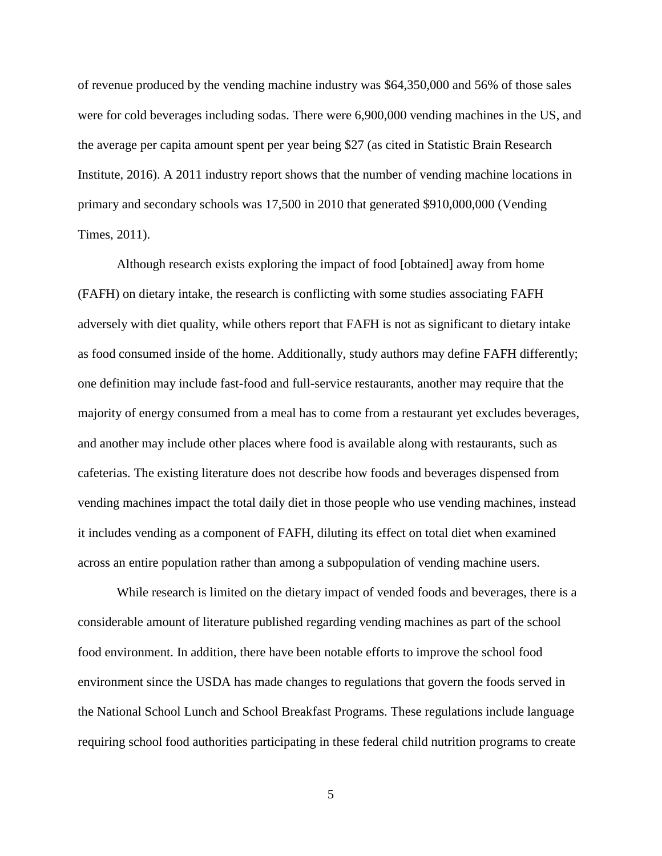of revenue produced by the vending machine industry was \$64,350,000 and 56% of those sales were for cold beverages including sodas. There were 6,900,000 vending machines in the US, and the average per capita amount spent per year being \$27 (as cited in Statistic Brain Research Institute, 2016). A 2011 industry report shows that the number of vending machine locations in primary and secondary schools was 17,500 in 2010 that generated \$910,000,000 (Vending Times, 2011).

Although research exists exploring the impact of food [obtained] away from home (FAFH) on dietary intake, the research is conflicting with some studies associating FAFH adversely with diet quality, while others report that FAFH is not as significant to dietary intake as food consumed inside of the home. Additionally, study authors may define FAFH differently; one definition may include fast-food and full-service restaurants, another may require that the majority of energy consumed from a meal has to come from a restaurant yet excludes beverages, and another may include other places where food is available along with restaurants, such as cafeterias. The existing literature does not describe how foods and beverages dispensed from vending machines impact the total daily diet in those people who use vending machines, instead it includes vending as a component of FAFH, diluting its effect on total diet when examined across an entire population rather than among a subpopulation of vending machine users.

While research is limited on the dietary impact of vended foods and beverages, there is a considerable amount of literature published regarding vending machines as part of the school food environment. In addition, there have been notable efforts to improve the school food environment since the USDA has made changes to regulations that govern the foods served in the National School Lunch and School Breakfast Programs. These regulations include language requiring school food authorities participating in these federal child nutrition programs to create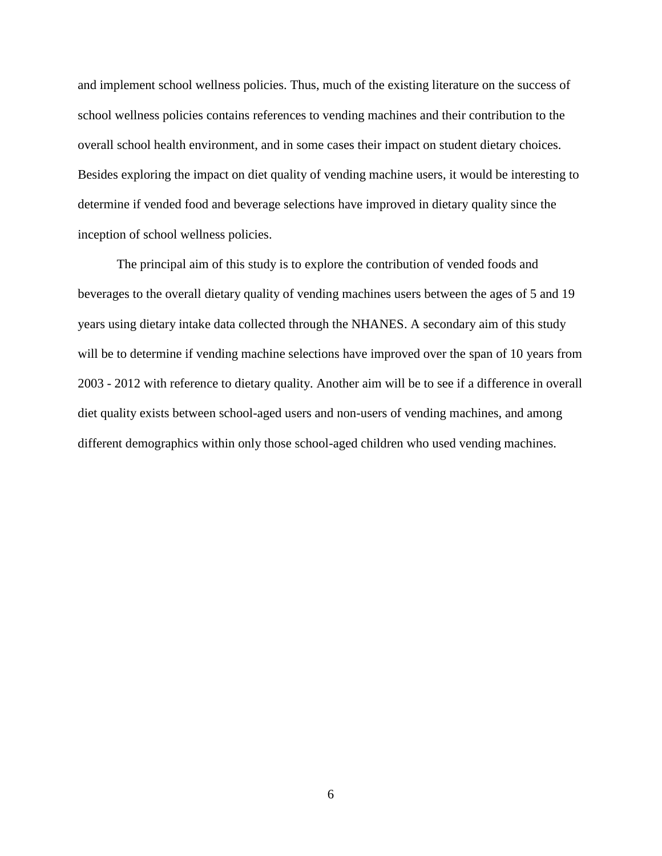and implement school wellness policies. Thus, much of the existing literature on the success of school wellness policies contains references to vending machines and their contribution to the overall school health environment, and in some cases their impact on student dietary choices. Besides exploring the impact on diet quality of vending machine users, it would be interesting to determine if vended food and beverage selections have improved in dietary quality since the inception of school wellness policies.

The principal aim of this study is to explore the contribution of vended foods and beverages to the overall dietary quality of vending machines users between the ages of 5 and 19 years using dietary intake data collected through the NHANES. A secondary aim of this study will be to determine if vending machine selections have improved over the span of 10 years from 2003 - 2012 with reference to dietary quality. Another aim will be to see if a difference in overall diet quality exists between school-aged users and non-users of vending machines, and among different demographics within only those school-aged children who used vending machines.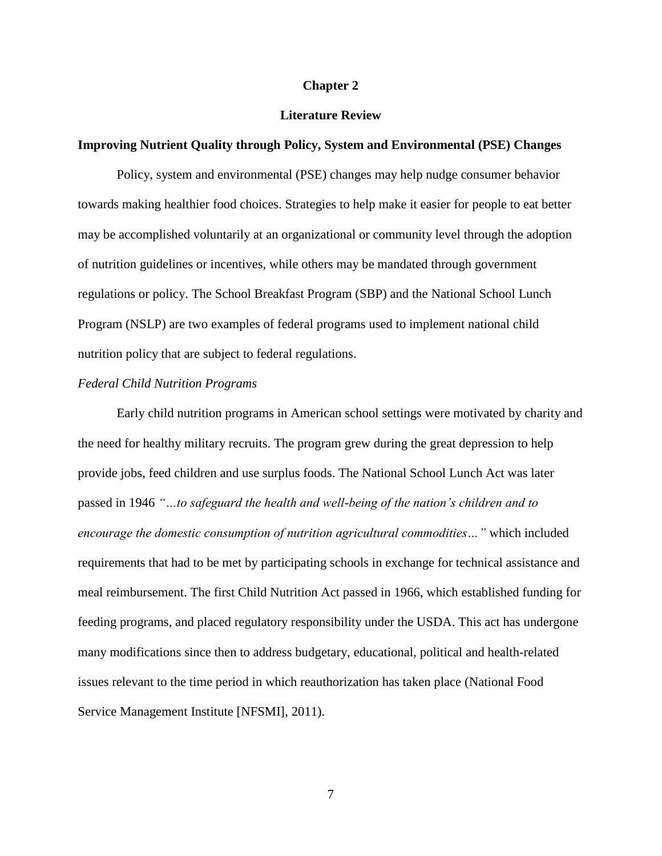#### **Chapter 2**

#### **Literature Review**

#### **Improving Nutrient Quality through Policy, System and Environmental (PSE) Changes**

Policy, system and environmental (PSE) changes may help nudge consumer behavior towards making healthier food choices. Strategies to help make it easier for people to eat better may be accomplished voluntarily at an organizational or community level through the adoption of nutrition guidelines or incentives, while others may be mandated through government regulations or policy. The School Breakfast Program (SBP) and the National School Lunch Program (NSLP) are two examples of federal programs used to implement national child nutrition policy that are subject to federal regulations.

#### *Federal Child Nutrition Programs*

Early child nutrition programs in American school settings were motivated by charity and the need for healthy military recruits. The program grew during the great depression to help provide jobs, feed children and use surplus foods. The National School Lunch Act was later passed in 1946 *"…to safeguard the health and well-being of the nation's children and to encourage the domestic consumption of nutrition agricultural commodities…"* which included requirements that had to be met by participating schools in exchange for technical assistance and meal reimbursement. The first Child Nutrition Act passed in 1966, which established funding for feeding programs, and placed regulatory responsibility under the USDA. This act has undergone many modifications since then to address budgetary, educational, political and health-related issues relevant to the time period in which reauthorization has taken place (National Food Service Management Institute [NFSMI], 2011).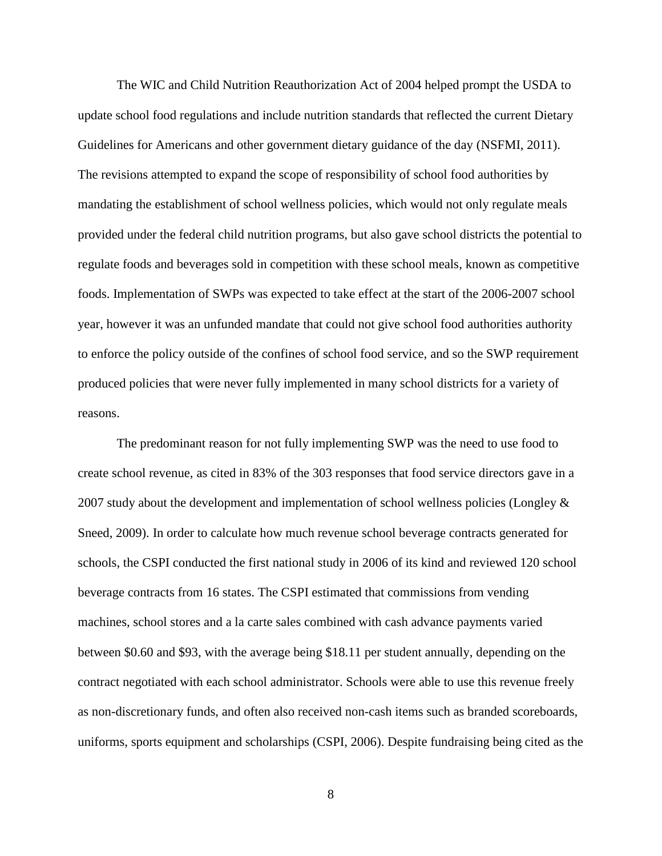The WIC and Child Nutrition Reauthorization Act of 2004 helped prompt the USDA to update school food regulations and include nutrition standards that reflected the current Dietary Guidelines for Americans and other government dietary guidance of the day (NSFMI, 2011). The revisions attempted to expand the scope of responsibility of school food authorities by mandating the establishment of school wellness policies, which would not only regulate meals provided under the federal child nutrition programs, but also gave school districts the potential to regulate foods and beverages sold in competition with these school meals, known as competitive foods. Implementation of SWPs was expected to take effect at the start of the 2006-2007 school year, however it was an unfunded mandate that could not give school food authorities authority to enforce the policy outside of the confines of school food service, and so the SWP requirement produced policies that were never fully implemented in many school districts for a variety of reasons.

The predominant reason for not fully implementing SWP was the need to use food to create school revenue, as cited in 83% of the 303 responses that food service directors gave in a 2007 study about the development and implementation of school wellness policies (Longley & Sneed, 2009). In order to calculate how much revenue school beverage contracts generated for schools, the CSPI conducted the first national study in 2006 of its kind and reviewed 120 school beverage contracts from 16 states. The CSPI estimated that commissions from vending machines, school stores and a la carte sales combined with cash advance payments varied between \$0.60 and \$93, with the average being \$18.11 per student annually, depending on the contract negotiated with each school administrator. Schools were able to use this revenue freely as non-discretionary funds, and often also received non-cash items such as branded scoreboards, uniforms, sports equipment and scholarships (CSPI, 2006). Despite fundraising being cited as the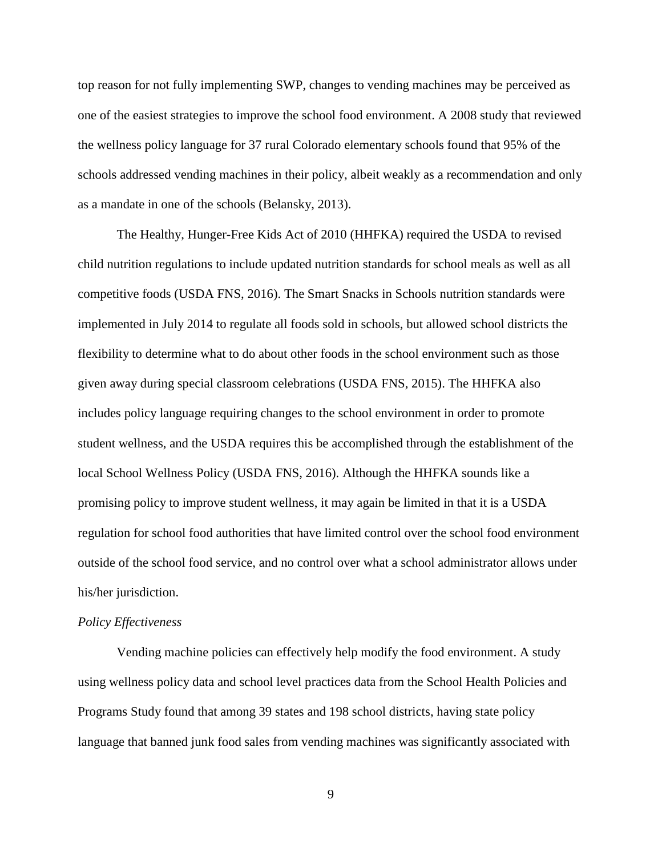top reason for not fully implementing SWP, changes to vending machines may be perceived as one of the easiest strategies to improve the school food environment. A 2008 study that reviewed the wellness policy language for 37 rural Colorado elementary schools found that 95% of the schools addressed vending machines in their policy, albeit weakly as a recommendation and only as a mandate in one of the schools (Belansky, 2013).

The Healthy, Hunger-Free Kids Act of 2010 (HHFKA) required the USDA to revised child nutrition regulations to include updated nutrition standards for school meals as well as all competitive foods (USDA FNS, 2016). The Smart Snacks in Schools nutrition standards were implemented in July 2014 to regulate all foods sold in schools, but allowed school districts the flexibility to determine what to do about other foods in the school environment such as those given away during special classroom celebrations (USDA FNS, 2015). The HHFKA also includes policy language requiring changes to the school environment in order to promote student wellness, and the USDA requires this be accomplished through the establishment of the local School Wellness Policy (USDA FNS, 2016). Although the HHFKA sounds like a promising policy to improve student wellness, it may again be limited in that it is a USDA regulation for school food authorities that have limited control over the school food environment outside of the school food service, and no control over what a school administrator allows under his/her jurisdiction.

#### *Policy Effectiveness*

Vending machine policies can effectively help modify the food environment. A study using wellness policy data and school level practices data from the School Health Policies and Programs Study found that among 39 states and 198 school districts, having state policy language that banned junk food sales from vending machines was significantly associated with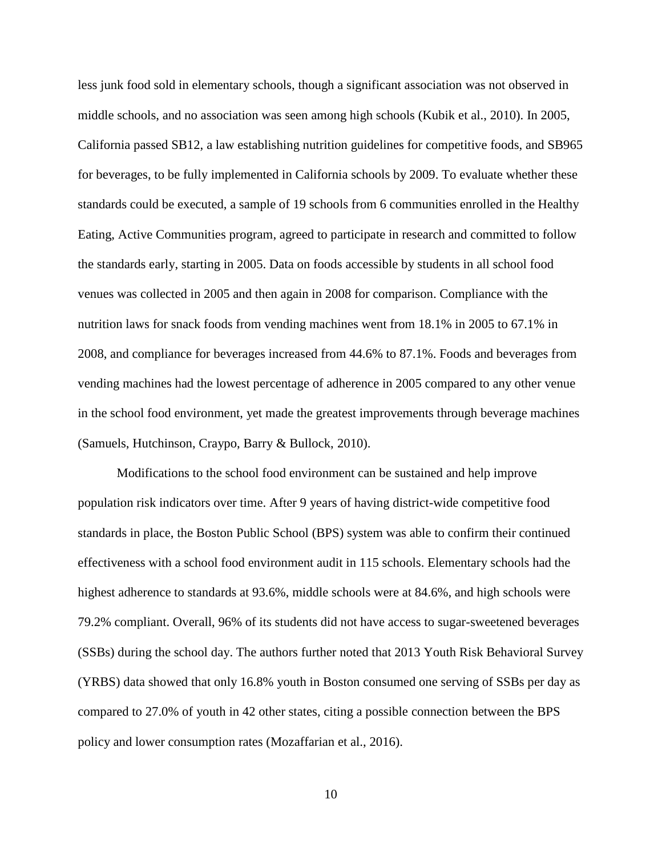less junk food sold in elementary schools, though a significant association was not observed in middle schools, and no association was seen among high schools (Kubik et al., 2010). In 2005, California passed SB12, a law establishing nutrition guidelines for competitive foods, and SB965 for beverages, to be fully implemented in California schools by 2009. To evaluate whether these standards could be executed, a sample of 19 schools from 6 communities enrolled in the Healthy Eating, Active Communities program, agreed to participate in research and committed to follow the standards early, starting in 2005. Data on foods accessible by students in all school food venues was collected in 2005 and then again in 2008 for comparison. Compliance with the nutrition laws for snack foods from vending machines went from 18.1% in 2005 to 67.1% in 2008, and compliance for beverages increased from 44.6% to 87.1%. Foods and beverages from vending machines had the lowest percentage of adherence in 2005 compared to any other venue in the school food environment, yet made the greatest improvements through beverage machines (Samuels, Hutchinson, Craypo, Barry & Bullock, 2010).

Modifications to the school food environment can be sustained and help improve population risk indicators over time. After 9 years of having district-wide competitive food standards in place, the Boston Public School (BPS) system was able to confirm their continued effectiveness with a school food environment audit in 115 schools. Elementary schools had the highest adherence to standards at 93.6%, middle schools were at 84.6%, and high schools were 79.2% compliant. Overall, 96% of its students did not have access to sugar-sweetened beverages (SSBs) during the school day. The authors further noted that 2013 Youth Risk Behavioral Survey (YRBS) data showed that only 16.8% youth in Boston consumed one serving of SSBs per day as compared to 27.0% of youth in 42 other states, citing a possible connection between the BPS policy and lower consumption rates (Mozaffarian et al., 2016).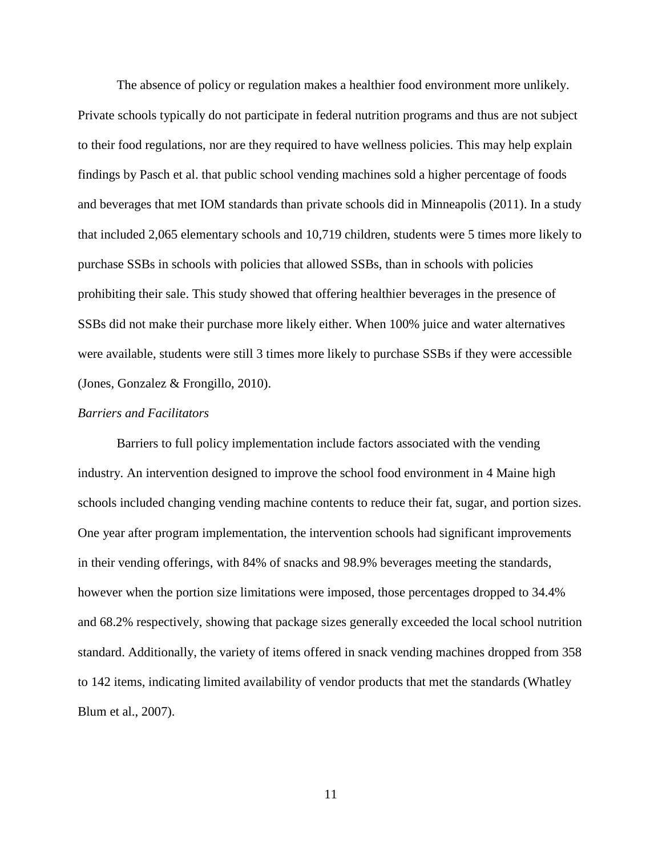The absence of policy or regulation makes a healthier food environment more unlikely. Private schools typically do not participate in federal nutrition programs and thus are not subject to their food regulations, nor are they required to have wellness policies. This may help explain findings by Pasch et al. that public school vending machines sold a higher percentage of foods and beverages that met IOM standards than private schools did in Minneapolis (2011). In a study that included 2,065 elementary schools and 10,719 children, students were 5 times more likely to purchase SSBs in schools with policies that allowed SSBs, than in schools with policies prohibiting their sale. This study showed that offering healthier beverages in the presence of SSBs did not make their purchase more likely either. When 100% juice and water alternatives were available, students were still 3 times more likely to purchase SSBs if they were accessible (Jones, Gonzalez & Frongillo, 2010).

#### *Barriers and Facilitators*

Barriers to full policy implementation include factors associated with the vending industry. An intervention designed to improve the school food environment in 4 Maine high schools included changing vending machine contents to reduce their fat, sugar, and portion sizes. One year after program implementation, the intervention schools had significant improvements in their vending offerings, with 84% of snacks and 98.9% beverages meeting the standards, however when the portion size limitations were imposed, those percentages dropped to 34.4% and 68.2% respectively, showing that package sizes generally exceeded the local school nutrition standard. Additionally, the variety of items offered in snack vending machines dropped from 358 to 142 items, indicating limited availability of vendor products that met the standards (Whatley Blum et al., 2007).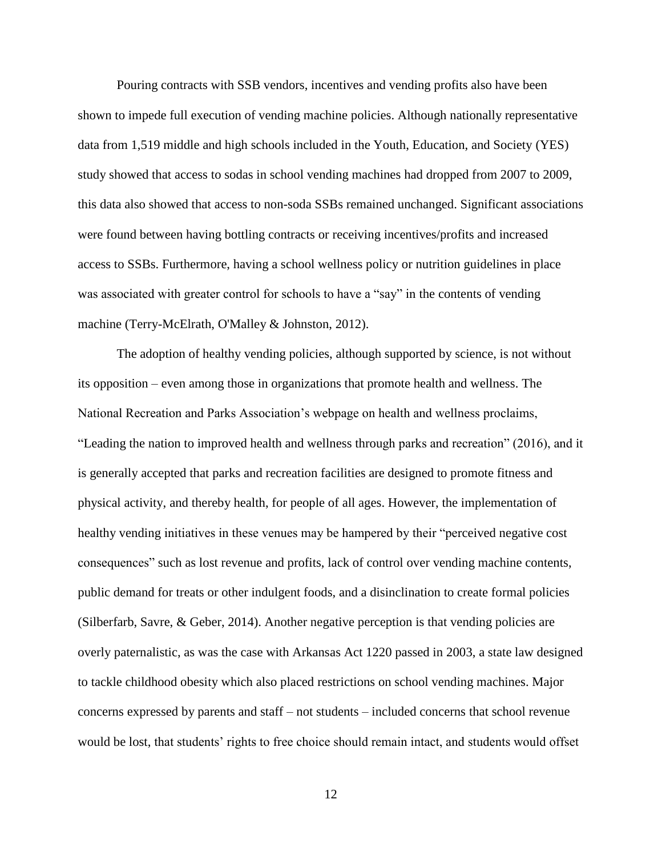Pouring contracts with SSB vendors, incentives and vending profits also have been shown to impede full execution of vending machine policies. Although nationally representative data from 1,519 middle and high schools included in the Youth, Education, and Society (YES) study showed that access to sodas in school vending machines had dropped from 2007 to 2009, this data also showed that access to non-soda SSBs remained unchanged. Significant associations were found between having bottling contracts or receiving incentives/profits and increased access to SSBs. Furthermore, having a school wellness policy or nutrition guidelines in place was associated with greater control for schools to have a "say" in the contents of vending machine (Terry-McElrath, O'Malley & Johnston, 2012).

The adoption of healthy vending policies, although supported by science, is not without its opposition – even among those in organizations that promote health and wellness. The National Recreation and Parks Association's webpage on health and wellness proclaims, "Leading the nation to improved health and wellness through parks and recreation" (2016), and it is generally accepted that parks and recreation facilities are designed to promote fitness and physical activity, and thereby health, for people of all ages. However, the implementation of healthy vending initiatives in these venues may be hampered by their "perceived negative cost consequences" such as lost revenue and profits, lack of control over vending machine contents, public demand for treats or other indulgent foods, and a disinclination to create formal policies (Silberfarb, Savre, & Geber, 2014). Another negative perception is that vending policies are overly paternalistic, as was the case with Arkansas Act 1220 passed in 2003, a state law designed to tackle childhood obesity which also placed restrictions on school vending machines. Major concerns expressed by parents and staff – not students – included concerns that school revenue would be lost, that students' rights to free choice should remain intact, and students would offset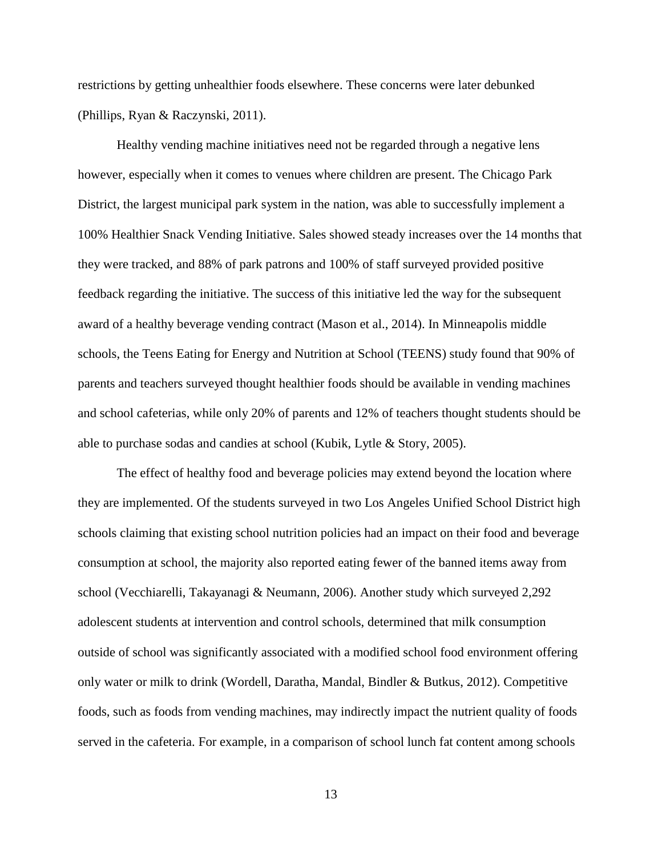restrictions by getting unhealthier foods elsewhere. These concerns were later debunked (Phillips, Ryan & Raczynski, 2011).

Healthy vending machine initiatives need not be regarded through a negative lens however, especially when it comes to venues where children are present. The Chicago Park District, the largest municipal park system in the nation, was able to successfully implement a 100% Healthier Snack Vending Initiative. Sales showed steady increases over the 14 months that they were tracked, and 88% of park patrons and 100% of staff surveyed provided positive feedback regarding the initiative. The success of this initiative led the way for the subsequent award of a healthy beverage vending contract (Mason et al., 2014). In Minneapolis middle schools, the Teens Eating for Energy and Nutrition at School (TEENS) study found that 90% of parents and teachers surveyed thought healthier foods should be available in vending machines and school cafeterias, while only 20% of parents and 12% of teachers thought students should be able to purchase sodas and candies at school (Kubik, Lytle & Story, 2005).

The effect of healthy food and beverage policies may extend beyond the location where they are implemented. Of the students surveyed in two Los Angeles Unified School District high schools claiming that existing school nutrition policies had an impact on their food and beverage consumption at school, the majority also reported eating fewer of the banned items away from school (Vecchiarelli, Takayanagi & Neumann, 2006). Another study which surveyed 2,292 adolescent students at intervention and control schools, determined that milk consumption outside of school was significantly associated with a modified school food environment offering only water or milk to drink (Wordell, Daratha, Mandal, Bindler & Butkus, 2012). Competitive foods, such as foods from vending machines, may indirectly impact the nutrient quality of foods served in the cafeteria. For example, in a comparison of school lunch fat content among schools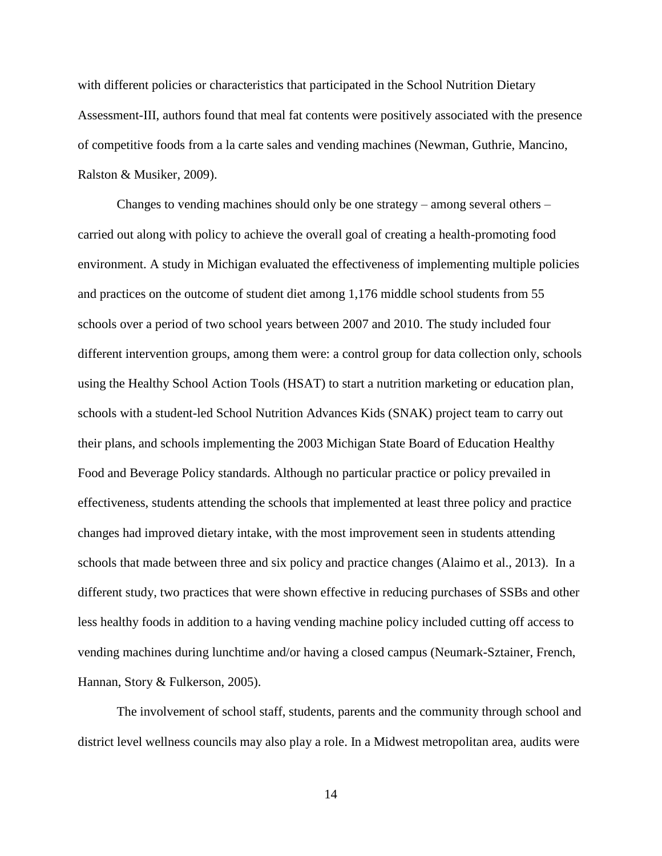with different policies or characteristics that participated in the School Nutrition Dietary Assessment-III, authors found that meal fat contents were positively associated with the presence of competitive foods from a la carte sales and vending machines (Newman, Guthrie, Mancino, Ralston & Musiker, 2009).

Changes to vending machines should only be one strategy – among several others – carried out along with policy to achieve the overall goal of creating a health-promoting food environment. A study in Michigan evaluated the effectiveness of implementing multiple policies and practices on the outcome of student diet among 1,176 middle school students from 55 schools over a period of two school years between 2007 and 2010. The study included four different intervention groups, among them were: a control group for data collection only, schools using the Healthy School Action Tools (HSAT) to start a nutrition marketing or education plan, schools with a student-led School Nutrition Advances Kids (SNAK) project team to carry out their plans, and schools implementing the 2003 Michigan State Board of Education Healthy Food and Beverage Policy standards. Although no particular practice or policy prevailed in effectiveness, students attending the schools that implemented at least three policy and practice changes had improved dietary intake, with the most improvement seen in students attending schools that made between three and six policy and practice changes (Alaimo et al., 2013). In a different study, two practices that were shown effective in reducing purchases of SSBs and other less healthy foods in addition to a having vending machine policy included cutting off access to vending machines during lunchtime and/or having a closed campus (Neumark-Sztainer, French, Hannan, Story & Fulkerson, 2005).

The involvement of school staff, students, parents and the community through school and district level wellness councils may also play a role. In a Midwest metropolitan area, audits were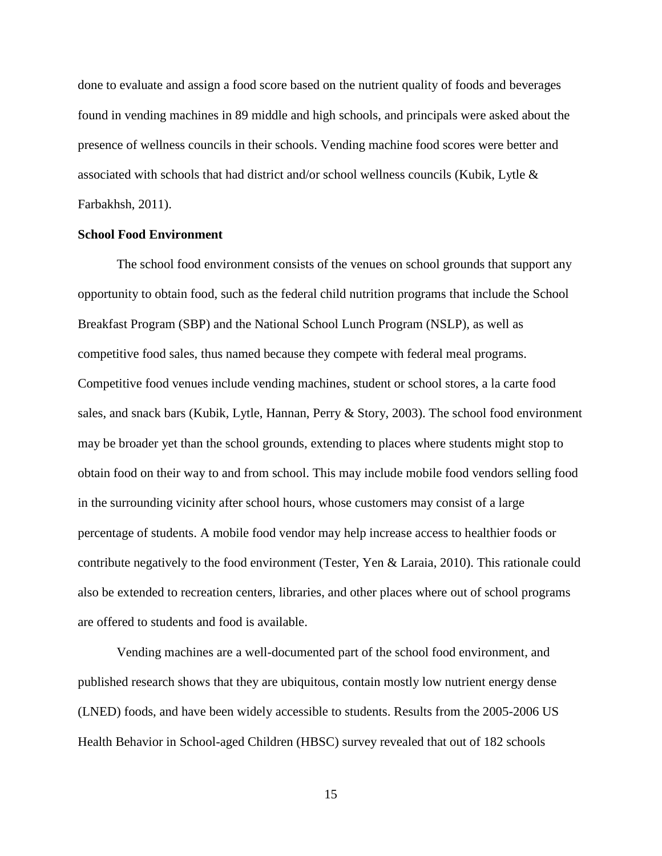done to evaluate and assign a food score based on the nutrient quality of foods and beverages found in vending machines in 89 middle and high schools, and principals were asked about the presence of wellness councils in their schools. Vending machine food scores were better and associated with schools that had district and/or school wellness councils (Kubik, Lytle & Farbakhsh, 2011).

#### **School Food Environment**

The school food environment consists of the venues on school grounds that support any opportunity to obtain food, such as the federal child nutrition programs that include the School Breakfast Program (SBP) and the National School Lunch Program (NSLP), as well as competitive food sales, thus named because they compete with federal meal programs. Competitive food venues include vending machines, student or school stores, a la carte food sales, and snack bars (Kubik, Lytle, Hannan, Perry & Story, 2003). The school food environment may be broader yet than the school grounds, extending to places where students might stop to obtain food on their way to and from school. This may include mobile food vendors selling food in the surrounding vicinity after school hours, whose customers may consist of a large percentage of students. A mobile food vendor may help increase access to healthier foods or contribute negatively to the food environment (Tester, Yen & Laraia, 2010). This rationale could also be extended to recreation centers, libraries, and other places where out of school programs are offered to students and food is available.

Vending machines are a well-documented part of the school food environment, and published research shows that they are ubiquitous, contain mostly low nutrient energy dense (LNED) foods, and have been widely accessible to students. Results from the 2005-2006 US Health Behavior in School-aged Children (HBSC) survey revealed that out of 182 schools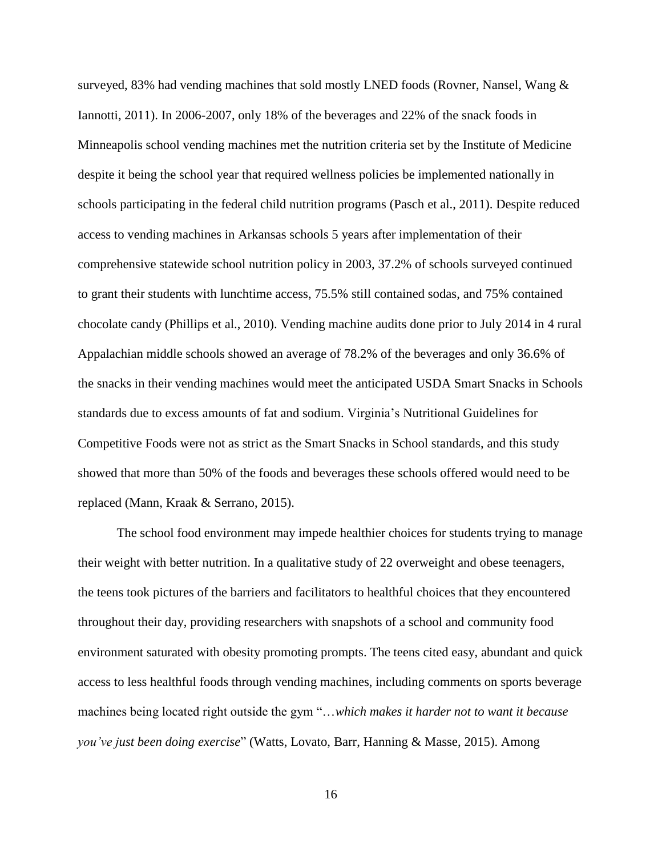surveyed, 83% had vending machines that sold mostly LNED foods (Rovner, Nansel, Wang & Iannotti, 2011). In 2006-2007, only 18% of the beverages and 22% of the snack foods in Minneapolis school vending machines met the nutrition criteria set by the Institute of Medicine despite it being the school year that required wellness policies be implemented nationally in schools participating in the federal child nutrition programs (Pasch et al., 2011). Despite reduced access to vending machines in Arkansas schools 5 years after implementation of their comprehensive statewide school nutrition policy in 2003, 37.2% of schools surveyed continued to grant their students with lunchtime access, 75.5% still contained sodas, and 75% contained chocolate candy (Phillips et al., 2010). Vending machine audits done prior to July 2014 in 4 rural Appalachian middle schools showed an average of 78.2% of the beverages and only 36.6% of the snacks in their vending machines would meet the anticipated USDA Smart Snacks in Schools standards due to excess amounts of fat and sodium. Virginia's Nutritional Guidelines for Competitive Foods were not as strict as the Smart Snacks in School standards, and this study showed that more than 50% of the foods and beverages these schools offered would need to be replaced (Mann, Kraak & Serrano, 2015).

The school food environment may impede healthier choices for students trying to manage their weight with better nutrition. In a qualitative study of 22 overweight and obese teenagers, the teens took pictures of the barriers and facilitators to healthful choices that they encountered throughout their day, providing researchers with snapshots of a school and community food environment saturated with obesity promoting prompts. The teens cited easy, abundant and quick access to less healthful foods through vending machines, including comments on sports beverage machines being located right outside the gym "…*which makes it harder not to want it because you've just been doing exercise*" (Watts, Lovato, Barr, Hanning & Masse, 2015). Among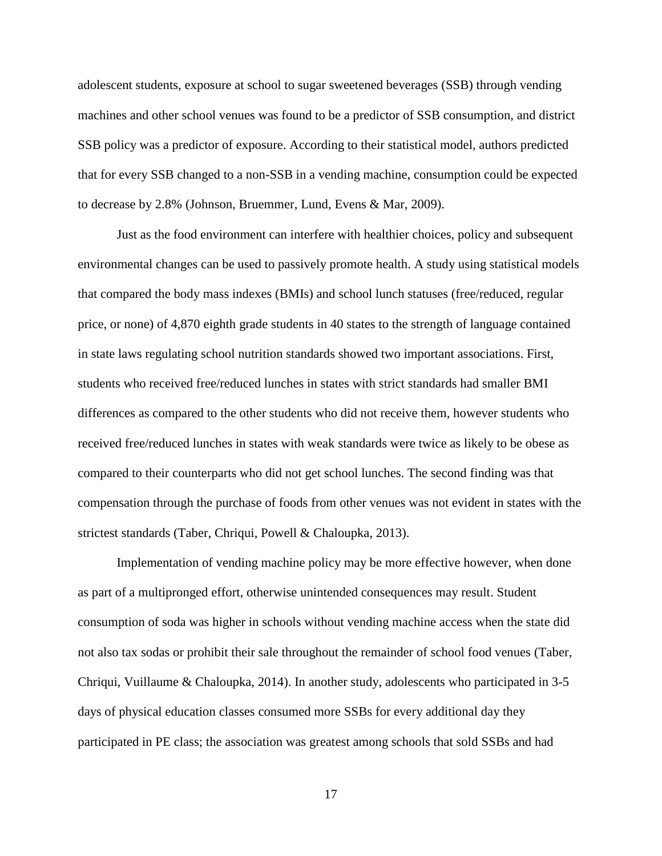adolescent students, exposure at school to sugar sweetened beverages (SSB) through vending machines and other school venues was found to be a predictor of SSB consumption, and district SSB policy was a predictor of exposure. According to their statistical model, authors predicted that for every SSB changed to a non-SSB in a vending machine, consumption could be expected to decrease by 2.8% (Johnson, Bruemmer, Lund, Evens & Mar, 2009).

Just as the food environment can interfere with healthier choices, policy and subsequent environmental changes can be used to passively promote health. A study using statistical models that compared the body mass indexes (BMIs) and school lunch statuses (free/reduced, regular price, or none) of 4,870 eighth grade students in 40 states to the strength of language contained in state laws regulating school nutrition standards showed two important associations. First, students who received free/reduced lunches in states with strict standards had smaller BMI differences as compared to the other students who did not receive them, however students who received free/reduced lunches in states with weak standards were twice as likely to be obese as compared to their counterparts who did not get school lunches. The second finding was that compensation through the purchase of foods from other venues was not evident in states with the strictest standards (Taber, Chriqui, Powell & Chaloupka, 2013).

Implementation of vending machine policy may be more effective however, when done as part of a multipronged effort, otherwise unintended consequences may result. Student consumption of soda was higher in schools without vending machine access when the state did not also tax sodas or prohibit their sale throughout the remainder of school food venues (Taber, Chriqui, Vuillaume & Chaloupka, 2014). In another study, adolescents who participated in 3-5 days of physical education classes consumed more SSBs for every additional day they participated in PE class; the association was greatest among schools that sold SSBs and had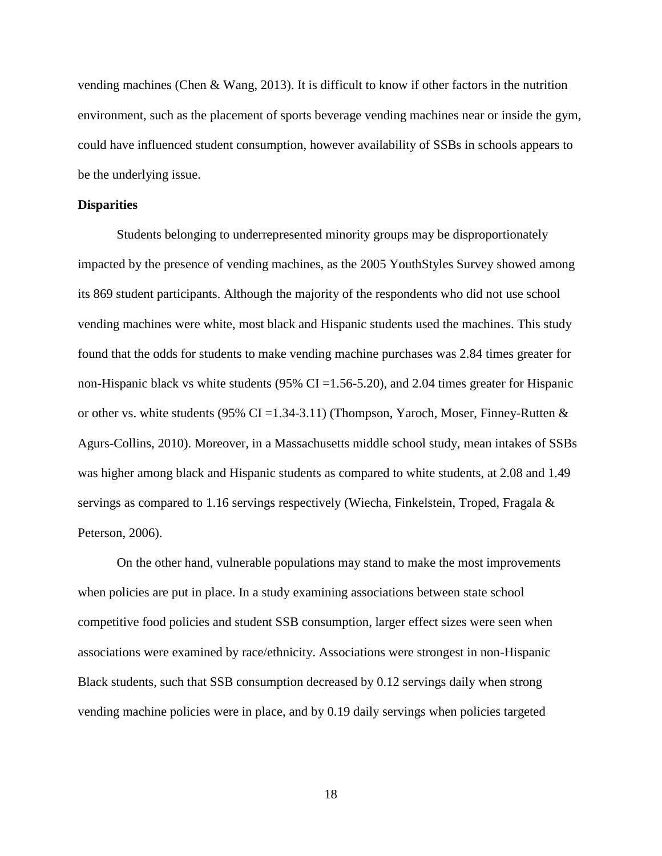vending machines (Chen & Wang, 2013). It is difficult to know if other factors in the nutrition environment, such as the placement of sports beverage vending machines near or inside the gym, could have influenced student consumption, however availability of SSBs in schools appears to be the underlying issue.

#### **Disparities**

Students belonging to underrepresented minority groups may be disproportionately impacted by the presence of vending machines, as the 2005 YouthStyles Survey showed among its 869 student participants. Although the majority of the respondents who did not use school vending machines were white, most black and Hispanic students used the machines. This study found that the odds for students to make vending machine purchases was 2.84 times greater for non-Hispanic black vs white students (95% CI =  $1.56 - 5.20$ ), and 2.04 times greater for Hispanic or other vs. white students (95% CI = 1.34-3.11) (Thompson, Yaroch, Moser, Finney-Rutten  $\&$ Agurs-Collins, 2010). Moreover, in a Massachusetts middle school study, mean intakes of SSBs was higher among black and Hispanic students as compared to white students, at 2.08 and 1.49 servings as compared to 1.16 servings respectively (Wiecha, Finkelstein, Troped, Fragala & Peterson, 2006).

On the other hand, vulnerable populations may stand to make the most improvements when policies are put in place. In a study examining associations between state school competitive food policies and student SSB consumption, larger effect sizes were seen when associations were examined by race/ethnicity. Associations were strongest in non-Hispanic Black students, such that SSB consumption decreased by 0.12 servings daily when strong vending machine policies were in place, and by 0.19 daily servings when policies targeted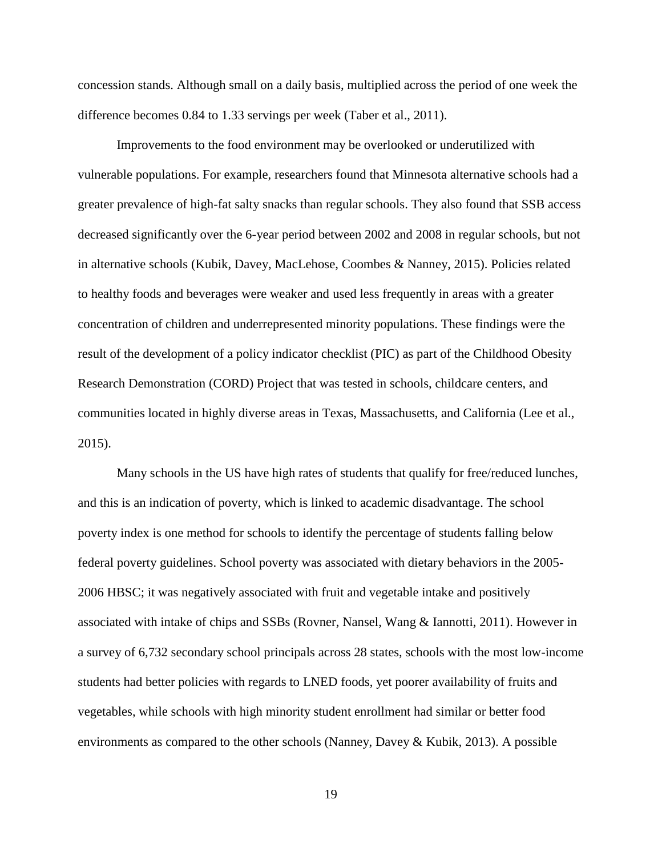concession stands. Although small on a daily basis, multiplied across the period of one week the difference becomes 0.84 to 1.33 servings per week (Taber et al., 2011).

Improvements to the food environment may be overlooked or underutilized with vulnerable populations. For example, researchers found that Minnesota alternative schools had a greater prevalence of high-fat salty snacks than regular schools. They also found that SSB access decreased significantly over the 6-year period between 2002 and 2008 in regular schools, but not in alternative schools (Kubik, Davey, MacLehose, Coombes & Nanney, 2015). Policies related to healthy foods and beverages were weaker and used less frequently in areas with a greater concentration of children and underrepresented minority populations. These findings were the result of the development of a policy indicator checklist (PIC) as part of the Childhood Obesity Research Demonstration (CORD) Project that was tested in schools, childcare centers, and communities located in highly diverse areas in Texas, Massachusetts, and California (Lee et al., 2015).

Many schools in the US have high rates of students that qualify for free/reduced lunches, and this is an indication of poverty, which is linked to academic disadvantage. The school poverty index is one method for schools to identify the percentage of students falling below federal poverty guidelines. School poverty was associated with dietary behaviors in the 2005- 2006 HBSC; it was negatively associated with fruit and vegetable intake and positively associated with intake of chips and SSBs (Rovner, Nansel, Wang & Iannotti, 2011). However in a survey of 6,732 secondary school principals across 28 states, schools with the most low-income students had better policies with regards to LNED foods, yet poorer availability of fruits and vegetables, while schools with high minority student enrollment had similar or better food environments as compared to the other schools (Nanney, Davey & Kubik, 2013). A possible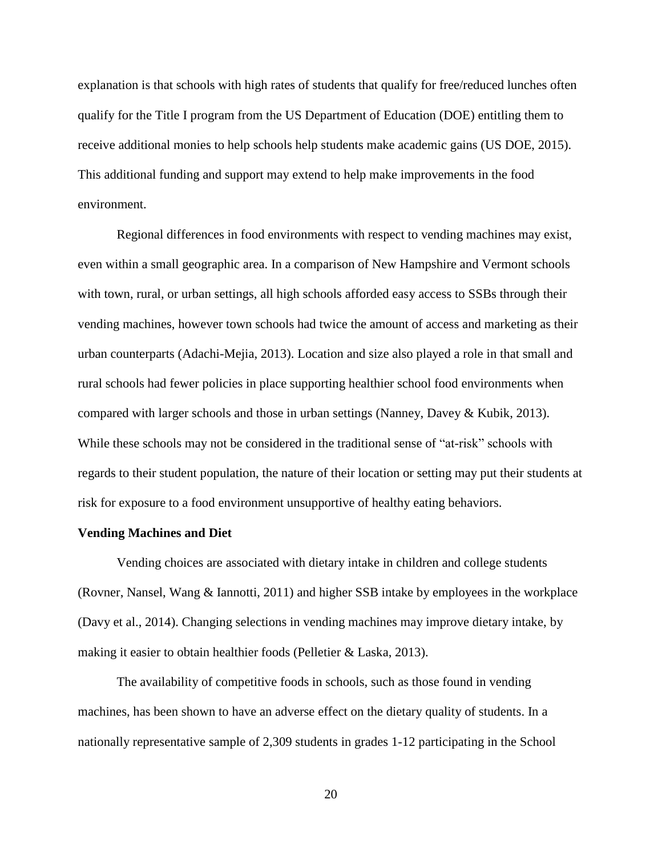explanation is that schools with high rates of students that qualify for free/reduced lunches often qualify for the Title I program from the US Department of Education (DOE) entitling them to receive additional monies to help schools help students make academic gains (US DOE, 2015). This additional funding and support may extend to help make improvements in the food environment.

Regional differences in food environments with respect to vending machines may exist, even within a small geographic area. In a comparison of New Hampshire and Vermont schools with town, rural, or urban settings, all high schools afforded easy access to SSBs through their vending machines, however town schools had twice the amount of access and marketing as their urban counterparts (Adachi-Mejia, 2013). Location and size also played a role in that small and rural schools had fewer policies in place supporting healthier school food environments when compared with larger schools and those in urban settings (Nanney, Davey & Kubik, 2013). While these schools may not be considered in the traditional sense of "at-risk" schools with regards to their student population, the nature of their location or setting may put their students at risk for exposure to a food environment unsupportive of healthy eating behaviors.

#### **Vending Machines and Diet**

Vending choices are associated with dietary intake in children and college students (Rovner, Nansel, Wang & Iannotti, 2011) and higher SSB intake by employees in the workplace (Davy et al., 2014). Changing selections in vending machines may improve dietary intake, by making it easier to obtain healthier foods (Pelletier & Laska, 2013).

The availability of competitive foods in schools, such as those found in vending machines, has been shown to have an adverse effect on the dietary quality of students. In a nationally representative sample of 2,309 students in grades 1-12 participating in the School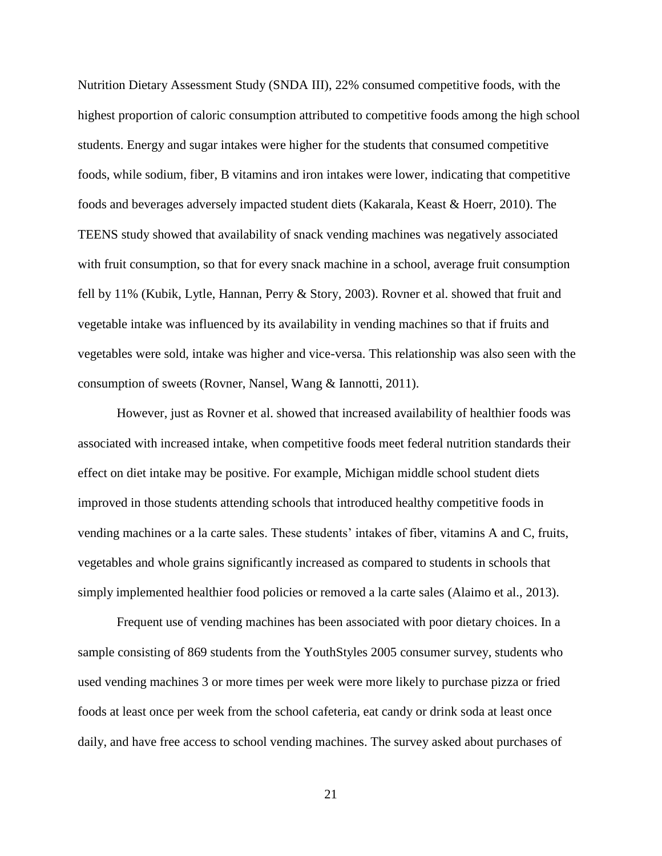Nutrition Dietary Assessment Study (SNDA III), 22% consumed competitive foods, with the highest proportion of caloric consumption attributed to competitive foods among the high school students. Energy and sugar intakes were higher for the students that consumed competitive foods, while sodium, fiber, B vitamins and iron intakes were lower, indicating that competitive foods and beverages adversely impacted student diets (Kakarala, Keast & Hoerr, 2010). The TEENS study showed that availability of snack vending machines was negatively associated with fruit consumption, so that for every snack machine in a school, average fruit consumption fell by 11% (Kubik, Lytle, Hannan, Perry & Story, 2003). Rovner et al. showed that fruit and vegetable intake was influenced by its availability in vending machines so that if fruits and vegetables were sold, intake was higher and vice-versa. This relationship was also seen with the consumption of sweets (Rovner, Nansel, Wang & Iannotti, 2011).

However, just as Rovner et al. showed that increased availability of healthier foods was associated with increased intake, when competitive foods meet federal nutrition standards their effect on diet intake may be positive. For example, Michigan middle school student diets improved in those students attending schools that introduced healthy competitive foods in vending machines or a la carte sales. These students' intakes of fiber, vitamins A and C, fruits, vegetables and whole grains significantly increased as compared to students in schools that simply implemented healthier food policies or removed a la carte sales (Alaimo et al., 2013).

Frequent use of vending machines has been associated with poor dietary choices. In a sample consisting of 869 students from the YouthStyles 2005 consumer survey, students who used vending machines 3 or more times per week were more likely to purchase pizza or fried foods at least once per week from the school cafeteria, eat candy or drink soda at least once daily, and have free access to school vending machines. The survey asked about purchases of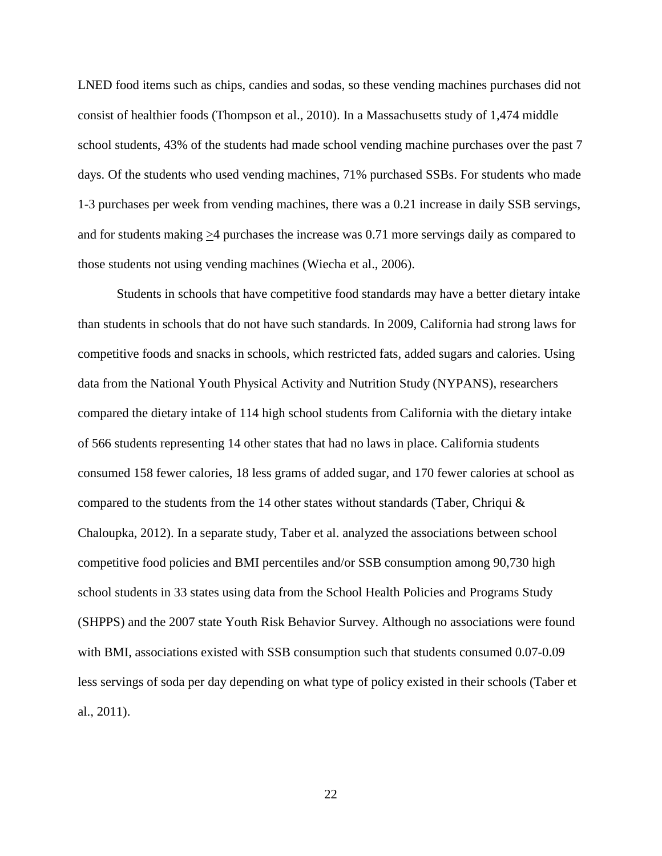LNED food items such as chips, candies and sodas, so these vending machines purchases did not consist of healthier foods (Thompson et al., 2010). In a Massachusetts study of 1,474 middle school students, 43% of the students had made school vending machine purchases over the past 7 days. Of the students who used vending machines, 71% purchased SSBs. For students who made 1-3 purchases per week from vending machines, there was a 0.21 increase in daily SSB servings, and for students making  $\geq$ 4 purchases the increase was 0.71 more servings daily as compared to those students not using vending machines (Wiecha et al., 2006).

Students in schools that have competitive food standards may have a better dietary intake than students in schools that do not have such standards. In 2009, California had strong laws for competitive foods and snacks in schools, which restricted fats, added sugars and calories. Using data from the National Youth Physical Activity and Nutrition Study (NYPANS), researchers compared the dietary intake of 114 high school students from California with the dietary intake of 566 students representing 14 other states that had no laws in place. California students consumed 158 fewer calories, 18 less grams of added sugar, and 170 fewer calories at school as compared to the students from the 14 other states without standards (Taber, Chriqui  $\&$ Chaloupka, 2012). In a separate study, Taber et al. analyzed the associations between school competitive food policies and BMI percentiles and/or SSB consumption among 90,730 high school students in 33 states using data from the School Health Policies and Programs Study (SHPPS) and the 2007 state Youth Risk Behavior Survey. Although no associations were found with BMI, associations existed with SSB consumption such that students consumed  $0.07$ -0.09 less servings of soda per day depending on what type of policy existed in their schools (Taber et al., 2011).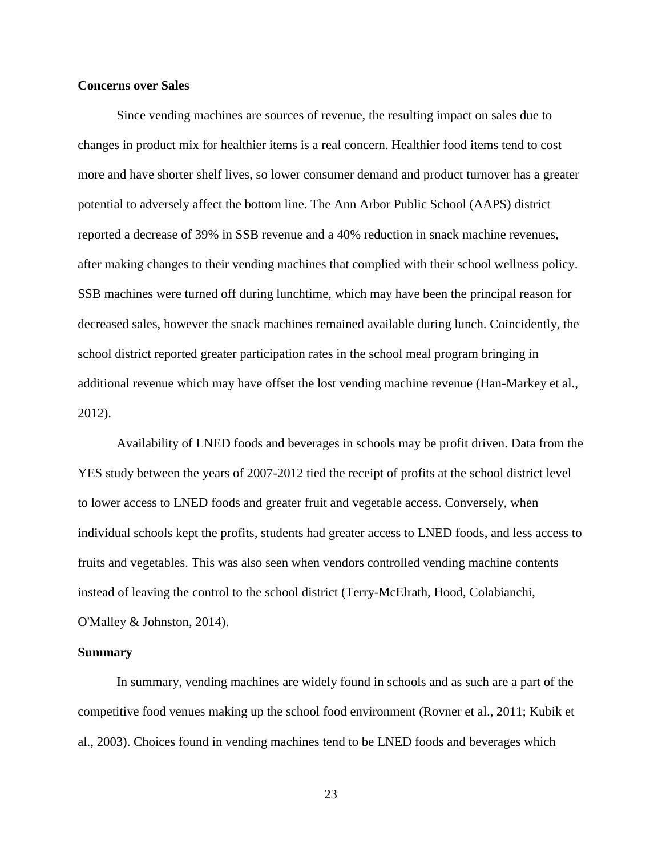#### **Concerns over Sales**

Since vending machines are sources of revenue, the resulting impact on sales due to changes in product mix for healthier items is a real concern. Healthier food items tend to cost more and have shorter shelf lives, so lower consumer demand and product turnover has a greater potential to adversely affect the bottom line. The Ann Arbor Public School (AAPS) district reported a decrease of 39% in SSB revenue and a 40% reduction in snack machine revenues, after making changes to their vending machines that complied with their school wellness policy. SSB machines were turned off during lunchtime, which may have been the principal reason for decreased sales, however the snack machines remained available during lunch. Coincidently, the school district reported greater participation rates in the school meal program bringing in additional revenue which may have offset the lost vending machine revenue (Han-Markey et al., 2012).

Availability of LNED foods and beverages in schools may be profit driven. Data from the YES study between the years of 2007-2012 tied the receipt of profits at the school district level to lower access to LNED foods and greater fruit and vegetable access. Conversely, when individual schools kept the profits, students had greater access to LNED foods, and less access to fruits and vegetables. This was also seen when vendors controlled vending machine contents instead of leaving the control to the school district (Terry-McElrath, Hood, Colabianchi, O'Malley & Johnston, 2014).

#### **Summary**

In summary, vending machines are widely found in schools and as such are a part of the competitive food venues making up the school food environment (Rovner et al., 2011; Kubik et al., 2003). Choices found in vending machines tend to be LNED foods and beverages which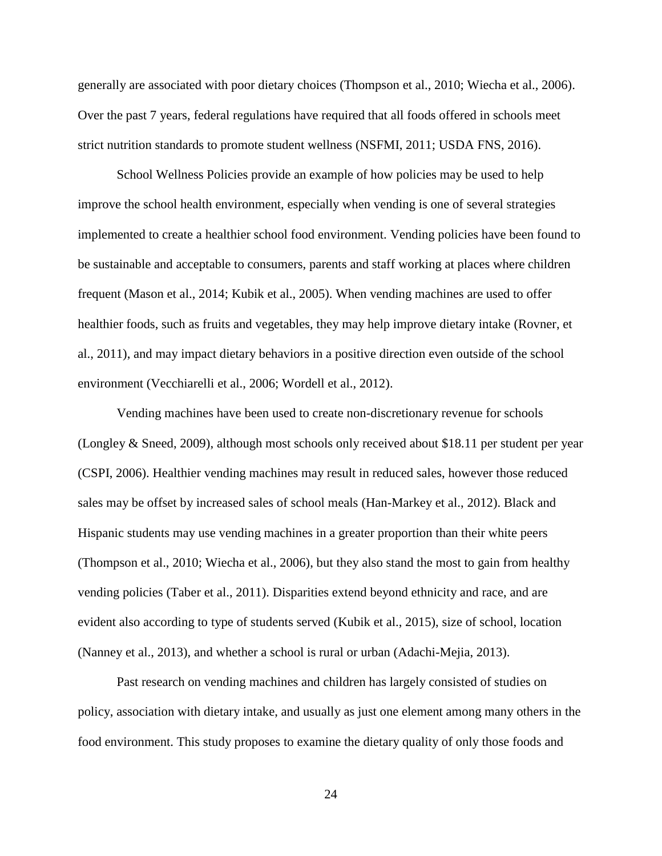generally are associated with poor dietary choices (Thompson et al., 2010; Wiecha et al., 2006). Over the past 7 years, federal regulations have required that all foods offered in schools meet strict nutrition standards to promote student wellness (NSFMI, 2011; USDA FNS, 2016).

School Wellness Policies provide an example of how policies may be used to help improve the school health environment, especially when vending is one of several strategies implemented to create a healthier school food environment. Vending policies have been found to be sustainable and acceptable to consumers, parents and staff working at places where children frequent (Mason et al., 2014; Kubik et al., 2005). When vending machines are used to offer healthier foods, such as fruits and vegetables, they may help improve dietary intake (Rovner, et al., 2011), and may impact dietary behaviors in a positive direction even outside of the school environment (Vecchiarelli et al., 2006; Wordell et al., 2012).

Vending machines have been used to create non-discretionary revenue for schools (Longley & Sneed, 2009), although most schools only received about \$18.11 per student per year (CSPI, 2006). Healthier vending machines may result in reduced sales, however those reduced sales may be offset by increased sales of school meals (Han-Markey et al., 2012). Black and Hispanic students may use vending machines in a greater proportion than their white peers (Thompson et al., 2010; Wiecha et al., 2006), but they also stand the most to gain from healthy vending policies (Taber et al., 2011). Disparities extend beyond ethnicity and race, and are evident also according to type of students served (Kubik et al., 2015), size of school, location (Nanney et al., 2013), and whether a school is rural or urban (Adachi-Mejia, 2013).

Past research on vending machines and children has largely consisted of studies on policy, association with dietary intake, and usually as just one element among many others in the food environment. This study proposes to examine the dietary quality of only those foods and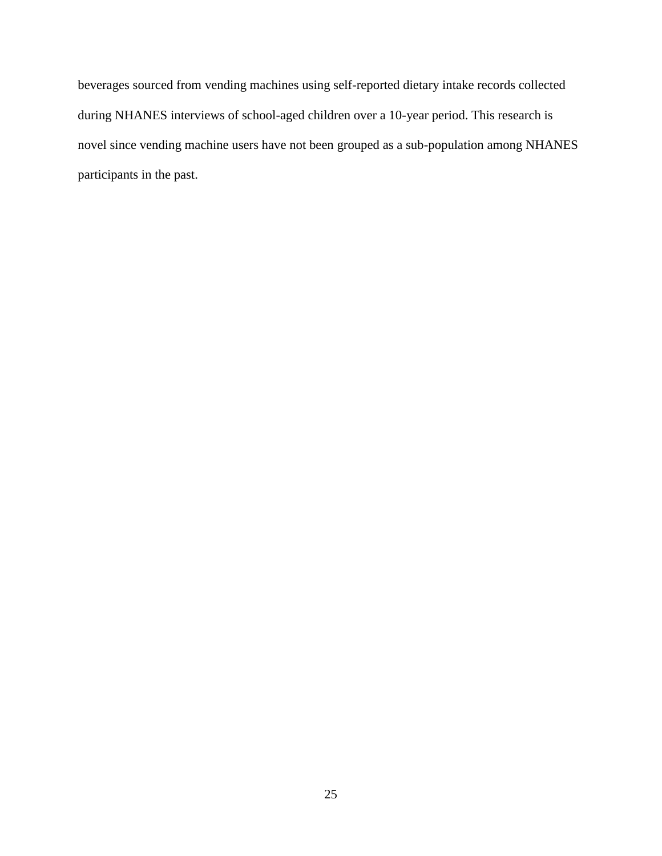beverages sourced from vending machines using self-reported dietary intake records collected during NHANES interviews of school-aged children over a 10-year period. This research is novel since vending machine users have not been grouped as a sub-population among NHANES participants in the past.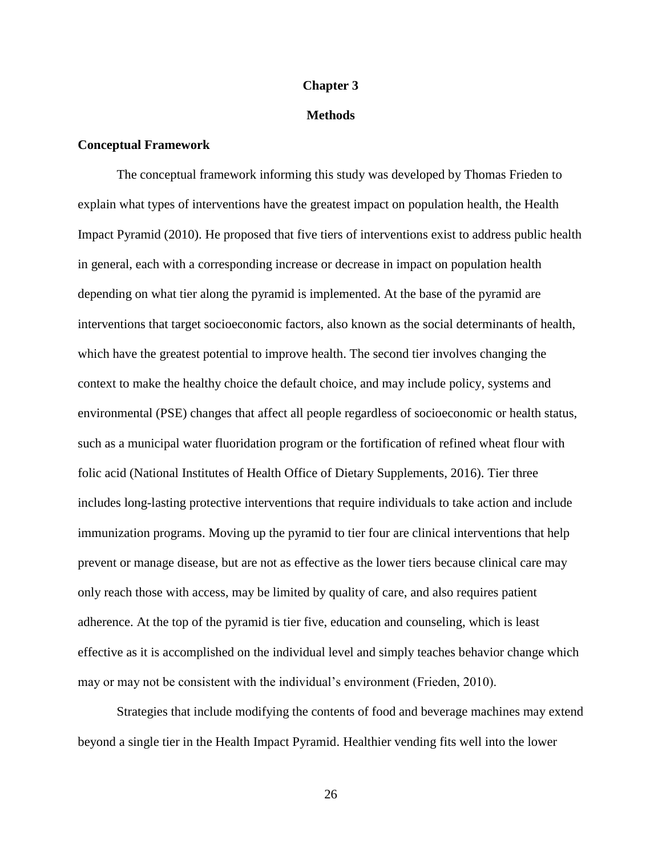### **Chapter 3**

### **Methods**

# **Conceptual Framework**

The conceptual framework informing this study was developed by Thomas Frieden to explain what types of interventions have the greatest impact on population health, the Health Impact Pyramid (2010). He proposed that five tiers of interventions exist to address public health in general, each with a corresponding increase or decrease in impact on population health depending on what tier along the pyramid is implemented. At the base of the pyramid are interventions that target socioeconomic factors, also known as the social determinants of health, which have the greatest potential to improve health. The second tier involves changing the context to make the healthy choice the default choice, and may include policy, systems and environmental (PSE) changes that affect all people regardless of socioeconomic or health status, such as a municipal water fluoridation program or the fortification of refined wheat flour with folic acid (National Institutes of Health Office of Dietary Supplements, 2016). Tier three includes long-lasting protective interventions that require individuals to take action and include immunization programs. Moving up the pyramid to tier four are clinical interventions that help prevent or manage disease, but are not as effective as the lower tiers because clinical care may only reach those with access, may be limited by quality of care, and also requires patient adherence. At the top of the pyramid is tier five, education and counseling, which is least effective as it is accomplished on the individual level and simply teaches behavior change which may or may not be consistent with the individual's environment (Frieden, 2010).

Strategies that include modifying the contents of food and beverage machines may extend beyond a single tier in the Health Impact Pyramid. Healthier vending fits well into the lower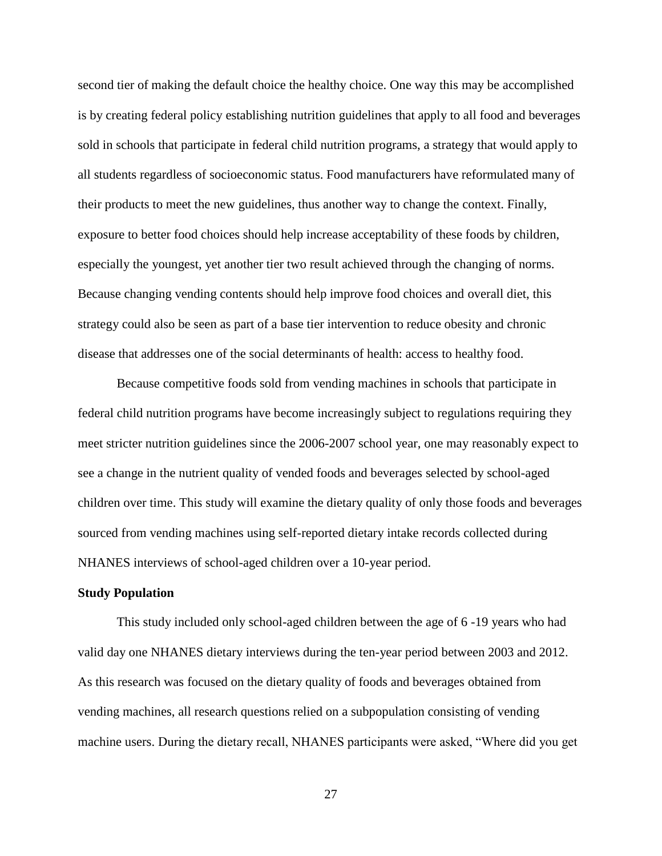second tier of making the default choice the healthy choice. One way this may be accomplished is by creating federal policy establishing nutrition guidelines that apply to all food and beverages sold in schools that participate in federal child nutrition programs, a strategy that would apply to all students regardless of socioeconomic status. Food manufacturers have reformulated many of their products to meet the new guidelines, thus another way to change the context. Finally, exposure to better food choices should help increase acceptability of these foods by children, especially the youngest, yet another tier two result achieved through the changing of norms. Because changing vending contents should help improve food choices and overall diet, this strategy could also be seen as part of a base tier intervention to reduce obesity and chronic disease that addresses one of the social determinants of health: access to healthy food.

Because competitive foods sold from vending machines in schools that participate in federal child nutrition programs have become increasingly subject to regulations requiring they meet stricter nutrition guidelines since the 2006-2007 school year, one may reasonably expect to see a change in the nutrient quality of vended foods and beverages selected by school-aged children over time. This study will examine the dietary quality of only those foods and beverages sourced from vending machines using self-reported dietary intake records collected during NHANES interviews of school-aged children over a 10-year period.

### **Study Population**

This study included only school-aged children between the age of 6 -19 years who had valid day one NHANES dietary interviews during the ten-year period between 2003 and 2012. As this research was focused on the dietary quality of foods and beverages obtained from vending machines, all research questions relied on a subpopulation consisting of vending machine users. During the dietary recall, NHANES participants were asked, "Where did you get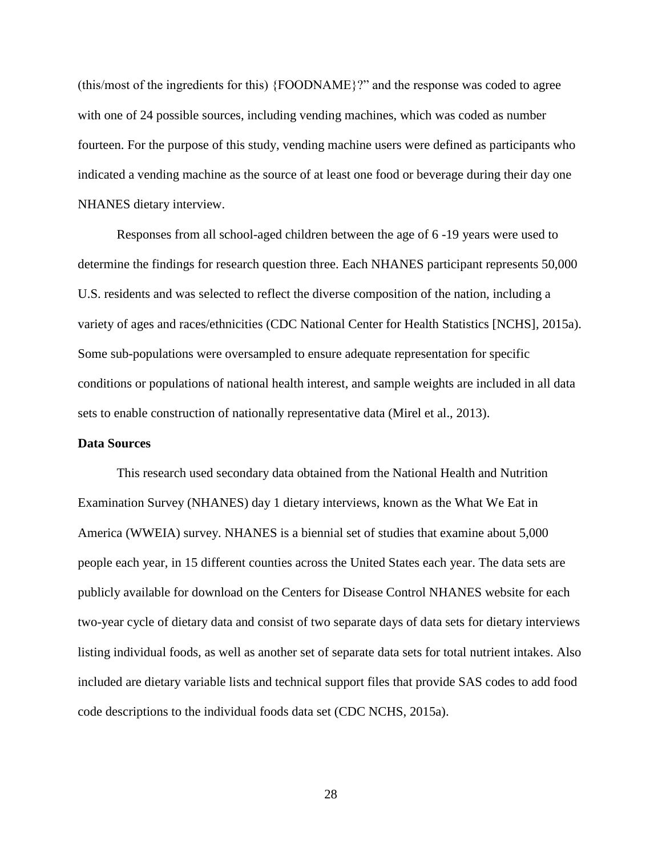(this/most of the ingredients for this) {FOODNAME}?" and the response was coded to agree with one of 24 possible sources, including vending machines, which was coded as number fourteen. For the purpose of this study, vending machine users were defined as participants who indicated a vending machine as the source of at least one food or beverage during their day one NHANES dietary interview.

Responses from all school-aged children between the age of 6 -19 years were used to determine the findings for research question three. Each NHANES participant represents 50,000 U.S. residents and was selected to reflect the diverse composition of the nation, including a variety of ages and races/ethnicities (CDC National Center for Health Statistics [NCHS], 2015a). Some sub-populations were oversampled to ensure adequate representation for specific conditions or populations of national health interest, and sample weights are included in all data sets to enable construction of nationally representative data (Mirel et al., 2013).

## **Data Sources**

This research used secondary data obtained from the National Health and Nutrition Examination Survey (NHANES) day 1 dietary interviews, known as the What We Eat in America (WWEIA) survey. NHANES is a biennial set of studies that examine about 5,000 people each year, in 15 different counties across the United States each year. The data sets are publicly available for download on the Centers for Disease Control NHANES website for each two-year cycle of dietary data and consist of two separate days of data sets for dietary interviews listing individual foods, as well as another set of separate data sets for total nutrient intakes. Also included are dietary variable lists and technical support files that provide SAS codes to add food code descriptions to the individual foods data set (CDC NCHS, 2015a).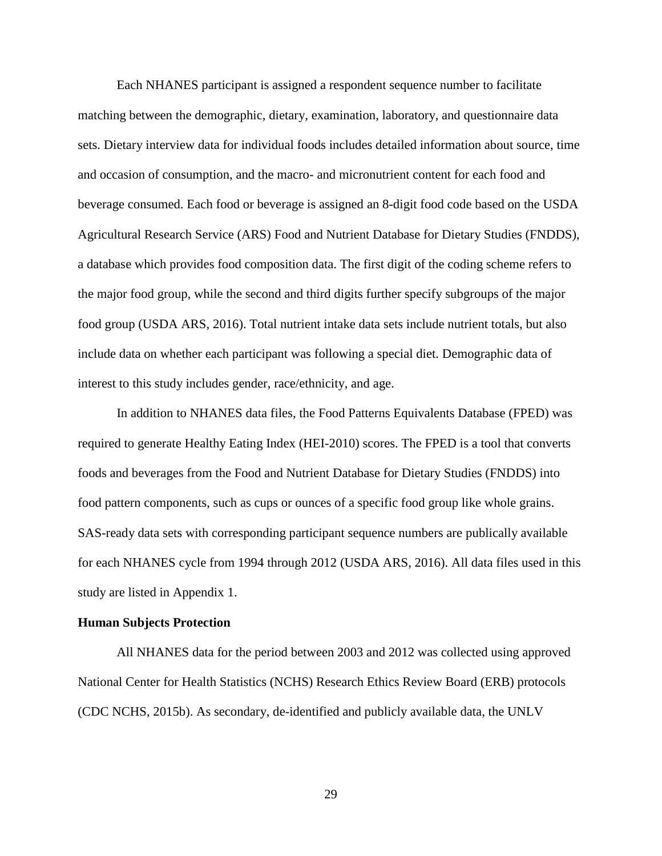Each NHANES participant is assigned a respondent sequence number to facilitate matching between the demographic, dietary, examination, laboratory, and questionnaire data sets. Dietary interview data for individual foods includes detailed information about source, time and occasion of consumption, and the macro- and micronutrient content for each food and beverage consumed. Each food or beverage is assigned an 8-digit food code based on the USDA Agricultural Research Service (ARS) Food and Nutrient Database for Dietary Studies (FNDDS), a database which provides food composition data. The first digit of the coding scheme refers to the major food group, while the second and third digits further specify subgroups of the major food group (USDA ARS, 2016). Total nutrient intake data sets include nutrient totals, but also include data on whether each participant was following a special diet. Demographic data of interest to this study includes gender, race/ethnicity, and age.

In addition to NHANES data files, the Food Patterns Equivalents Database (FPED) was required to generate Healthy Eating Index (HEI-2010) scores. The FPED is a tool that converts foods and beverages from the Food and Nutrient Database for Dietary Studies (FNDDS) into food pattern components, such as cups or ounces of a specific food group like whole grains. SAS-ready data sets with corresponding participant sequence numbers are publically available for each NHANES cycle from 1994 through 2012 (USDA ARS, 2016). All data files used in this study are listed in Appendix 1.

#### **Human Subjects Protection**

All NHANES data for the period between 2003 and 2012 was collected using approved National Center for Health Statistics (NCHS) Research Ethics Review Board (ERB) protocols (CDC NCHS, 2015b). As secondary, de-identified and publicly available data, the UNLV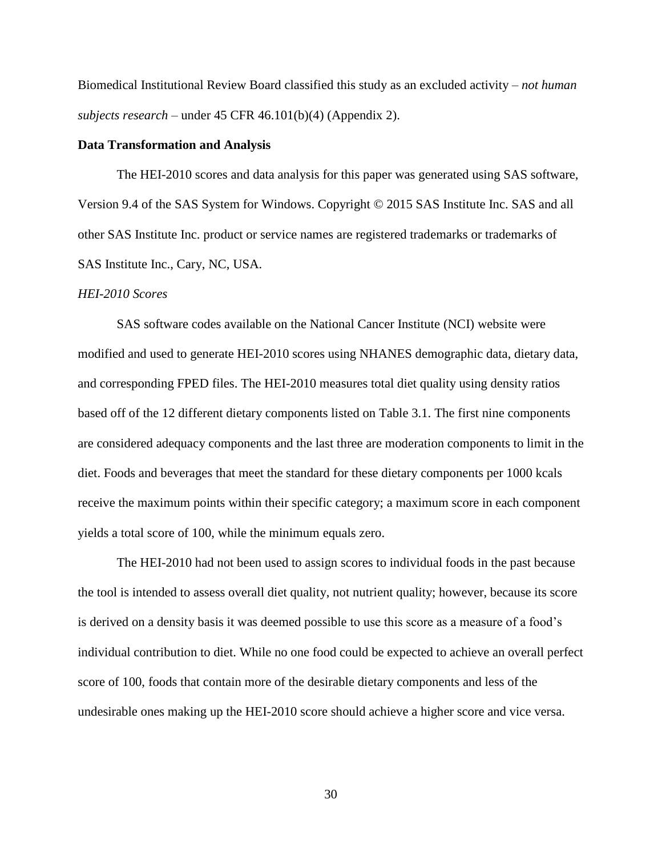Biomedical Institutional Review Board classified this study as an excluded activity – *not human subjects research* – under 45 CFR 46.101(b)(4) (Appendix 2).

## **Data Transformation and Analysis**

The HEI-2010 scores and data analysis for this paper was generated using SAS software, Version 9.4 of the SAS System for Windows. Copyright © 2015 SAS Institute Inc. SAS and all other SAS Institute Inc. product or service names are registered trademarks or trademarks of SAS Institute Inc., Cary, NC, USA.

## *HEI-2010 Scores*

SAS software codes available on the National Cancer Institute (NCI) website were modified and used to generate HEI-2010 scores using NHANES demographic data, dietary data, and corresponding FPED files. The HEI-2010 measures total diet quality using density ratios based off of the 12 different dietary components listed on Table 3.1. The first nine components are considered adequacy components and the last three are moderation components to limit in the diet. Foods and beverages that meet the standard for these dietary components per 1000 kcals receive the maximum points within their specific category; a maximum score in each component yields a total score of 100, while the minimum equals zero.

The HEI-2010 had not been used to assign scores to individual foods in the past because the tool is intended to assess overall diet quality, not nutrient quality; however, because its score is derived on a density basis it was deemed possible to use this score as a measure of a food's individual contribution to diet. While no one food could be expected to achieve an overall perfect score of 100, foods that contain more of the desirable dietary components and less of the undesirable ones making up the HEI-2010 score should achieve a higher score and vice versa.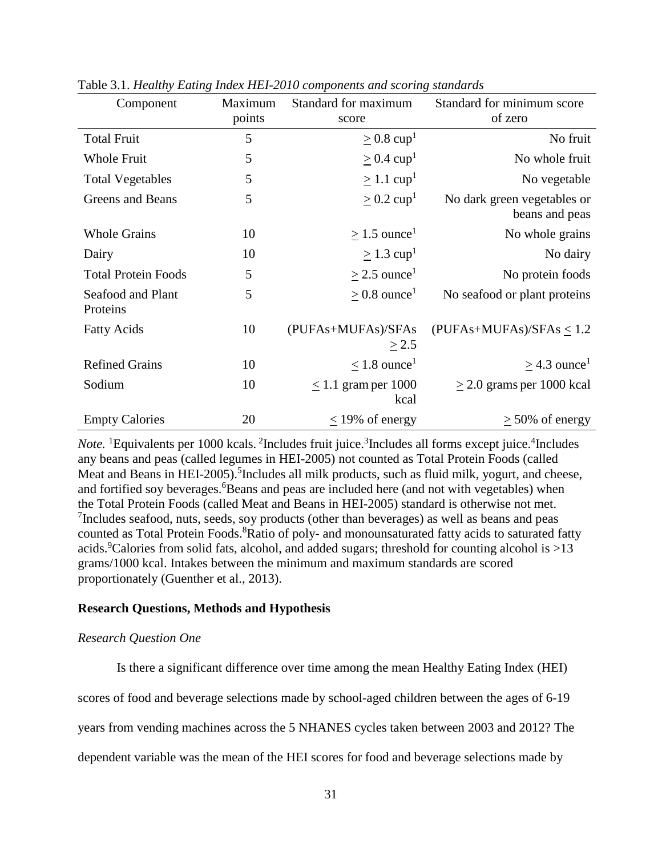| Component                     | Maximum | Standard for maximum          | Standard for minimum score                    |
|-------------------------------|---------|-------------------------------|-----------------------------------------------|
|                               | points  | score                         | of zero                                       |
| <b>Total Fruit</b>            | 5       | $\geq 0.8$ cup <sup>1</sup>   | No fruit                                      |
| <b>Whole Fruit</b>            | 5       | $\geq$ 0.4 cup <sup>1</sup>   | No whole fruit                                |
| <b>Total Vegetables</b>       | 5       | $> 1.1$ cup <sup>1</sup>      | No vegetable                                  |
| Greens and Beans              | 5       | $\geq 0.2$ cup <sup>1</sup>   | No dark green vegetables or<br>beans and peas |
| <b>Whole Grains</b>           | 10      | $> 1.5$ ounce <sup>1</sup>    | No whole grains                               |
| Dairy                         | 10      | $\geq$ 1.3 cup <sup>1</sup>   | No dairy                                      |
| <b>Total Protein Foods</b>    | 5       | $>$ 2.5 ounce <sup>1</sup>    | No protein foods                              |
| Seafood and Plant<br>Proteins | 5       | $> 0.8$ ounce <sup>1</sup>    | No seafood or plant proteins                  |
| <b>Fatty Acids</b>            | 10      | (PUFAs+MUFAs)/SFAs<br>> 2.5   | $(PUFAs+MUFAs)/SFAs < 1.2$                    |
| <b>Refined Grains</b>         | 10      | $< 1.8$ ounce <sup>1</sup>    | $>$ 4.3 ounce <sup>1</sup>                    |
| Sodium                        | 10      | $< 1.1$ gram per 1000<br>kcal | $>$ 2.0 grams per 1000 kcal                   |
| <b>Empty Calories</b>         | 20      | $\leq$ 19% of energy          | $\geq$ 50% of energy                          |

Table 3.1. *Healthy Eating Index HEI-2010 components and scoring standards* 

Note. <sup>1</sup>Equivalents per 1000 kcals. <sup>2</sup>Includes fruit juice. <sup>3</sup>Includes all forms except juice. <sup>4</sup>Includes any beans and peas (called legumes in HEI-2005) not counted as Total Protein Foods (called Meat and Beans in HEI-2005).<sup>5</sup>Includes all milk products, such as fluid milk, yogurt, and cheese, and fortified soy beverages.<sup>6</sup>Beans and peas are included here (and not with vegetables) when the Total Protein Foods (called Meat and Beans in HEI-2005) standard is otherwise not met. <sup>7</sup>Includes seafood, nuts, seeds, soy products (other than beverages) as well as beans and peas counted as Total Protein Foods.<sup>8</sup>Ratio of poly- and monounsaturated fatty acids to saturated fatty acids.<sup>9</sup>Calories from solid fats, alcohol, and added sugars; threshold for counting alcohol is  $>13$ grams/1000 kcal. Intakes between the minimum and maximum standards are scored proportionately (Guenther et al., 2013).

# **Research Questions, Methods and Hypothesis**

## *Research Question One*

Is there a significant difference over time among the mean Healthy Eating Index (HEI)

scores of food and beverage selections made by school-aged children between the ages of 6-19

years from vending machines across the 5 NHANES cycles taken between 2003 and 2012? The

dependent variable was the mean of the HEI scores for food and beverage selections made by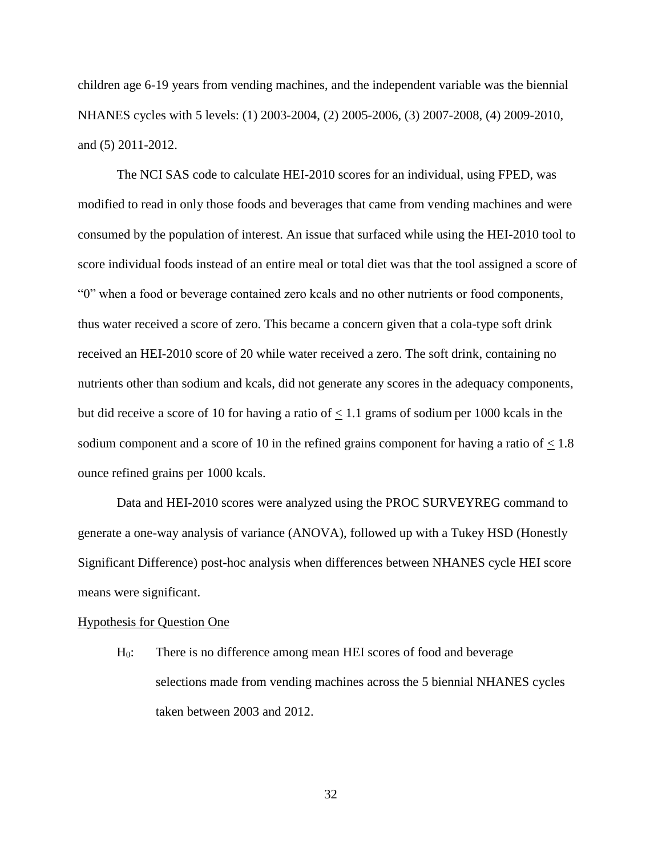children age 6-19 years from vending machines, and the independent variable was the biennial NHANES cycles with 5 levels: (1) 2003-2004, (2) 2005-2006, (3) 2007-2008, (4) 2009-2010, and (5) 2011-2012.

The NCI SAS code to calculate HEI-2010 scores for an individual, using FPED, was modified to read in only those foods and beverages that came from vending machines and were consumed by the population of interest. An issue that surfaced while using the HEI-2010 tool to score individual foods instead of an entire meal or total diet was that the tool assigned a score of "0" when a food or beverage contained zero kcals and no other nutrients or food components, thus water received a score of zero. This became a concern given that a cola-type soft drink received an HEI-2010 score of 20 while water received a zero. The soft drink, containing no nutrients other than sodium and kcals, did not generate any scores in the adequacy components, but did receive a score of 10 for having a ratio of  $\leq$  1.1 grams of sodium per 1000 kcals in the sodium component and a score of 10 in the refined grains component for having a ratio of  $\leq 1.8$ ounce refined grains per 1000 kcals.

Data and HEI-2010 scores were analyzed using the PROC SURVEYREG command to generate a one-way analysis of variance (ANOVA), followed up with a Tukey HSD (Honestly Significant Difference) post-hoc analysis when differences between NHANES cycle HEI score means were significant.

### Hypothesis for Question One

H0: There is no difference among mean HEI scores of food and beverage selections made from vending machines across the 5 biennial NHANES cycles taken between 2003 and 2012.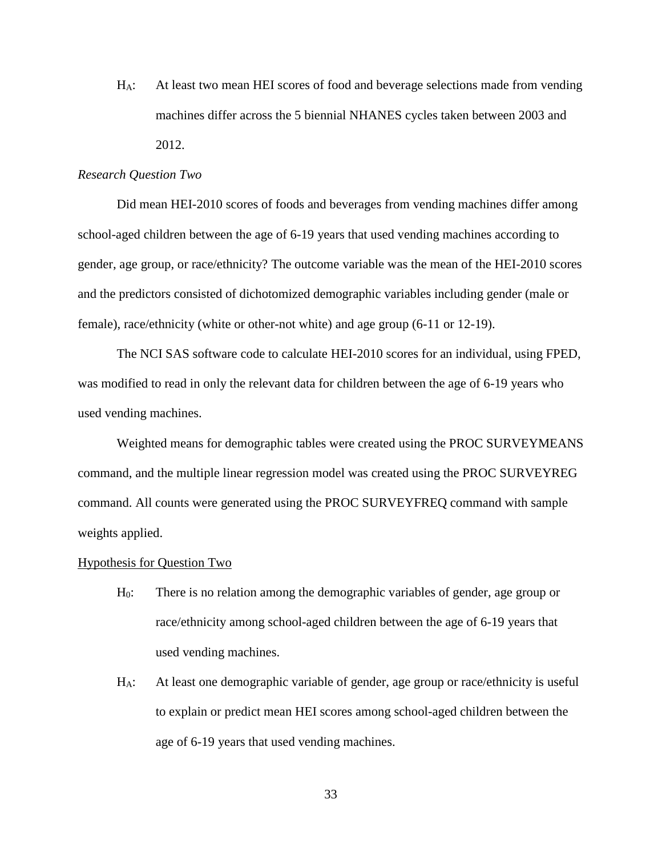HA: At least two mean HEI scores of food and beverage selections made from vending machines differ across the 5 biennial NHANES cycles taken between 2003 and 2012.

### *Research Question Two*

Did mean HEI-2010 scores of foods and beverages from vending machines differ among school-aged children between the age of 6-19 years that used vending machines according to gender, age group, or race/ethnicity? The outcome variable was the mean of the HEI-2010 scores and the predictors consisted of dichotomized demographic variables including gender (male or female), race/ethnicity (white or other-not white) and age group (6-11 or 12-19).

The NCI SAS software code to calculate HEI-2010 scores for an individual, using FPED, was modified to read in only the relevant data for children between the age of 6-19 years who used vending machines.

Weighted means for demographic tables were created using the PROC SURVEYMEANS command, and the multiple linear regression model was created using the PROC SURVEYREG command. All counts were generated using the PROC SURVEYFREQ command with sample weights applied.

### Hypothesis for Question Two

- H0: There is no relation among the demographic variables of gender, age group or race/ethnicity among school-aged children between the age of 6-19 years that used vending machines.
- HA: At least one demographic variable of gender, age group or race/ethnicity is useful to explain or predict mean HEI scores among school-aged children between the age of 6-19 years that used vending machines.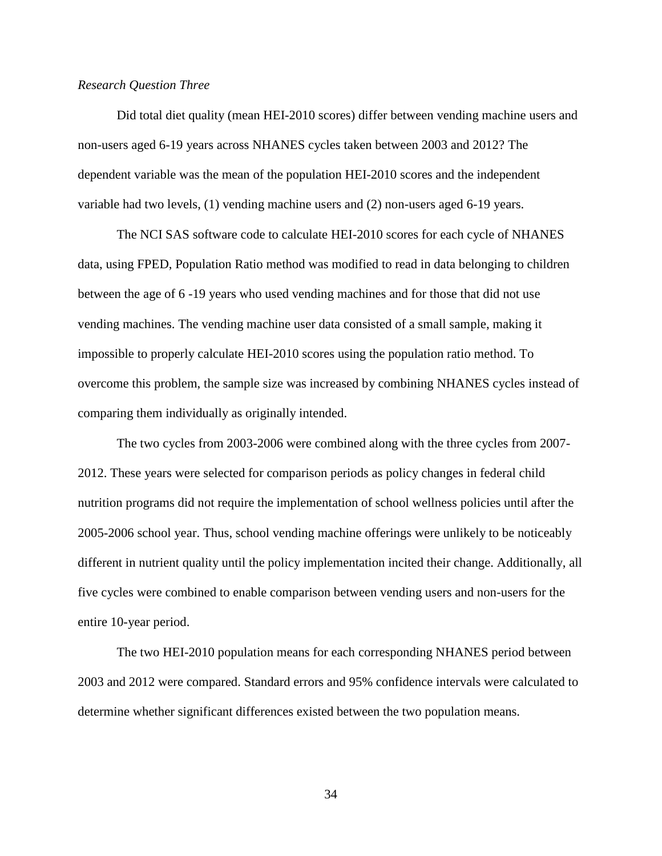### *Research Question Three*

Did total diet quality (mean HEI-2010 scores) differ between vending machine users and non-users aged 6-19 years across NHANES cycles taken between 2003 and 2012? The dependent variable was the mean of the population HEI-2010 scores and the independent variable had two levels, (1) vending machine users and (2) non-users aged 6-19 years.

The NCI SAS software code to calculate HEI-2010 scores for each cycle of NHANES data, using FPED, Population Ratio method was modified to read in data belonging to children between the age of 6 -19 years who used vending machines and for those that did not use vending machines. The vending machine user data consisted of a small sample, making it impossible to properly calculate HEI-2010 scores using the population ratio method. To overcome this problem, the sample size was increased by combining NHANES cycles instead of comparing them individually as originally intended.

The two cycles from 2003-2006 were combined along with the three cycles from 2007- 2012. These years were selected for comparison periods as policy changes in federal child nutrition programs did not require the implementation of school wellness policies until after the 2005-2006 school year. Thus, school vending machine offerings were unlikely to be noticeably different in nutrient quality until the policy implementation incited their change. Additionally, all five cycles were combined to enable comparison between vending users and non-users for the entire 10-year period.

The two HEI-2010 population means for each corresponding NHANES period between 2003 and 2012 were compared. Standard errors and 95% confidence intervals were calculated to determine whether significant differences existed between the two population means.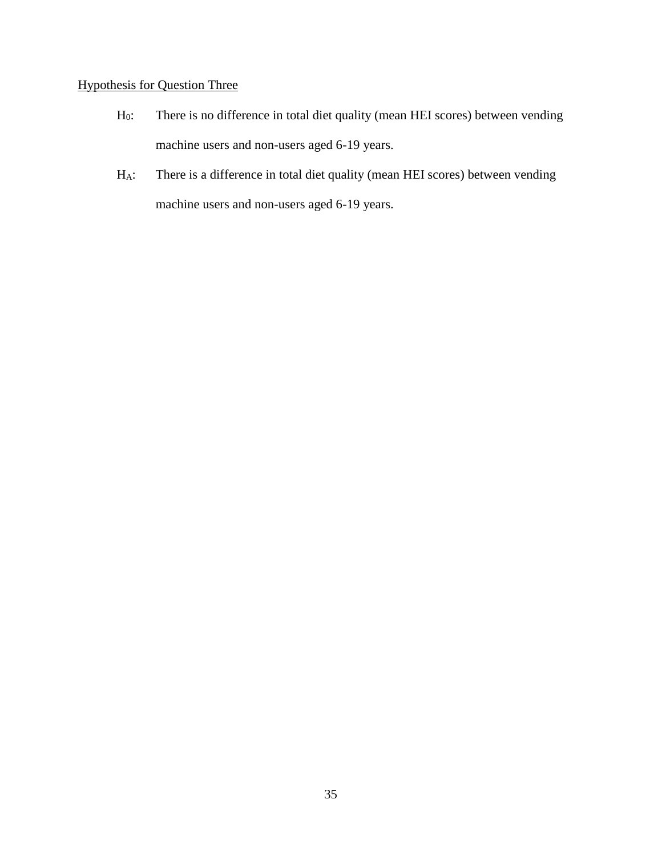# Hypothesis for Question Three

- H0: There is no difference in total diet quality (mean HEI scores) between vending machine users and non-users aged 6-19 years.
- HA: There is a difference in total diet quality (mean HEI scores) between vending machine users and non-users aged 6-19 years.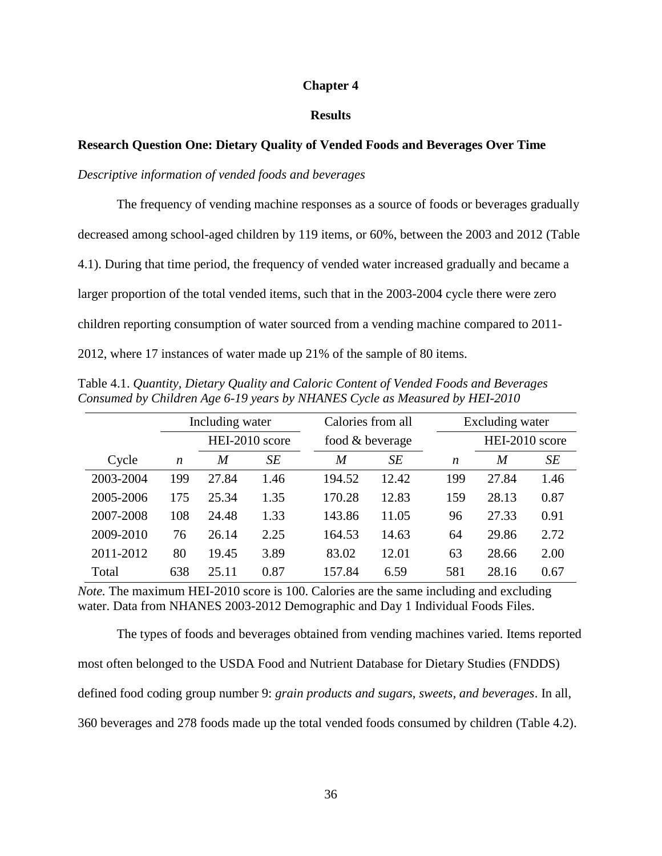## **Chapter 4**

# **Results**

# **Research Question One: Dietary Quality of Vended Foods and Beverages Over Time**

## *Descriptive information of vended foods and beverages*

The frequency of vending machine responses as a source of foods or beverages gradually decreased among school-aged children by 119 items, or 60%, between the 2003 and 2012 (Table 4.1). During that time period, the frequency of vended water increased gradually and became a larger proportion of the total vended items, such that in the 2003-2004 cycle there were zero children reporting consumption of water sourced from a vending machine compared to 2011- 2012, where 17 instances of water made up 21% of the sample of 80 items.

|           |                  | Including water  |                |                 | Calories from all |                  | Excluding water |      |  |
|-----------|------------------|------------------|----------------|-----------------|-------------------|------------------|-----------------|------|--|
|           |                  |                  | HEI-2010 score | food & beverage |                   |                  | HEI-2010 score  |      |  |
| Cycle     | $\boldsymbol{n}$ | $\boldsymbol{M}$ | SE             | M               | SE                | $\boldsymbol{n}$ | $\overline{M}$  | SE   |  |
| 2003-2004 | 199              | 27.84            | 1.46           | 194.52          | 12.42             | 199              | 27.84           | 1.46 |  |
| 2005-2006 | 175              | 25.34            | 1.35           | 170.28          | 12.83             | 159              | 28.13           | 0.87 |  |
| 2007-2008 | 108              | 24.48            | 1.33           | 143.86          | 11.05             | 96               | 27.33           | 0.91 |  |
| 2009-2010 | 76               | 26.14            | 2.25           | 164.53          | 14.63             | 64               | 29.86           | 2.72 |  |
| 2011-2012 | 80               | 19.45            | 3.89           | 83.02           | 12.01             | 63               | 28.66           | 2.00 |  |
| Total     | 638              | 25.11            | 0.87           | 157.84          | 6.59              | 581              | 28.16           | 0.67 |  |

Table 4.1. *Quantity, Dietary Quality and Caloric Content of Vended Foods and Beverages Consumed by Children Age 6-19 years by NHANES Cycle as Measured by HEI-2010* 

*Note.* The maximum HEI-2010 score is 100. Calories are the same including and excluding water. Data from NHANES 2003-2012 Demographic and Day 1 Individual Foods Files.

The types of foods and beverages obtained from vending machines varied. Items reported most often belonged to the USDA Food and Nutrient Database for Dietary Studies (FNDDS) defined food coding group number 9: *grain products and sugars, sweets, and beverages*. In all, 360 beverages and 278 foods made up the total vended foods consumed by children (Table 4.2).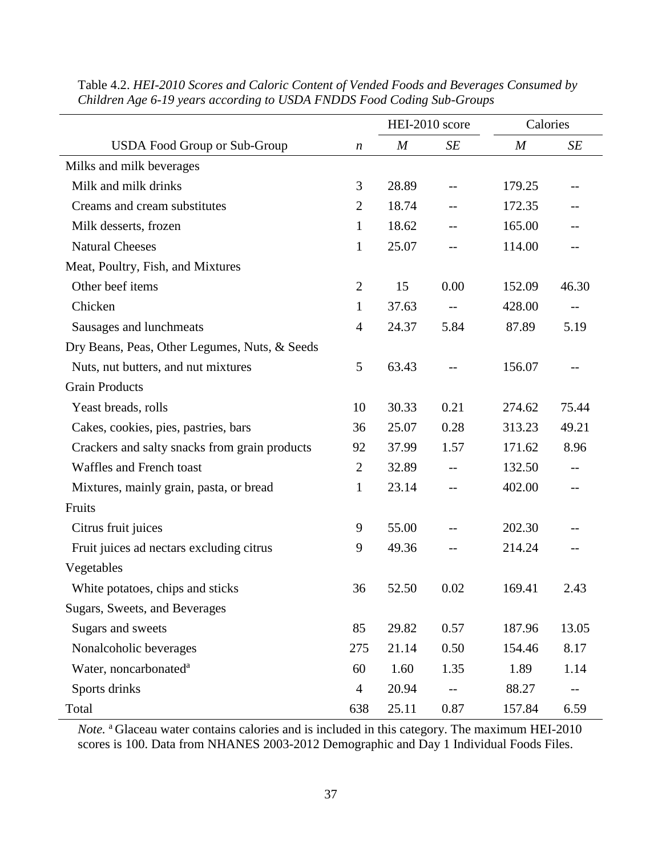|                                               |                  |                  | HEI-2010 score | Calories         |       |
|-----------------------------------------------|------------------|------------------|----------------|------------------|-------|
| <b>USDA Food Group or Sub-Group</b>           | $\boldsymbol{n}$ | $\boldsymbol{M}$ | SE             | $\boldsymbol{M}$ | SE    |
| Milks and milk beverages                      |                  |                  |                |                  |       |
| Milk and milk drinks                          | 3                | 28.89            |                | 179.25           |       |
| Creams and cream substitutes                  | $\overline{2}$   | 18.74            | --             | 172.35           |       |
| Milk desserts, frozen                         | $\mathbf{1}$     | 18.62            |                | 165.00           |       |
| <b>Natural Cheeses</b>                        | $\mathbf{1}$     | 25.07            | --             | 114.00           |       |
| Meat, Poultry, Fish, and Mixtures             |                  |                  |                |                  |       |
| Other beef items                              | $\overline{2}$   | 15               | 0.00           | 152.09           | 46.30 |
| Chicken                                       | $\mathbf{1}$     | 37.63            | $-\,-$         | 428.00           | $-$   |
| Sausages and lunchmeats                       | $\overline{4}$   | 24.37            | 5.84           | 87.89            | 5.19  |
| Dry Beans, Peas, Other Legumes, Nuts, & Seeds |                  |                  |                |                  |       |
| Nuts, nut butters, and nut mixtures           | 5                | 63.43            |                | 156.07           |       |
| <b>Grain Products</b>                         |                  |                  |                |                  |       |
| Yeast breads, rolls                           | 10               | 30.33            | 0.21           | 274.62           | 75.44 |
| Cakes, cookies, pies, pastries, bars          | 36               | 25.07            | 0.28           | 313.23           | 49.21 |
| Crackers and salty snacks from grain products | 92               | 37.99            | 1.57           | 171.62           | 8.96  |
| Waffles and French toast                      | $\overline{2}$   | 32.89            |                | 132.50           |       |
| Mixtures, mainly grain, pasta, or bread       | $\mathbf{1}$     | 23.14            | $-$            | 402.00           | $-$   |
| Fruits                                        |                  |                  |                |                  |       |
| Citrus fruit juices                           | 9                | 55.00            |                | 202.30           |       |
| Fruit juices ad nectars excluding citrus      | 9                | 49.36            | $-$            | 214.24           |       |
| Vegetables                                    |                  |                  |                |                  |       |
| White potatoes, chips and sticks              | 36               | 52.50            | 0.02           | 169.41           | 2.43  |
| Sugars, Sweets, and Beverages                 |                  |                  |                |                  |       |
| Sugars and sweets                             | 85               | 29.82            | 0.57           | 187.96           | 13.05 |
| Nonalcoholic beverages                        | 275              | 21.14            | 0.50           | 154.46           | 8.17  |
| Water, noncarbonated <sup>a</sup>             | 60               | 1.60             | 1.35           | 1.89             | 1.14  |
| Sports drinks                                 | $\overline{4}$   | 20.94            |                | 88.27            | $--$  |
| Total                                         | 638              | 25.11            | 0.87           | 157.84           | 6.59  |

Table 4.2. *HEI-2010 Scores and Caloric Content of Vended Foods and Beverages Consumed by Children Age 6-19 years according to USDA FNDDS Food Coding Sub-Groups* 

*Note.* <sup>a</sup> Glaceau water contains calories and is included in this category. The maximum HEI-2010 scores is 100. Data from NHANES 2003-2012 Demographic and Day 1 Individual Foods Files.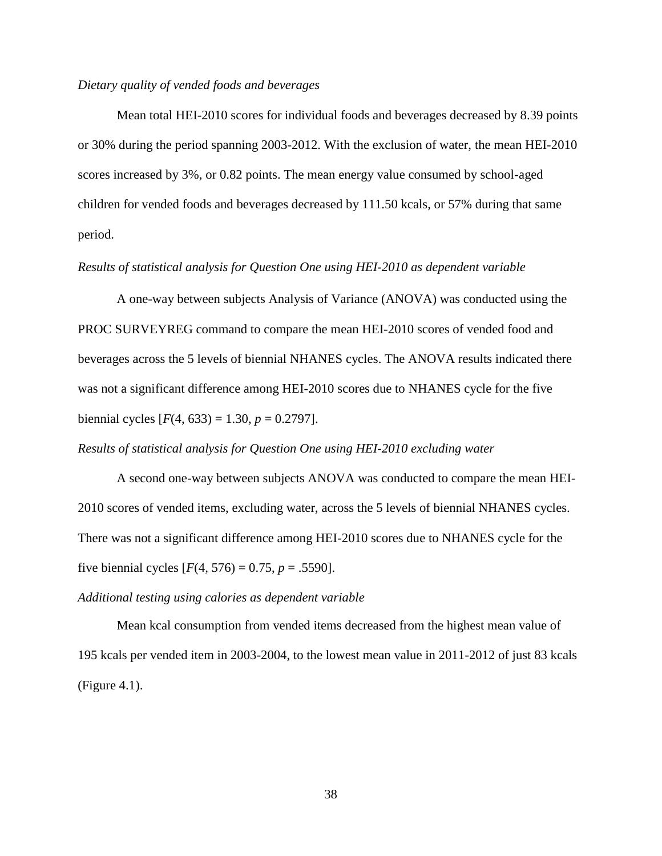# *Dietary quality of vended foods and beverages*

Mean total HEI-2010 scores for individual foods and beverages decreased by 8.39 points or 30% during the period spanning 2003-2012. With the exclusion of water, the mean HEI-2010 scores increased by 3%, or 0.82 points. The mean energy value consumed by school-aged children for vended foods and beverages decreased by 111.50 kcals, or 57% during that same period.

## *Results of statistical analysis for Question One using HEI-2010 as dependent variable*

A one-way between subjects Analysis of Variance (ANOVA) was conducted using the PROC SURVEYREG command to compare the mean HEI-2010 scores of vended food and beverages across the 5 levels of biennial NHANES cycles. The ANOVA results indicated there was not a significant difference among HEI-2010 scores due to NHANES cycle for the five biennial cycles  $[F(4, 633) = 1.30, p = 0.2797]$ .

### *Results of statistical analysis for Question One using HEI-2010 excluding water*

A second one-way between subjects ANOVA was conducted to compare the mean HEI-2010 scores of vended items, excluding water, across the 5 levels of biennial NHANES cycles. There was not a significant difference among HEI-2010 scores due to NHANES cycle for the five biennial cycles  $[F(4, 576) = 0.75, p = .5590]$ .

## *Additional testing using calories as dependent variable*

Mean kcal consumption from vended items decreased from the highest mean value of 195 kcals per vended item in 2003-2004, to the lowest mean value in 2011-2012 of just 83 kcals (Figure 4.1).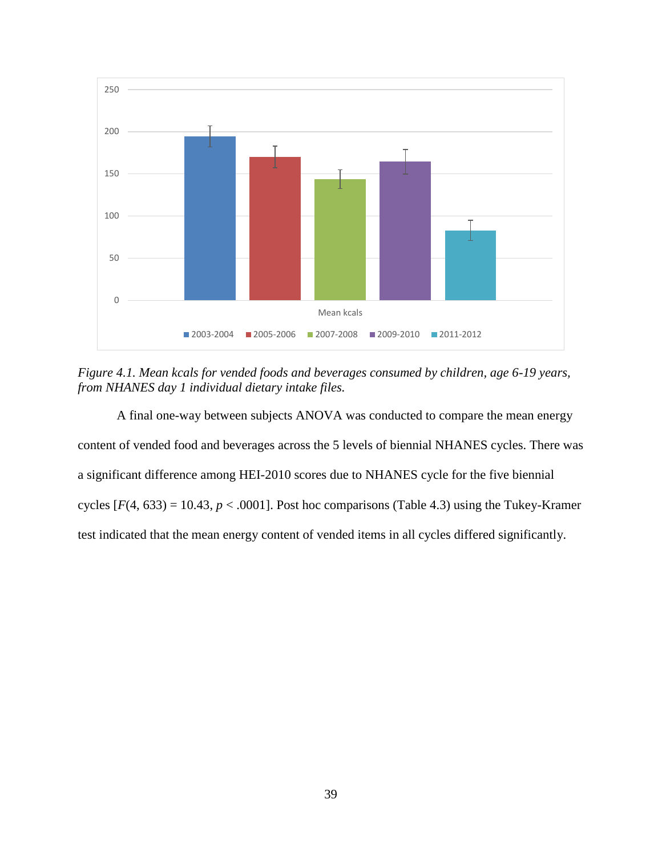

*Figure 4.1. Mean kcals for vended foods and beverages consumed by children, age 6-19 years, from NHANES day 1 individual dietary intake files.*

A final one-way between subjects ANOVA was conducted to compare the mean energy content of vended food and beverages across the 5 levels of biennial NHANES cycles. There was a significant difference among HEI-2010 scores due to NHANES cycle for the five biennial cycles  $[F(4, 633) = 10.43, p < .0001]$ . Post hoc comparisons (Table 4.3) using the Tukey-Kramer test indicated that the mean energy content of vended items in all cycles differed significantly.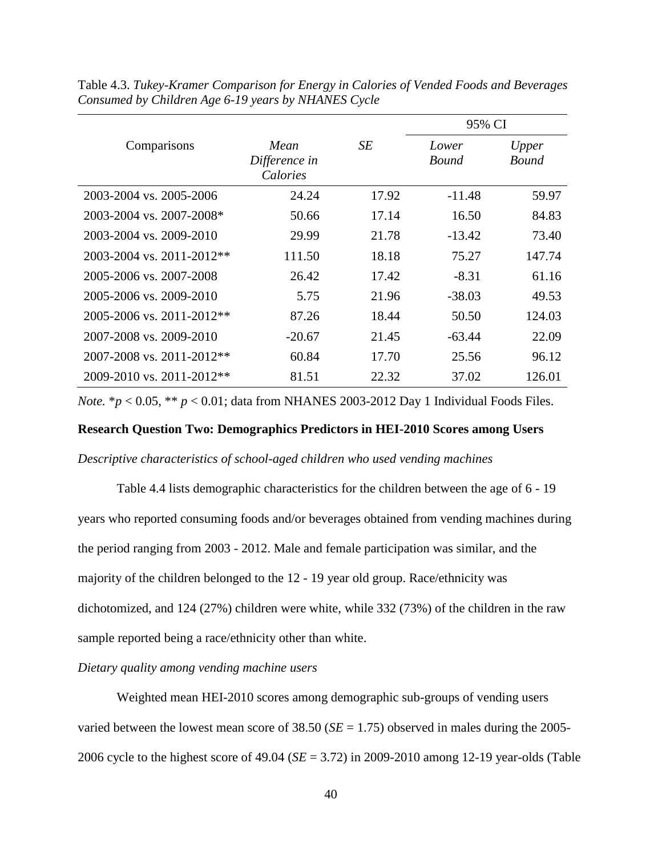|                                   |                                   |       | 95% CI         |                       |
|-----------------------------------|-----------------------------------|-------|----------------|-----------------------|
| Comparisons                       | Mean<br>Difference in<br>Calories | SE    | Lower<br>Bound | Upper<br><b>Bound</b> |
| 2003-2004 vs. 2005-2006           | 24.24                             | 17.92 | $-11.48$       | 59.97                 |
| 2003-2004 vs. 2007-2008*          | 50.66                             | 17.14 | 16.50          | 84.83                 |
| 2003-2004 vs. 2009-2010           | 29.99                             | 21.78 | $-13.42$       | 73.40                 |
| $2003 - 2004$ vs. $2011 - 2012**$ | 111.50                            | 18.18 | 75.27          | 147.74                |
| 2005-2006 vs. 2007-2008           | 26.42                             | 17.42 | $-8.31$        | 61.16                 |
| 2005-2006 vs. 2009-2010           | 5.75                              | 21.96 | $-38.03$       | 49.53                 |
| $2005 - 2006$ vs. $2011 - 2012**$ | 87.26                             | 18.44 | 50.50          | 124.03                |
| 2007-2008 vs. 2009-2010           | $-20.67$                          | 21.45 | $-63.44$       | 22.09                 |
| $2007 - 2008$ vs. $2011 - 2012**$ | 60.84                             | 17.70 | 25.56          | 96.12                 |
| 2009-2010 vs. 2011-2012**         | 81.51                             | 22.32 | 37.02          | 126.01                |

Table 4.3. *Tukey-Kramer Comparison for Energy in Calories of Vended Foods and Beverages Consumed by Children Age 6-19 years by NHANES Cycle*

*Note.*  $* p < 0.05$ ,  $* p < 0.01$ ; data from NHANES 2003-2012 Day 1 Individual Foods Files.

# **Research Question Two: Demographics Predictors in HEI-2010 Scores among Users**

*Descriptive characteristics of school-aged children who used vending machines*

Table 4.4 lists demographic characteristics for the children between the age of 6 - 19 years who reported consuming foods and/or beverages obtained from vending machines during the period ranging from 2003 - 2012. Male and female participation was similar, and the majority of the children belonged to the 12 - 19 year old group. Race/ethnicity was dichotomized, and 124 (27%) children were white, while 332 (73%) of the children in the raw sample reported being a race/ethnicity other than white.

# *Dietary quality among vending machine users*

Weighted mean HEI-2010 scores among demographic sub-groups of vending users varied between the lowest mean score of  $38.50$  (*SE* = 1.75) observed in males during the 2005-2006 cycle to the highest score of 49.04 (*SE* = 3.72) in 2009-2010 among 12-19 year-olds (Table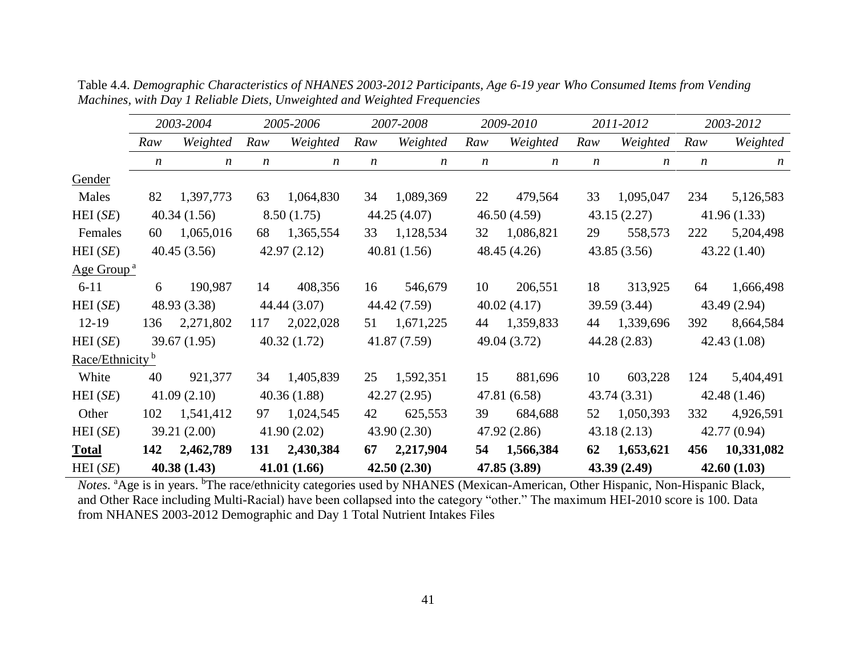|                             |                  | 2003-2004        |                  | 2005-2006        |     | 2007-2008        |                  | 2009-2010        |                  | 2011-2012        |                  | 2003-2012        |
|-----------------------------|------------------|------------------|------------------|------------------|-----|------------------|------------------|------------------|------------------|------------------|------------------|------------------|
|                             | Raw              | Weighted         | Raw              | Weighted         | Raw | Weighted         | Raw              | Weighted         | Raw              | Weighted         | Raw              | Weighted         |
|                             | $\boldsymbol{n}$ | $\boldsymbol{n}$ | $\boldsymbol{n}$ | $\boldsymbol{n}$ | n   | $\boldsymbol{n}$ | $\boldsymbol{n}$ | $\boldsymbol{n}$ | $\boldsymbol{n}$ | $\boldsymbol{n}$ | $\boldsymbol{n}$ | $\boldsymbol{n}$ |
| Gender                      |                  |                  |                  |                  |     |                  |                  |                  |                  |                  |                  |                  |
| Males                       | 82               | 1,397,773        | 63               | 1,064,830        | 34  | 1,089,369        | 22               | 479,564          | 33               | 1,095,047        | 234              | 5,126,583        |
| HEI(SE)                     |                  | 40.34(1.56)      |                  | 8.50(1.75)       |     | 44.25 (4.07)     |                  | 46.50(4.59)      |                  | 43.15(2.27)      |                  | 41.96(1.33)      |
| Females                     | 60               | 1,065,016        | 68               | 1,365,554        | 33  | 1,128,534        | 32               | 1,086,821        | 29               | 558,573          | 222              | 5,204,498        |
| HEI(SE)                     |                  | 40.45(3.56)      |                  | 42.97(2.12)      |     | 40.81(1.56)      |                  | 48.45(4.26)      |                  | 43.85(3.56)      |                  | 43.22(1.40)      |
| Age Group <sup>a</sup>      |                  |                  |                  |                  |     |                  |                  |                  |                  |                  |                  |                  |
| $6 - 11$                    | 6                | 190,987          | 14               | 408,356          | 16  | 546,679          | 10               | 206,551          | 18               | 313,925          | 64               | 1,666,498        |
| HEI(SE)                     |                  | 48.93 (3.38)     |                  | 44.44 (3.07)     |     | 44.42 (7.59)     |                  | 40.02(4.17)      |                  | 39.59 (3.44)     |                  | 43.49 (2.94)     |
| $12-19$                     | 136              | 2,271,802        | 117              | 2,022,028        | 51  | 1,671,225        | 44               | 1,359,833        | 44               | 1,339,696        | 392              | 8,664,584        |
| HEI(SE)                     |                  | 39.67(1.95)      |                  | 40.32(1.72)      |     | 41.87 (7.59)     |                  | 49.04 (3.72)     |                  | 44.28 (2.83)     |                  | 42.43(1.08)      |
| Race/Ethnicity <sup>b</sup> |                  |                  |                  |                  |     |                  |                  |                  |                  |                  |                  |                  |
| White                       | 40               | 921,377          | 34               | 1,405,839        | 25  | 1,592,351        | 15               | 881,696          | 10               | 603,228          | 124              | 5,404,491        |
| HEI(SE)                     |                  | 41.09(2.10)      |                  | 40.36(1.88)      |     | 42.27(2.95)      |                  | 47.81 (6.58)     |                  | 43.74 (3.31)     |                  | 42.48(1.46)      |
| Other                       | 102              | 1,541,412        | 97               | 1,024,545        | 42  | 625,553          | 39               | 684,688          | 52               | 1,050,393        | 332              | 4,926,591        |
| HEI(SE)                     |                  | 39.21 (2.00)     |                  | 41.90(2.02)      |     | 43.90(2.30)      |                  | 47.92 (2.86)     |                  | 43.18(2.13)      |                  | 42.77 (0.94)     |
| <b>Total</b>                | 142              | 2,462,789        | 131              | 2,430,384        | 67  | 2,217,904        | 54               | 1,566,384        | 62               | 1,653,621        | 456              | 10,331,082       |
| HEI(SE)                     |                  | 40.38(1.43)      |                  | 41.01(1.66)      |     | 42.50(2.30)      |                  | 47.85 (3.89)     |                  | 43.39(2.49)      |                  | 42.60(1.03)      |

Table 4.4. *Demographic Characteristics of NHANES 2003-2012 Participants, Age 6-19 year Who Consumed Items from Vending Machines, with Day 1 Reliable Diets, Unweighted and Weighted Frequencies*

Notes. <sup>a</sup>Age is in years. <sup>b</sup>The race/ethnicity categories used by NHANES (Mexican-American, Other Hispanic, Non-Hispanic Black, and Other Race including Multi-Racial) have been collapsed into the category "other." The maximum HEI-2010 score is 100. Data from NHANES 2003-2012 Demographic and Day 1 Total Nutrient Intakes Files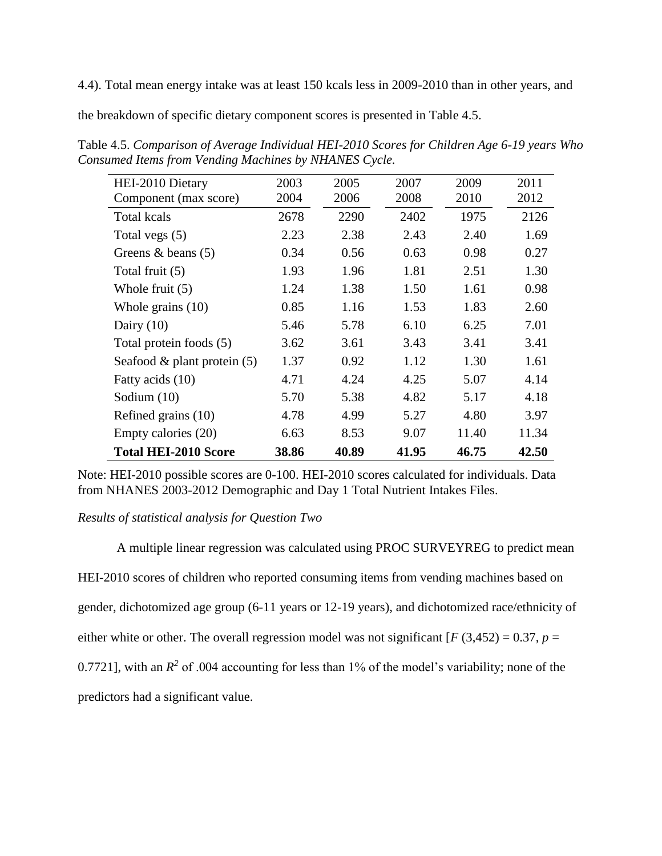4.4). Total mean energy intake was at least 150 kcals less in 2009-2010 than in other years, and

the breakdown of specific dietary component scores is presented in Table 4.5.

| HEI-2010 Dietary               | 2003  | 2005  | 2007  | 2009  | 2011  |
|--------------------------------|-------|-------|-------|-------|-------|
| Component (max score)          | 2004  | 2006  | 2008  | 2010  | 2012  |
| <b>Total kcals</b>             | 2678  | 2290  | 2402  | 1975  | 2126  |
| Total vegs (5)                 | 2.23  | 2.38  | 2.43  | 2.40  | 1.69  |
| Greens $\&$ beans (5)          | 0.34  | 0.56  | 0.63  | 0.98  | 0.27  |
| Total fruit (5)                | 1.93  | 1.96  | 1.81  | 2.51  | 1.30  |
| Whole fruit $(5)$              | 1.24  | 1.38  | 1.50  | 1.61  | 0.98  |
| Whole grains $(10)$            | 0.85  | 1.16  | 1.53  | 1.83  | 2.60  |
| Dairy $(10)$                   | 5.46  | 5.78  | 6.10  | 6.25  | 7.01  |
| Total protein foods (5)        | 3.62  | 3.61  | 3.43  | 3.41  | 3.41  |
| Seafood $\&$ plant protein (5) | 1.37  | 0.92  | 1.12  | 1.30  | 1.61  |
| Fatty acids (10)               | 4.71  | 4.24  | 4.25  | 5.07  | 4.14  |
| Sodium $(10)$                  | 5.70  | 5.38  | 4.82  | 5.17  | 4.18  |
| Refined grains (10)            | 4.78  | 4.99  | 5.27  | 4.80  | 3.97  |
| Empty calories (20)            | 6.63  | 8.53  | 9.07  | 11.40 | 11.34 |
| <b>Total HEI-2010 Score</b>    | 38.86 | 40.89 | 41.95 | 46.75 | 42.50 |

Table 4.5. *Comparison of Average Individual HEI-2010 Scores for Children Age 6-19 years Who Consumed Items from Vending Machines by NHANES Cycle.* 

Note: HEI-2010 possible scores are 0-100. HEI-2010 scores calculated for individuals. Data from NHANES 2003-2012 Demographic and Day 1 Total Nutrient Intakes Files.

# *Results of statistical analysis for Question Two*

A multiple linear regression was calculated using PROC SURVEYREG to predict mean HEI-2010 scores of children who reported consuming items from vending machines based on gender, dichotomized age group (6-11 years or 12-19 years), and dichotomized race/ethnicity of either white or other. The overall regression model was not significant  $[F(3,452) = 0.37, p =$ 0.7721], with an  $R^2$  of .004 accounting for less than 1% of the model's variability; none of the predictors had a significant value.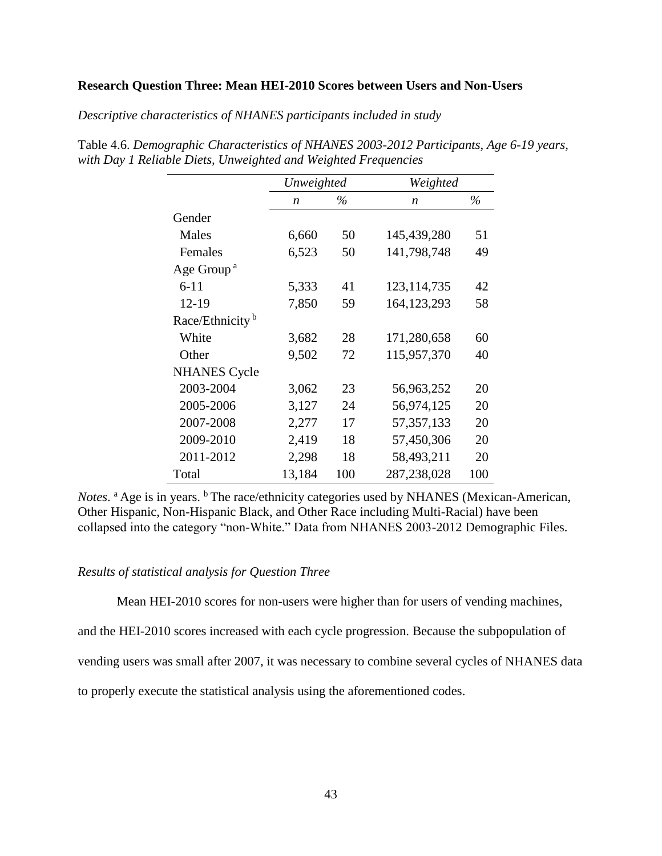## **Research Question Three: Mean HEI-2010 Scores between Users and Non-Users**

*Descriptive characteristics of NHANES participants included in study*

|                             | Unweighted       |      | Weighted         |      |
|-----------------------------|------------------|------|------------------|------|
|                             | $\boldsymbol{n}$ | $\%$ | $\boldsymbol{n}$ | $\%$ |
| Gender                      |                  |      |                  |      |
| Males                       | 6,660            | 50   | 145,439,280      | 51   |
| Females                     | 6,523            | 50   | 141,798,748      | 49   |
| Age Group <sup>a</sup>      |                  |      |                  |      |
| $6 - 11$                    | 5,333            | 41   | 123, 114, 735    | 42   |
| $12 - 19$                   | 7,850            | 59   | 164, 123, 293    | 58   |
| Race/Ethnicity <sup>b</sup> |                  |      |                  |      |
| White                       | 3,682            | 28   | 171,280,658      | 60   |
| Other                       | 9,502            | 72   | 115,957,370      | 40   |
| <b>NHANES</b> Cycle         |                  |      |                  |      |
| 2003-2004                   | 3,062            | 23   | 56,963,252       | 20   |
| 2005-2006                   | 3,127            | 24   | 56,974,125       | 20   |
| 2007-2008                   | 2,277            | 17   | 57, 357, 133     | 20   |
| 2009-2010                   | 2,419            | 18   | 57,450,306       | 20   |
| 2011-2012                   | 2,298            | 18   | 58,493,211       | 20   |
| Total                       | 13,184           | 100  | 287,238,028      | 100  |

Table 4.6. *Demographic Characteristics of NHANES 2003-2012 Participants, Age 6-19 years, with Day 1 Reliable Diets, Unweighted and Weighted Frequencies*

Notes. <sup>a</sup> Age is in years. <sup>b</sup> The race/ethnicity categories used by NHANES (Mexican-American, Other Hispanic, Non-Hispanic Black, and Other Race including Multi-Racial) have been collapsed into the category "non-White." Data from NHANES 2003-2012 Demographic Files.

# *Results of statistical analysis for Question Three*

Mean HEI-2010 scores for non-users were higher than for users of vending machines,

and the HEI-2010 scores increased with each cycle progression. Because the subpopulation of

vending users was small after 2007, it was necessary to combine several cycles of NHANES data

to properly execute the statistical analysis using the aforementioned codes.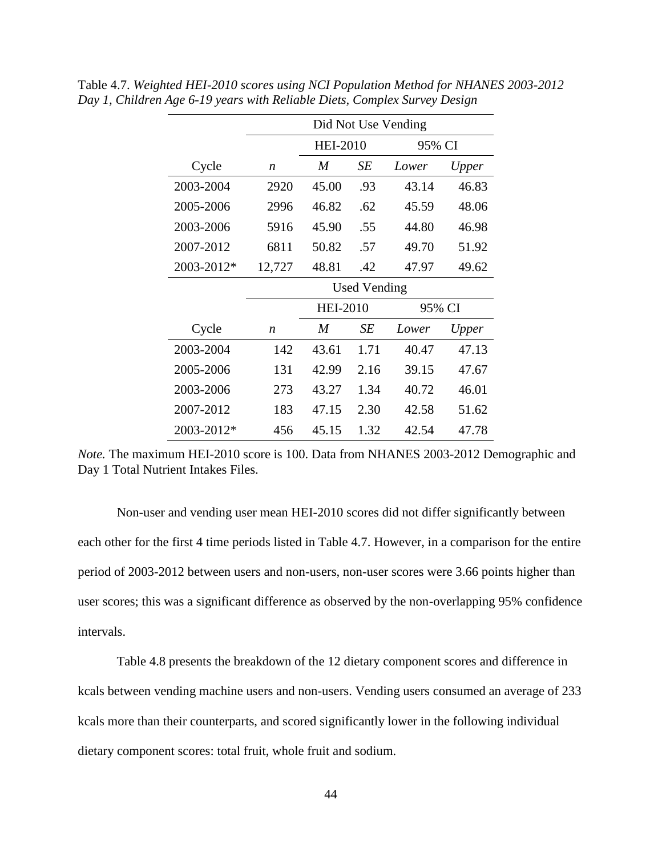|            | Did Not Use Vending |                 |      |        |       |  |  |
|------------|---------------------|-----------------|------|--------|-------|--|--|
|            |                     | <b>HEI-2010</b> |      | 95% CI |       |  |  |
| Cycle      | $\boldsymbol{n}$    | M               | SE   | Lower  | Upper |  |  |
| 2003-2004  | 2920                | 45.00           | .93  | 43.14  | 46.83 |  |  |
| 2005-2006  | 2996                | 46.82           | .62  | 45.59  | 48.06 |  |  |
| 2003-2006  | 5916                | 45.90           | .55  | 44.80  | 46.98 |  |  |
| 2007-2012  | 6811                | 50.82           | .57  | 49.70  | 51.92 |  |  |
| 2003-2012* | 12,727              | 48.81           | .42  | 47.97  | 49.62 |  |  |
|            | Used Vending        |                 |      |        |       |  |  |
|            |                     |                 |      |        |       |  |  |
|            |                     | <b>HEI-2010</b> |      | 95% CI |       |  |  |
| Cycle      | n                   | M               | SЕ   | Lower  | Upper |  |  |
| 2003-2004  | 142                 | 43.61           | 1.71 | 40.47  | 47.13 |  |  |
| 2005-2006  | 131                 | 42.99           | 2.16 | 39.15  | 47.67 |  |  |
| 2003-2006  | 273                 | 43.27           | 1.34 | 40.72  | 46.01 |  |  |
| 2007-2012  | 183                 | 47.15           | 2.30 | 42.58  | 51.62 |  |  |

Table 4.7. *Weighted HEI-2010 scores using NCI Population Method for NHANES 2003-2012 Day 1, Children Age 6-19 years with Reliable Diets, Complex Survey Design* 

*Note.* The maximum HEI-2010 score is 100. Data from NHANES 2003-2012 Demographic and Day 1 Total Nutrient Intakes Files.

Non-user and vending user mean HEI-2010 scores did not differ significantly between each other for the first 4 time periods listed in Table 4.7. However, in a comparison for the entire period of 2003-2012 between users and non-users, non-user scores were 3.66 points higher than user scores; this was a significant difference as observed by the non-overlapping 95% confidence intervals.

Table 4.8 presents the breakdown of the 12 dietary component scores and difference in kcals between vending machine users and non-users. Vending users consumed an average of 233 kcals more than their counterparts, and scored significantly lower in the following individual dietary component scores: total fruit, whole fruit and sodium.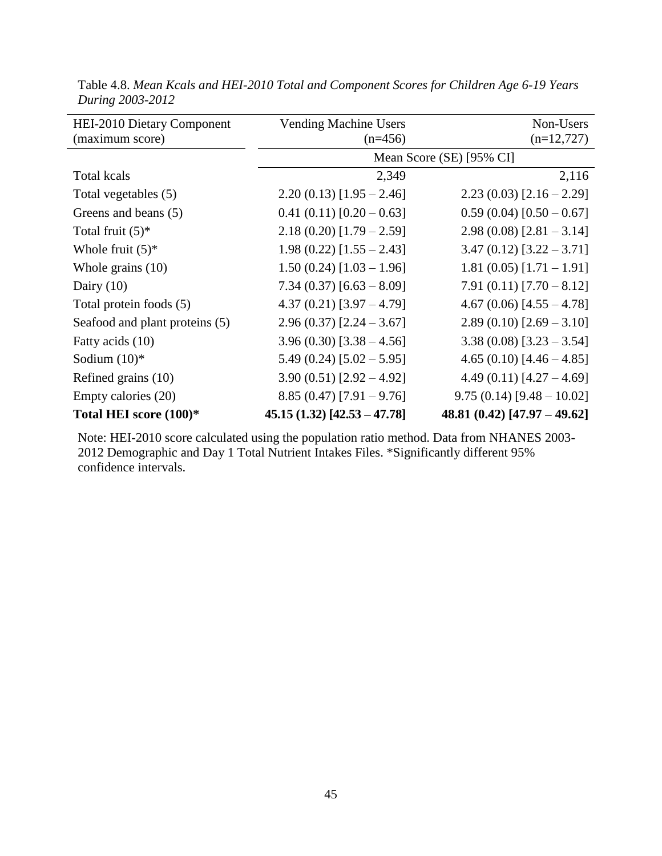| <b>HEI-2010 Dietary Component</b><br>(maximum score) | <b>Vending Machine Users</b><br>$(n=456)$ | Non-Users<br>$(n=12,727)$      |
|------------------------------------------------------|-------------------------------------------|--------------------------------|
|                                                      |                                           | Mean Score (SE) [95% CI]       |
| <b>Total kcals</b>                                   | 2,349                                     | 2,116                          |
| Total vegetables (5)                                 | $2.20(0.13) [1.95 - 2.46]$                | $2.23(0.03)[2.16-2.29]$        |
| Greens and beans (5)                                 | $0.41(0.11)[0.20-0.63]$                   | $0.59(0.04)[0.50 - 0.67]$      |
| Total fruit $(5)^*$                                  | $2.18(0.20)$ [1.79 – 2.59]                | $2.98(0.08)[2.81-3.14]$        |
| Whole fruit $(5)^*$                                  | $1.98(0.22)[1.55 - 2.43]$                 | $3.47(0.12)[3.22-3.71]$        |
| Whole grains $(10)$                                  | $1.50(0.24)[1.03 - 1.96]$                 | 1.81 $(0.05)$ [1.71 - 1.91]    |
| Dairy $(10)$                                         | $7.34(0.37)[6.63-8.09]$                   | 7.91 (0.11) $[7.70 - 8.12]$    |
| Total protein foods (5)                              | $4.37(0.21)[3.97-4.79]$                   | 4.67 (0.06) $[4.55 - 4.78]$    |
| Seafood and plant proteins (5)                       | $2.96(0.37)[2.24-3.67]$                   | $2.89(0.10)$ [2.69 – 3.10]     |
| Fatty acids (10)                                     | $3.96(0.30)[3.38 - 4.56]$                 | $3.38(0.08)$ [3.23 – 3.54]     |
| Sodium $(10)*$                                       | $5.49(0.24)[5.02 - 5.95]$                 | 4.65 (0.10) $[4.46 - 4.85]$    |
| Refined grains (10)                                  | $3.90(0.51)[2.92 - 4.92]$                 | 4.49 (0.11) $[4.27 - 4.69]$    |
| Empty calories (20)                                  | $8.85(0.47)[7.91-9.76]$                   | $9.75(0.14)[9.48-10.02]$       |
| Total HEI score (100)*                               | $45.15(1.32)[42.53 - 47.78]$              | 48.81 $(0.42)$ [47.97 - 49.62] |

Table 4.8. *Mean Kcals and HEI-2010 Total and Component Scores for Children Age 6-19 Years During 2003-2012*

Note: HEI-2010 score calculated using the population ratio method. Data from NHANES 2003- 2012 Demographic and Day 1 Total Nutrient Intakes Files. \*Significantly different 95% confidence intervals.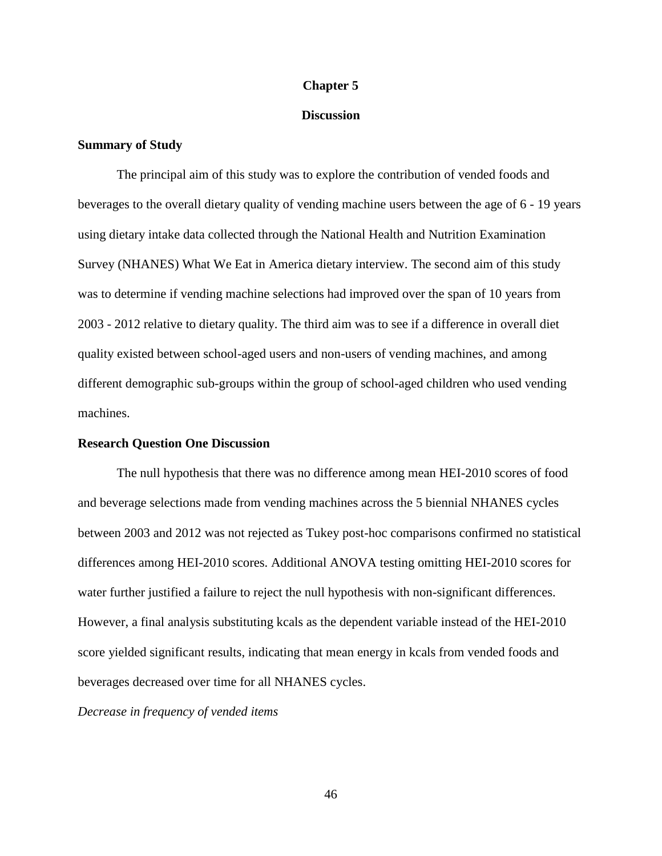## **Chapter 5**

# **Discussion**

## **Summary of Study**

The principal aim of this study was to explore the contribution of vended foods and beverages to the overall dietary quality of vending machine users between the age of 6 - 19 years using dietary intake data collected through the National Health and Nutrition Examination Survey (NHANES) What We Eat in America dietary interview. The second aim of this study was to determine if vending machine selections had improved over the span of 10 years from 2003 - 2012 relative to dietary quality. The third aim was to see if a difference in overall diet quality existed between school-aged users and non-users of vending machines, and among different demographic sub-groups within the group of school-aged children who used vending machines.

## **Research Question One Discussion**

The null hypothesis that there was no difference among mean HEI-2010 scores of food and beverage selections made from vending machines across the 5 biennial NHANES cycles between 2003 and 2012 was not rejected as Tukey post-hoc comparisons confirmed no statistical differences among HEI-2010 scores. Additional ANOVA testing omitting HEI-2010 scores for water further justified a failure to reject the null hypothesis with non-significant differences. However, a final analysis substituting kcals as the dependent variable instead of the HEI-2010 score yielded significant results, indicating that mean energy in kcals from vended foods and beverages decreased over time for all NHANES cycles.

*Decrease in frequency of vended items*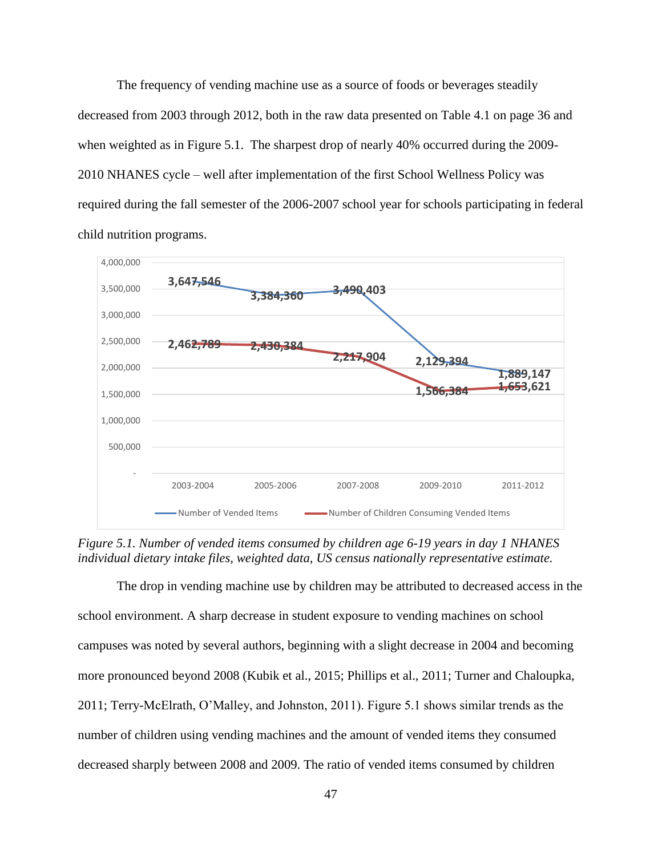The frequency of vending machine use as a source of foods or beverages steadily decreased from 2003 through 2012, both in the raw data presented on Table 4.1 on page 36 and when weighted as in Figure 5.1. The sharpest drop of nearly 40% occurred during the 2009-2010 NHANES cycle – well after implementation of the first School Wellness Policy was required during the fall semester of the 2006-2007 school year for schools participating in federal child nutrition programs.



*Figure 5.1. Number of vended items consumed by children age 6-19 years in day 1 NHANES individual dietary intake files, weighted data, US census nationally representative estimate.*

The drop in vending machine use by children may be attributed to decreased access in the school environment. A sharp decrease in student exposure to vending machines on school campuses was noted by several authors, beginning with a slight decrease in 2004 and becoming more pronounced beyond 2008 (Kubik et al., 2015; Phillips et al., 2011; Turner and Chaloupka, 2011; Terry-McElrath, O'Malley, and Johnston, 2011). Figure 5.1 shows similar trends as the number of children using vending machines and the amount of vended items they consumed decreased sharply between 2008 and 2009. The ratio of vended items consumed by children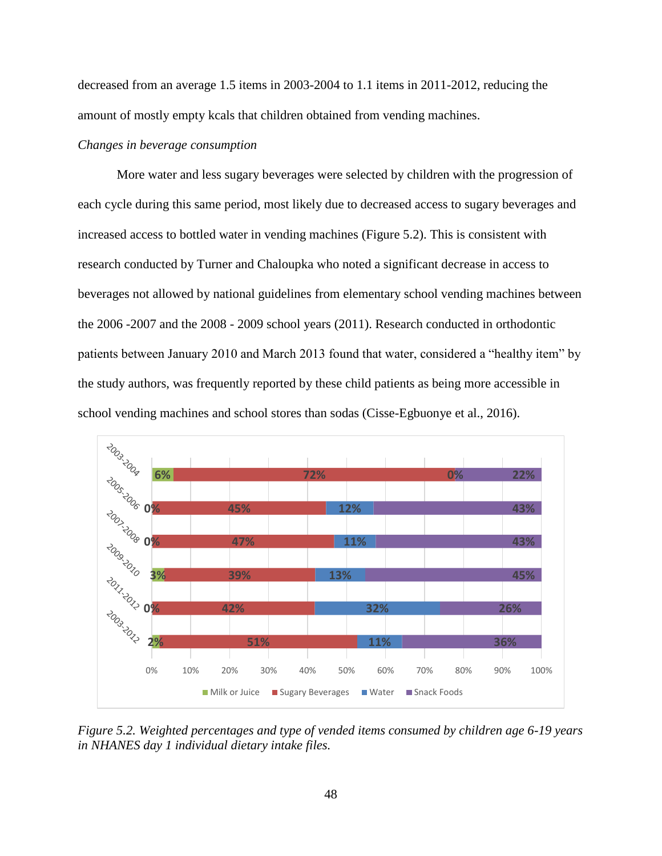decreased from an average 1.5 items in 2003-2004 to 1.1 items in 2011-2012, reducing the amount of mostly empty kcals that children obtained from vending machines.

# *Changes in beverage consumption*

More water and less sugary beverages were selected by children with the progression of each cycle during this same period, most likely due to decreased access to sugary beverages and increased access to bottled water in vending machines (Figure 5.2). This is consistent with research conducted by Turner and Chaloupka who noted a significant decrease in access to beverages not allowed by national guidelines from elementary school vending machines between the 2006 -2007 and the 2008 - 2009 school years (2011). Research conducted in orthodontic patients between January 2010 and March 2013 found that water, considered a "healthy item" by the study authors, was frequently reported by these child patients as being more accessible in school vending machines and school stores than sodas (Cisse-Egbuonye et al., 2016).



*Figure 5.2. Weighted percentages and type of vended items consumed by children age 6-19 years in NHANES day 1 individual dietary intake files.*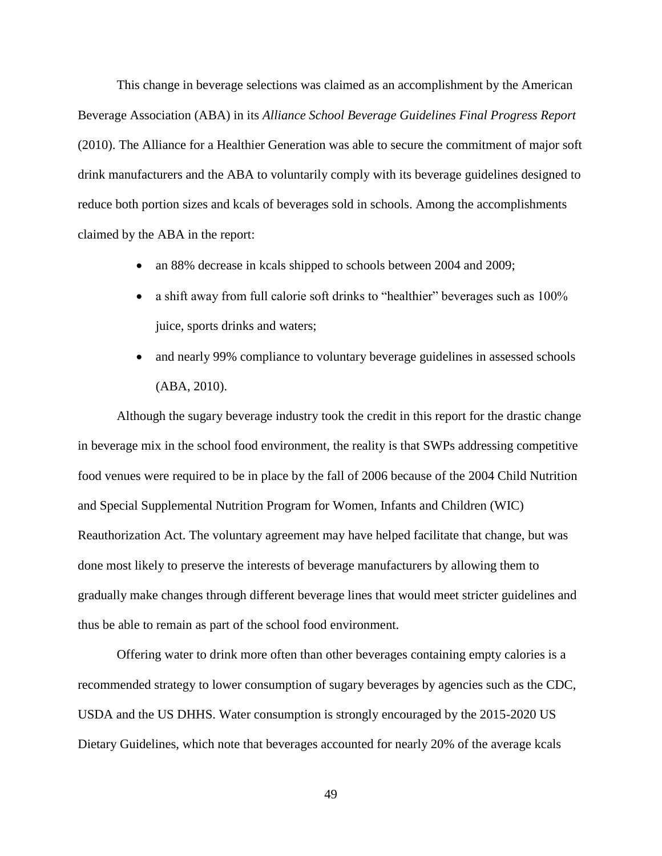This change in beverage selections was claimed as an accomplishment by the American Beverage Association (ABA) in its *Alliance School Beverage Guidelines Final Progress Report* (2010). The Alliance for a Healthier Generation was able to secure the commitment of major soft drink manufacturers and the ABA to voluntarily comply with its beverage guidelines designed to reduce both portion sizes and kcals of beverages sold in schools. Among the accomplishments claimed by the ABA in the report:

- an 88% decrease in kcals shipped to schools between 2004 and 2009;
- a shift away from full calorie soft drinks to "healthier" beverages such as 100% juice, sports drinks and waters;
- and nearly 99% compliance to voluntary beverage guidelines in assessed schools (ABA, 2010).

Although the sugary beverage industry took the credit in this report for the drastic change in beverage mix in the school food environment, the reality is that SWPs addressing competitive food venues were required to be in place by the fall of 2006 because of the 2004 Child Nutrition and Special Supplemental Nutrition Program for Women, Infants and Children (WIC) Reauthorization Act. The voluntary agreement may have helped facilitate that change, but was done most likely to preserve the interests of beverage manufacturers by allowing them to gradually make changes through different beverage lines that would meet stricter guidelines and thus be able to remain as part of the school food environment.

Offering water to drink more often than other beverages containing empty calories is a recommended strategy to lower consumption of sugary beverages by agencies such as the CDC, USDA and the US DHHS. Water consumption is strongly encouraged by the 2015-2020 US Dietary Guidelines, which note that beverages accounted for nearly 20% of the average kcals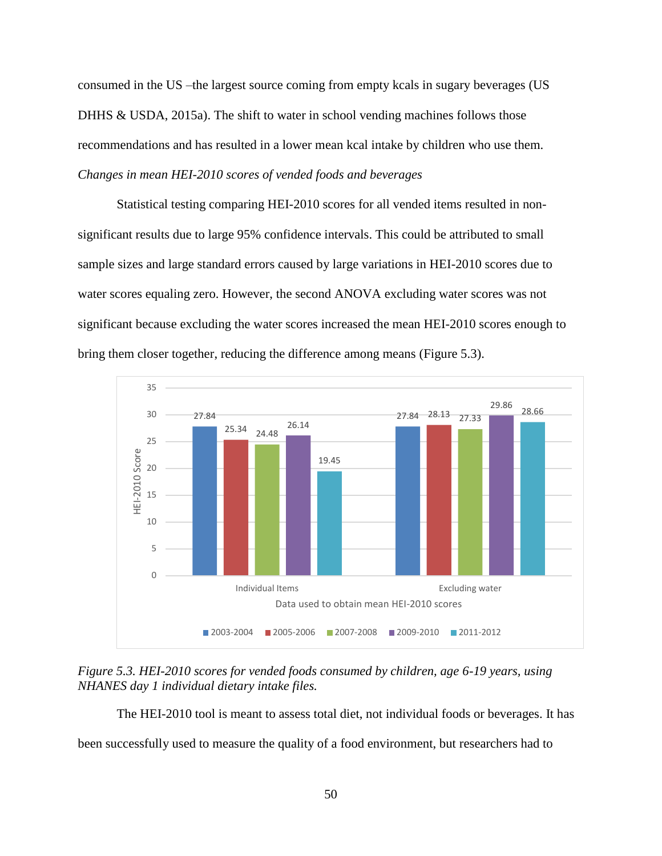consumed in the US –the largest source coming from empty kcals in sugary beverages (US DHHS & USDA, 2015a). The shift to water in school vending machines follows those recommendations and has resulted in a lower mean kcal intake by children who use them. *Changes in mean HEI-2010 scores of vended foods and beverages*

Statistical testing comparing HEI-2010 scores for all vended items resulted in nonsignificant results due to large 95% confidence intervals. This could be attributed to small sample sizes and large standard errors caused by large variations in HEI-2010 scores due to water scores equaling zero. However, the second ANOVA excluding water scores was not significant because excluding the water scores increased the mean HEI-2010 scores enough to bring them closer together, reducing the difference among means (Figure 5.3).



*Figure 5.3. HEI-2010 scores for vended foods consumed by children, age 6-19 years, using NHANES day 1 individual dietary intake files.* 

The HEI-2010 tool is meant to assess total diet, not individual foods or beverages. It has been successfully used to measure the quality of a food environment, but researchers had to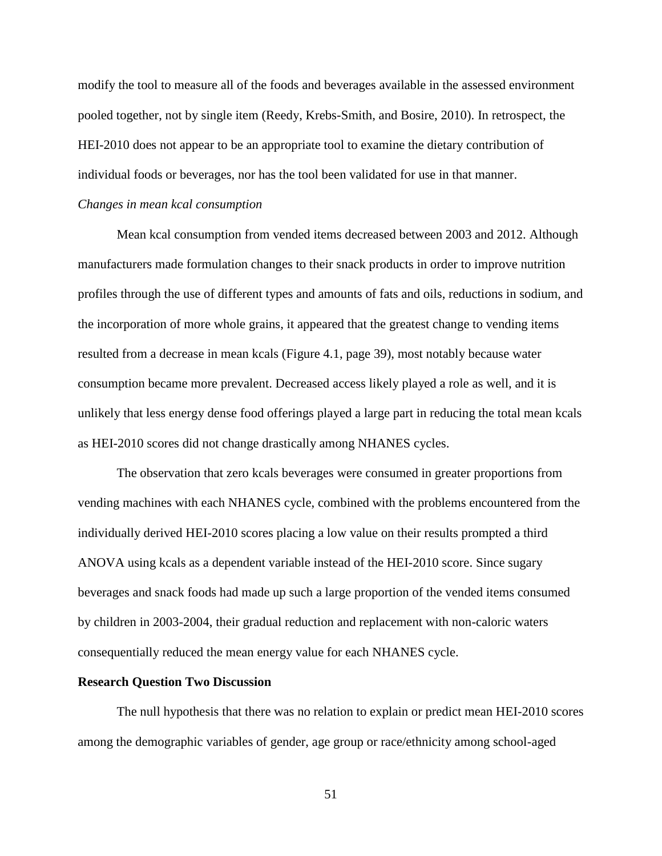modify the tool to measure all of the foods and beverages available in the assessed environment pooled together, not by single item (Reedy, Krebs-Smith, and Bosire, 2010). In retrospect, the HEI-2010 does not appear to be an appropriate tool to examine the dietary contribution of individual foods or beverages, nor has the tool been validated for use in that manner.

# *Changes in mean kcal consumption*

Mean kcal consumption from vended items decreased between 2003 and 2012. Although manufacturers made formulation changes to their snack products in order to improve nutrition profiles through the use of different types and amounts of fats and oils, reductions in sodium, and the incorporation of more whole grains, it appeared that the greatest change to vending items resulted from a decrease in mean kcals (Figure 4.1, page 39), most notably because water consumption became more prevalent. Decreased access likely played a role as well, and it is unlikely that less energy dense food offerings played a large part in reducing the total mean kcals as HEI-2010 scores did not change drastically among NHANES cycles.

The observation that zero kcals beverages were consumed in greater proportions from vending machines with each NHANES cycle, combined with the problems encountered from the individually derived HEI-2010 scores placing a low value on their results prompted a third ANOVA using kcals as a dependent variable instead of the HEI-2010 score. Since sugary beverages and snack foods had made up such a large proportion of the vended items consumed by children in 2003-2004, their gradual reduction and replacement with non-caloric waters consequentially reduced the mean energy value for each NHANES cycle.

#### **Research Question Two Discussion**

The null hypothesis that there was no relation to explain or predict mean HEI-2010 scores among the demographic variables of gender, age group or race/ethnicity among school-aged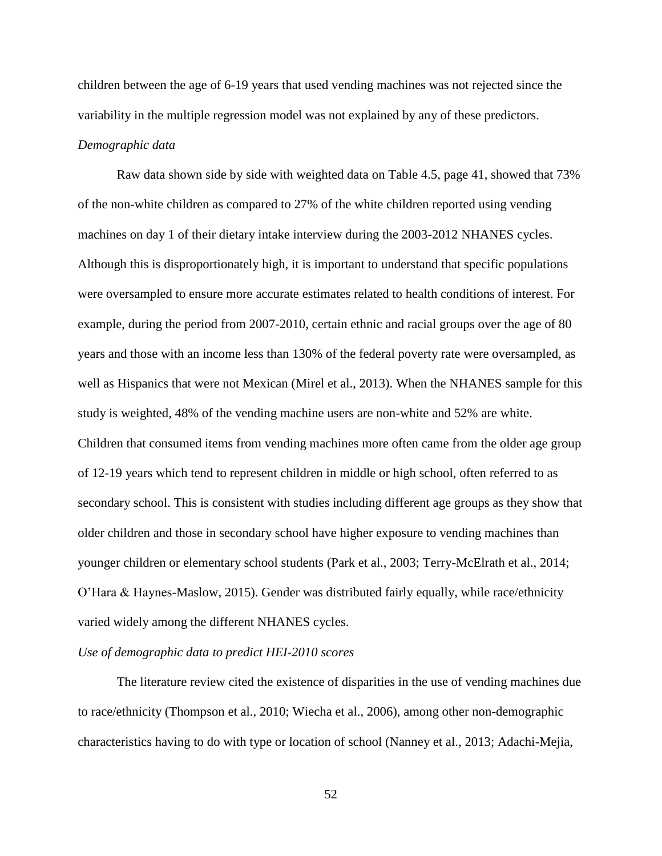children between the age of 6-19 years that used vending machines was not rejected since the variability in the multiple regression model was not explained by any of these predictors. *Demographic data*

Raw data shown side by side with weighted data on Table 4.5, page 41, showed that 73% of the non-white children as compared to 27% of the white children reported using vending machines on day 1 of their dietary intake interview during the 2003-2012 NHANES cycles. Although this is disproportionately high, it is important to understand that specific populations were oversampled to ensure more accurate estimates related to health conditions of interest. For example, during the period from 2007-2010, certain ethnic and racial groups over the age of 80 years and those with an income less than 130% of the federal poverty rate were oversampled, as well as Hispanics that were not Mexican (Mirel et al., 2013). When the NHANES sample for this study is weighted, 48% of the vending machine users are non-white and 52% are white. Children that consumed items from vending machines more often came from the older age group of 12-19 years which tend to represent children in middle or high school, often referred to as secondary school. This is consistent with studies including different age groups as they show that older children and those in secondary school have higher exposure to vending machines than younger children or elementary school students (Park et al., 2003; Terry-McElrath et al., 2014; O'Hara & Haynes-Maslow, 2015). Gender was distributed fairly equally, while race/ethnicity varied widely among the different NHANES cycles.

## *Use of demographic data to predict HEI-2010 scores*

The literature review cited the existence of disparities in the use of vending machines due to race/ethnicity (Thompson et al., 2010; Wiecha et al., 2006), among other non-demographic characteristics having to do with type or location of school (Nanney et al., 2013; Adachi-Mejia,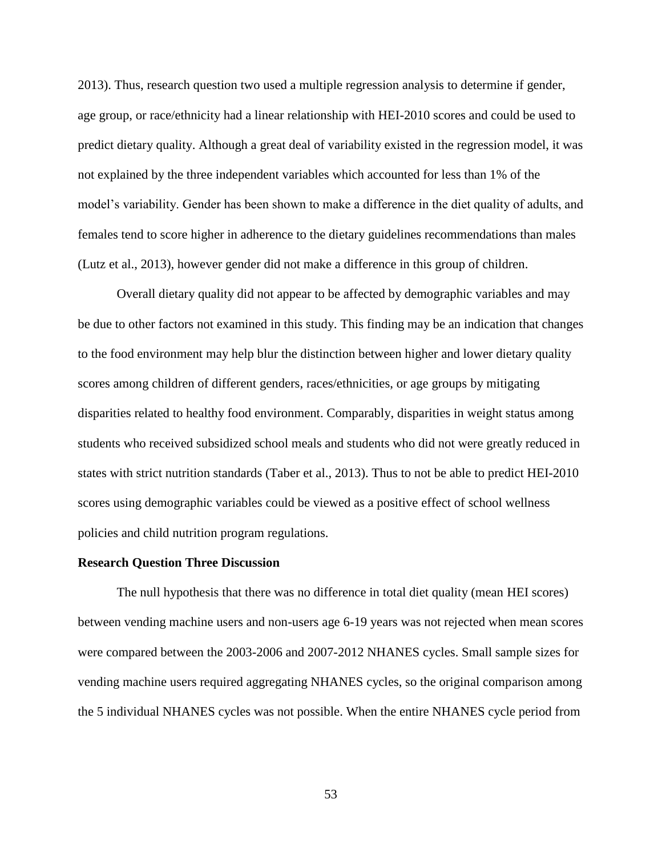2013). Thus, research question two used a multiple regression analysis to determine if gender, age group, or race/ethnicity had a linear relationship with HEI-2010 scores and could be used to predict dietary quality. Although a great deal of variability existed in the regression model, it was not explained by the three independent variables which accounted for less than 1% of the model's variability. Gender has been shown to make a difference in the diet quality of adults, and females tend to score higher in adherence to the dietary guidelines recommendations than males (Lutz et al., 2013), however gender did not make a difference in this group of children.

Overall dietary quality did not appear to be affected by demographic variables and may be due to other factors not examined in this study. This finding may be an indication that changes to the food environment may help blur the distinction between higher and lower dietary quality scores among children of different genders, races/ethnicities, or age groups by mitigating disparities related to healthy food environment. Comparably, disparities in weight status among students who received subsidized school meals and students who did not were greatly reduced in states with strict nutrition standards (Taber et al., 2013). Thus to not be able to predict HEI-2010 scores using demographic variables could be viewed as a positive effect of school wellness policies and child nutrition program regulations.

### **Research Question Three Discussion**

The null hypothesis that there was no difference in total diet quality (mean HEI scores) between vending machine users and non-users age 6-19 years was not rejected when mean scores were compared between the 2003-2006 and 2007-2012 NHANES cycles. Small sample sizes for vending machine users required aggregating NHANES cycles, so the original comparison among the 5 individual NHANES cycles was not possible. When the entire NHANES cycle period from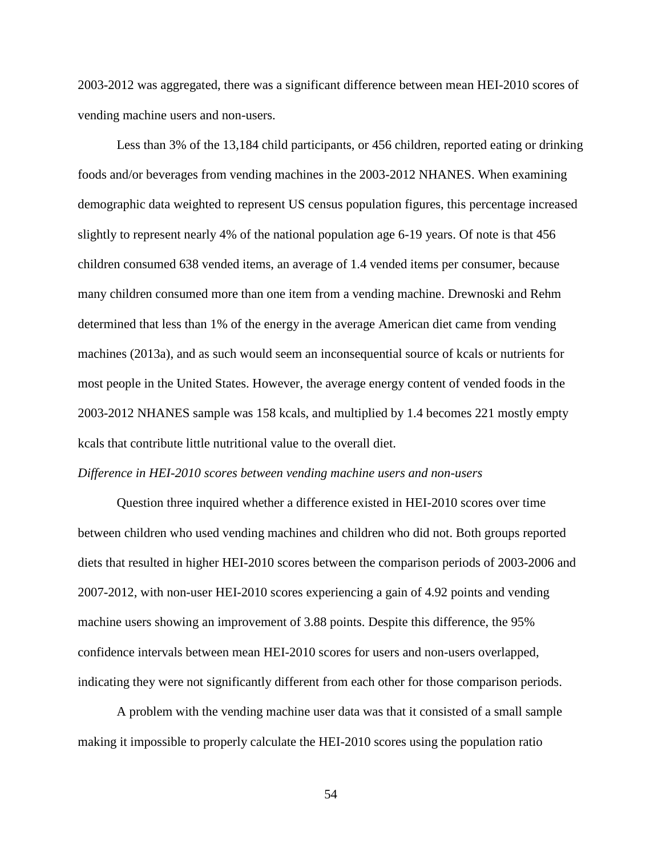2003-2012 was aggregated, there was a significant difference between mean HEI-2010 scores of vending machine users and non-users.

Less than 3% of the 13,184 child participants, or 456 children, reported eating or drinking foods and/or beverages from vending machines in the 2003-2012 NHANES. When examining demographic data weighted to represent US census population figures, this percentage increased slightly to represent nearly 4% of the national population age 6-19 years. Of note is that 456 children consumed 638 vended items, an average of 1.4 vended items per consumer, because many children consumed more than one item from a vending machine. Drewnoski and Rehm determined that less than 1% of the energy in the average American diet came from vending machines (2013a), and as such would seem an inconsequential source of kcals or nutrients for most people in the United States. However, the average energy content of vended foods in the 2003-2012 NHANES sample was 158 kcals, and multiplied by 1.4 becomes 221 mostly empty kcals that contribute little nutritional value to the overall diet.

#### *Difference in HEI-2010 scores between vending machine users and non-users*

Question three inquired whether a difference existed in HEI-2010 scores over time between children who used vending machines and children who did not. Both groups reported diets that resulted in higher HEI-2010 scores between the comparison periods of 2003-2006 and 2007-2012, with non-user HEI-2010 scores experiencing a gain of 4.92 points and vending machine users showing an improvement of 3.88 points. Despite this difference, the 95% confidence intervals between mean HEI-2010 scores for users and non-users overlapped, indicating they were not significantly different from each other for those comparison periods.

A problem with the vending machine user data was that it consisted of a small sample making it impossible to properly calculate the HEI-2010 scores using the population ratio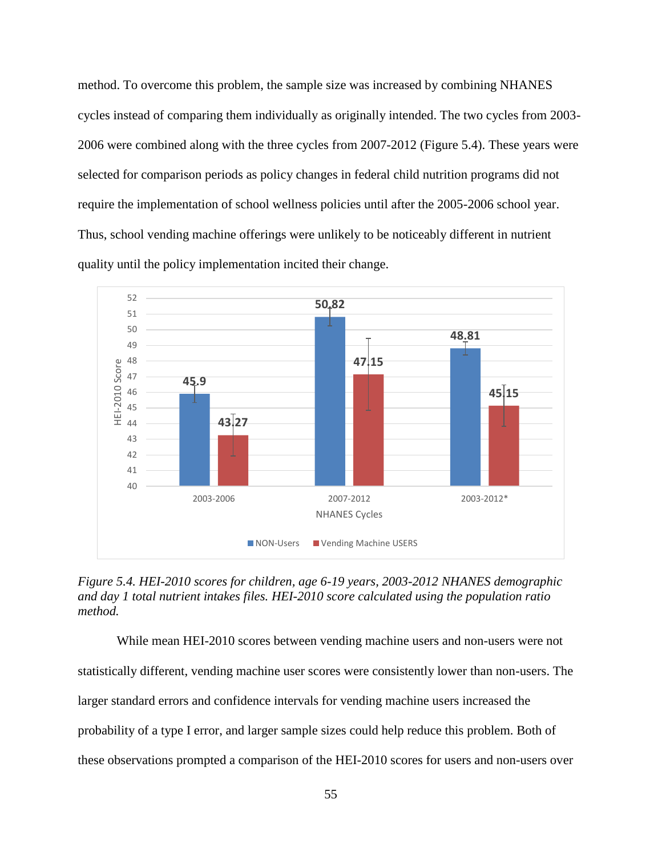method. To overcome this problem, the sample size was increased by combining NHANES cycles instead of comparing them individually as originally intended. The two cycles from 2003- 2006 were combined along with the three cycles from 2007-2012 (Figure 5.4). These years were selected for comparison periods as policy changes in federal child nutrition programs did not require the implementation of school wellness policies until after the 2005-2006 school year. Thus, school vending machine offerings were unlikely to be noticeably different in nutrient quality until the policy implementation incited their change.



*Figure 5.4. HEI-2010 scores for children, age 6-19 years, 2003-2012 NHANES demographic and day 1 total nutrient intakes files. HEI-2010 score calculated using the population ratio method.*

While mean HEI-2010 scores between vending machine users and non-users were not statistically different, vending machine user scores were consistently lower than non-users. The larger standard errors and confidence intervals for vending machine users increased the probability of a type I error, and larger sample sizes could help reduce this problem. Both of these observations prompted a comparison of the HEI-2010 scores for users and non-users over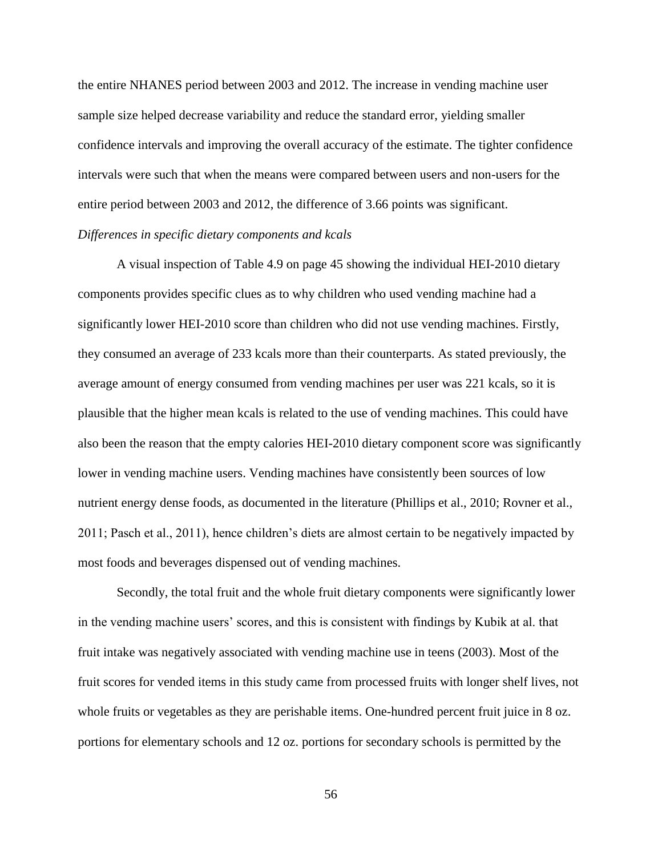the entire NHANES period between 2003 and 2012. The increase in vending machine user sample size helped decrease variability and reduce the standard error, yielding smaller confidence intervals and improving the overall accuracy of the estimate. The tighter confidence intervals were such that when the means were compared between users and non-users for the entire period between 2003 and 2012, the difference of 3.66 points was significant. *Differences in specific dietary components and kcals*

A visual inspection of Table 4.9 on page 45 showing the individual HEI-2010 dietary components provides specific clues as to why children who used vending machine had a significantly lower HEI-2010 score than children who did not use vending machines. Firstly, they consumed an average of 233 kcals more than their counterparts. As stated previously, the average amount of energy consumed from vending machines per user was 221 kcals, so it is plausible that the higher mean kcals is related to the use of vending machines. This could have also been the reason that the empty calories HEI-2010 dietary component score was significantly lower in vending machine users. Vending machines have consistently been sources of low nutrient energy dense foods, as documented in the literature (Phillips et al., 2010; Rovner et al., 2011; Pasch et al., 2011), hence children's diets are almost certain to be negatively impacted by most foods and beverages dispensed out of vending machines.

Secondly, the total fruit and the whole fruit dietary components were significantly lower in the vending machine users' scores, and this is consistent with findings by Kubik at al. that fruit intake was negatively associated with vending machine use in teens (2003). Most of the fruit scores for vended items in this study came from processed fruits with longer shelf lives, not whole fruits or vegetables as they are perishable items. One-hundred percent fruit juice in 8 oz. portions for elementary schools and 12 oz. portions for secondary schools is permitted by the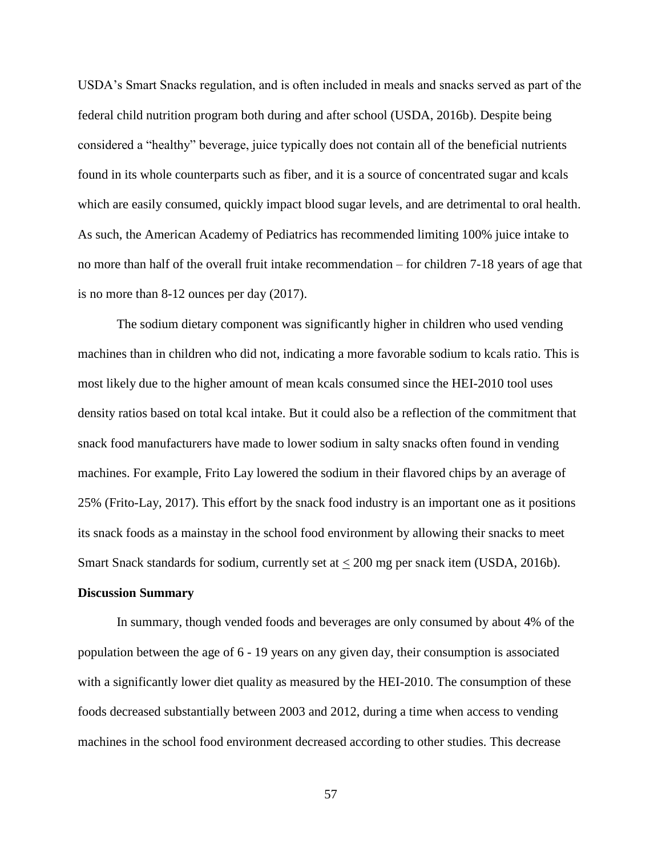USDA's Smart Snacks regulation, and is often included in meals and snacks served as part of the federal child nutrition program both during and after school (USDA, 2016b). Despite being considered a "healthy" beverage, juice typically does not contain all of the beneficial nutrients found in its whole counterparts such as fiber, and it is a source of concentrated sugar and kcals which are easily consumed, quickly impact blood sugar levels, and are detrimental to oral health. As such, the American Academy of Pediatrics has recommended limiting 100% juice intake to no more than half of the overall fruit intake recommendation – for children 7-18 years of age that is no more than 8-12 ounces per day (2017).

The sodium dietary component was significantly higher in children who used vending machines than in children who did not, indicating a more favorable sodium to kcals ratio. This is most likely due to the higher amount of mean kcals consumed since the HEI-2010 tool uses density ratios based on total kcal intake. But it could also be a reflection of the commitment that snack food manufacturers have made to lower sodium in salty snacks often found in vending machines. For example, Frito Lay lowered the sodium in their flavored chips by an average of 25% (Frito-Lay, 2017). This effort by the snack food industry is an important one as it positions its snack foods as a mainstay in the school food environment by allowing their snacks to meet Smart Snack standards for sodium, currently set at < 200 mg per snack item (USDA, 2016b).

#### **Discussion Summary**

In summary, though vended foods and beverages are only consumed by about 4% of the population between the age of 6 - 19 years on any given day, their consumption is associated with a significantly lower diet quality as measured by the HEI-2010. The consumption of these foods decreased substantially between 2003 and 2012, during a time when access to vending machines in the school food environment decreased according to other studies. This decrease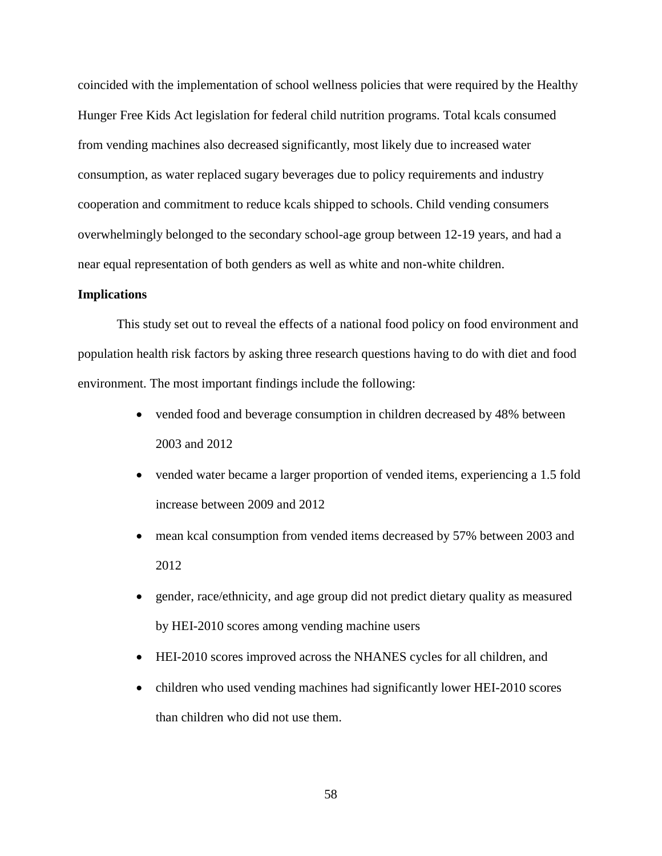coincided with the implementation of school wellness policies that were required by the Healthy Hunger Free Kids Act legislation for federal child nutrition programs. Total kcals consumed from vending machines also decreased significantly, most likely due to increased water consumption, as water replaced sugary beverages due to policy requirements and industry cooperation and commitment to reduce kcals shipped to schools. Child vending consumers overwhelmingly belonged to the secondary school-age group between 12-19 years, and had a near equal representation of both genders as well as white and non-white children.

## **Implications**

This study set out to reveal the effects of a national food policy on food environment and population health risk factors by asking three research questions having to do with diet and food environment. The most important findings include the following:

- vended food and beverage consumption in children decreased by 48% between 2003 and 2012
- vended water became a larger proportion of vended items, experiencing a 1.5 fold increase between 2009 and 2012
- mean kcal consumption from vended items decreased by 57% between 2003 and 2012
- gender, race/ethnicity, and age group did not predict dietary quality as measured by HEI-2010 scores among vending machine users
- HEI-2010 scores improved across the NHANES cycles for all children, and
- children who used vending machines had significantly lower HEI-2010 scores than children who did not use them.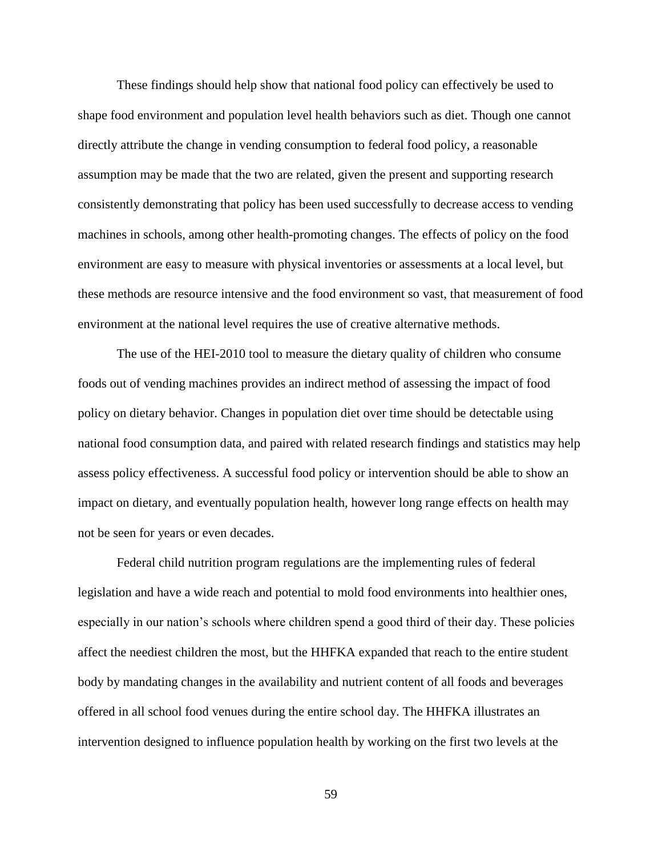These findings should help show that national food policy can effectively be used to shape food environment and population level health behaviors such as diet. Though one cannot directly attribute the change in vending consumption to federal food policy, a reasonable assumption may be made that the two are related, given the present and supporting research consistently demonstrating that policy has been used successfully to decrease access to vending machines in schools, among other health-promoting changes. The effects of policy on the food environment are easy to measure with physical inventories or assessments at a local level, but these methods are resource intensive and the food environment so vast, that measurement of food environment at the national level requires the use of creative alternative methods.

The use of the HEI-2010 tool to measure the dietary quality of children who consume foods out of vending machines provides an indirect method of assessing the impact of food policy on dietary behavior. Changes in population diet over time should be detectable using national food consumption data, and paired with related research findings and statistics may help assess policy effectiveness. A successful food policy or intervention should be able to show an impact on dietary, and eventually population health, however long range effects on health may not be seen for years or even decades.

Federal child nutrition program regulations are the implementing rules of federal legislation and have a wide reach and potential to mold food environments into healthier ones, especially in our nation's schools where children spend a good third of their day. These policies affect the neediest children the most, but the HHFKA expanded that reach to the entire student body by mandating changes in the availability and nutrient content of all foods and beverages offered in all school food venues during the entire school day. The HHFKA illustrates an intervention designed to influence population health by working on the first two levels at the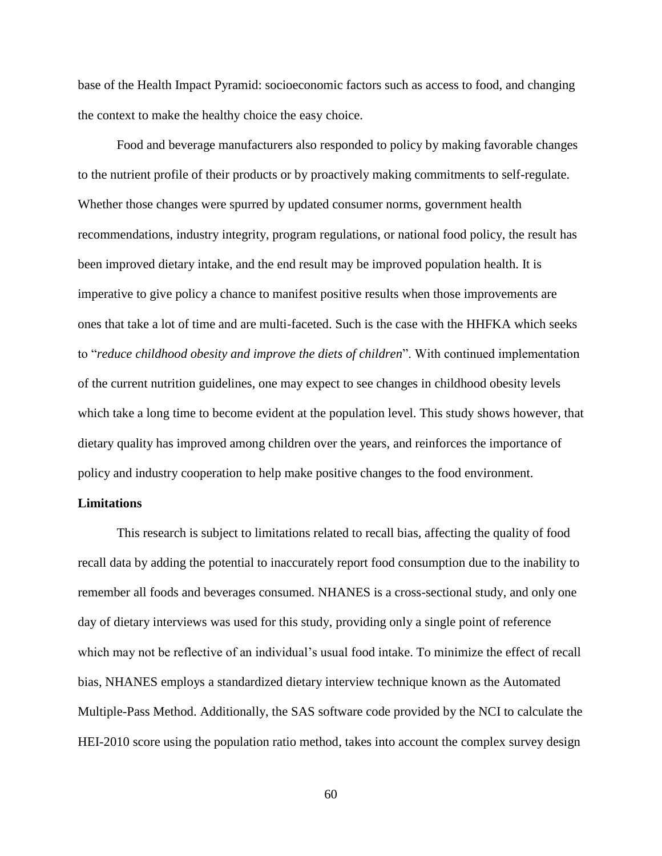base of the Health Impact Pyramid: socioeconomic factors such as access to food, and changing the context to make the healthy choice the easy choice.

Food and beverage manufacturers also responded to policy by making favorable changes to the nutrient profile of their products or by proactively making commitments to self-regulate. Whether those changes were spurred by updated consumer norms, government health recommendations, industry integrity, program regulations, or national food policy, the result has been improved dietary intake, and the end result may be improved population health. It is imperative to give policy a chance to manifest positive results when those improvements are ones that take a lot of time and are multi-faceted. Such is the case with the HHFKA which seeks to "*reduce childhood obesity and improve the diets of children*". With continued implementation of the current nutrition guidelines, one may expect to see changes in childhood obesity levels which take a long time to become evident at the population level. This study shows however, that dietary quality has improved among children over the years, and reinforces the importance of policy and industry cooperation to help make positive changes to the food environment.

# **Limitations**

This research is subject to limitations related to recall bias, affecting the quality of food recall data by adding the potential to inaccurately report food consumption due to the inability to remember all foods and beverages consumed. NHANES is a cross-sectional study, and only one day of dietary interviews was used for this study, providing only a single point of reference which may not be reflective of an individual's usual food intake. To minimize the effect of recall bias, NHANES employs a standardized dietary interview technique known as the Automated Multiple-Pass Method. Additionally, the SAS software code provided by the NCI to calculate the HEI-2010 score using the population ratio method, takes into account the complex survey design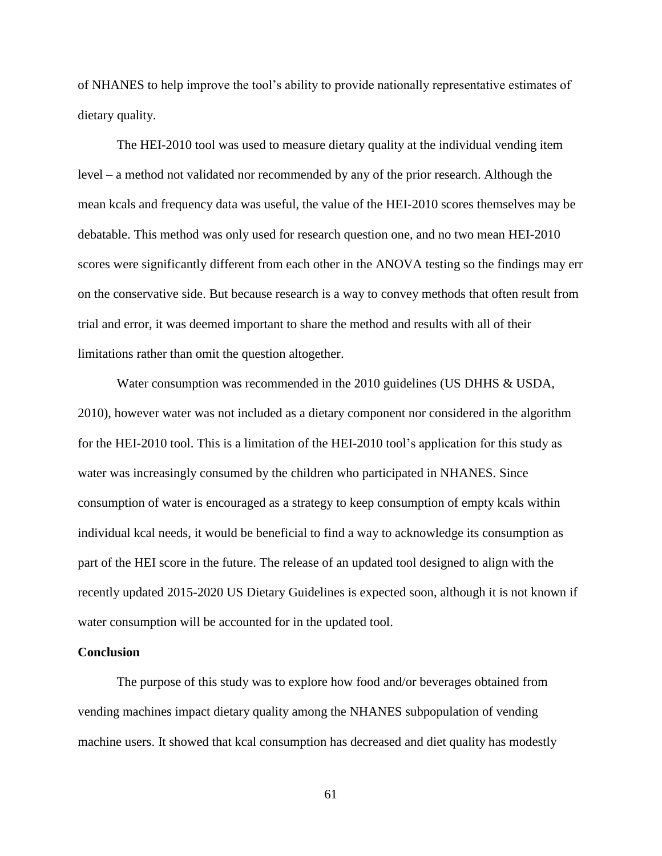of NHANES to help improve the tool's ability to provide nationally representative estimates of dietary quality.

The HEI-2010 tool was used to measure dietary quality at the individual vending item level – a method not validated nor recommended by any of the prior research. Although the mean kcals and frequency data was useful, the value of the HEI-2010 scores themselves may be debatable. This method was only used for research question one, and no two mean HEI-2010 scores were significantly different from each other in the ANOVA testing so the findings may err on the conservative side. But because research is a way to convey methods that often result from trial and error, it was deemed important to share the method and results with all of their limitations rather than omit the question altogether.

Water consumption was recommended in the 2010 guidelines (US DHHS & USDA, 2010), however water was not included as a dietary component nor considered in the algorithm for the HEI-2010 tool. This is a limitation of the HEI-2010 tool's application for this study as water was increasingly consumed by the children who participated in NHANES. Since consumption of water is encouraged as a strategy to keep consumption of empty kcals within individual kcal needs, it would be beneficial to find a way to acknowledge its consumption as part of the HEI score in the future. The release of an updated tool designed to align with the recently updated 2015-2020 US Dietary Guidelines is expected soon, although it is not known if water consumption will be accounted for in the updated tool.

## **Conclusion**

The purpose of this study was to explore how food and/or beverages obtained from vending machines impact dietary quality among the NHANES subpopulation of vending machine users. It showed that kcal consumption has decreased and diet quality has modestly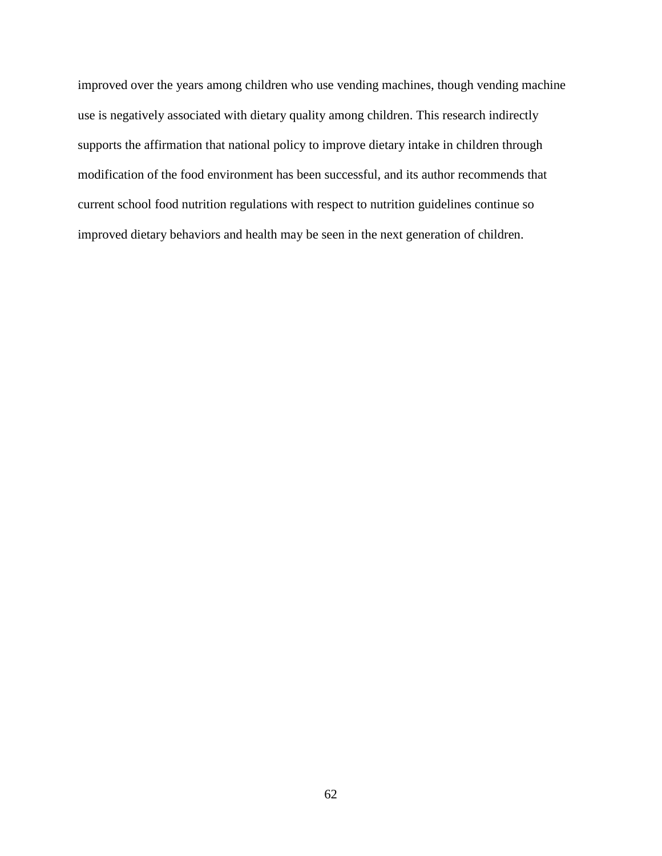improved over the years among children who use vending machines, though vending machine use is negatively associated with dietary quality among children. This research indirectly supports the affirmation that national policy to improve dietary intake in children through modification of the food environment has been successful, and its author recommends that current school food nutrition regulations with respect to nutrition guidelines continue so improved dietary behaviors and health may be seen in the next generation of children.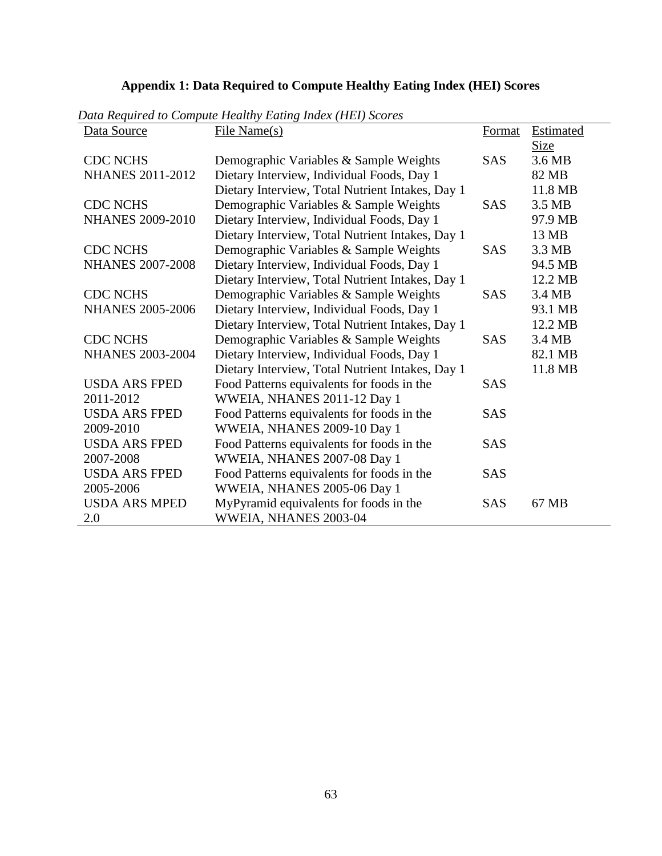# **Appendix 1: Data Required to Compute Healthy Eating Index (HEI) Scores**

| Data Source             | райстеритей ю сотране пейнну шинку пися (пол дебя св<br>File Name(s) | Format     | <b>Estimated</b> |
|-------------------------|----------------------------------------------------------------------|------------|------------------|
|                         |                                                                      |            | Size             |
| <b>CDC NCHS</b>         | Demographic Variables & Sample Weights                               | <b>SAS</b> | 3.6 MB           |
| <b>NHANES 2011-2012</b> | Dietary Interview, Individual Foods, Day 1                           |            | 82 MB            |
|                         | Dietary Interview, Total Nutrient Intakes, Day 1                     |            | 11.8 MB          |
| <b>CDC NCHS</b>         | Demographic Variables & Sample Weights                               | <b>SAS</b> | 3.5 MB           |
| <b>NHANES 2009-2010</b> | Dietary Interview, Individual Foods, Day 1                           |            | 97.9 MB          |
|                         | Dietary Interview, Total Nutrient Intakes, Day 1                     |            | 13 MB            |
| <b>CDC NCHS</b>         | Demographic Variables & Sample Weights                               | <b>SAS</b> | 3.3 MB           |
| <b>NHANES 2007-2008</b> | Dietary Interview, Individual Foods, Day 1                           |            | 94.5 MB          |
|                         | Dietary Interview, Total Nutrient Intakes, Day 1                     |            | 12.2 MB          |
| <b>CDC NCHS</b>         | Demographic Variables & Sample Weights                               | <b>SAS</b> | 3.4 MB           |
| <b>NHANES 2005-2006</b> | Dietary Interview, Individual Foods, Day 1                           |            | 93.1 MB          |
|                         | Dietary Interview, Total Nutrient Intakes, Day 1                     |            | 12.2 MB          |
| <b>CDC NCHS</b>         | Demographic Variables & Sample Weights                               | <b>SAS</b> | 3.4 MB           |
| <b>NHANES 2003-2004</b> | Dietary Interview, Individual Foods, Day 1                           |            | 82.1 MB          |
|                         | Dietary Interview, Total Nutrient Intakes, Day 1                     |            | 11.8 MB          |
| <b>USDA ARS FPED</b>    | Food Patterns equivalents for foods in the                           | <b>SAS</b> |                  |
| 2011-2012               | WWEIA, NHANES 2011-12 Day 1                                          |            |                  |
| <b>USDA ARS FPED</b>    | Food Patterns equivalents for foods in the                           | <b>SAS</b> |                  |
| 2009-2010               | WWEIA, NHANES 2009-10 Day 1                                          |            |                  |
| <b>USDA ARS FPED</b>    | Food Patterns equivalents for foods in the                           | <b>SAS</b> |                  |
| 2007-2008               | WWEIA, NHANES 2007-08 Day 1                                          |            |                  |
| <b>USDA ARS FPED</b>    | Food Patterns equivalents for foods in the                           | <b>SAS</b> |                  |
| 2005-2006               | WWEIA, NHANES 2005-06 Day 1                                          |            |                  |
| <b>USDA ARS MPED</b>    | MyPyramid equivalents for foods in the                               | <b>SAS</b> | 67 MB            |
| 2.0                     | WWEIA, NHANES 2003-04                                                |            |                  |

*Data Required to Compute Healthy Eating Index (HEI) Scores*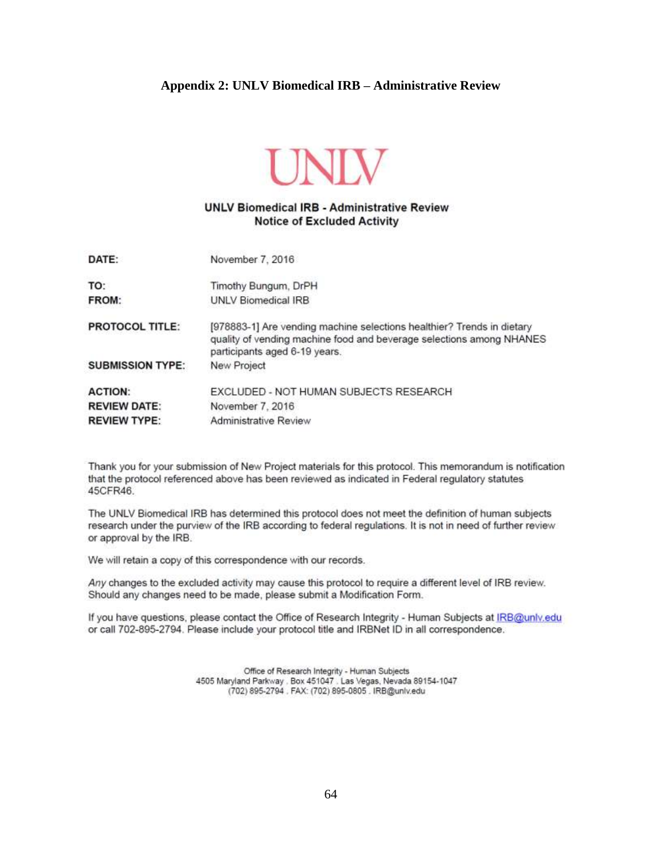## **Appendix 2: UNLV Biomedical IRB – Administrative Review**



## **UNLV Biomedical IRB - Administrative Review Notice of Excluded Activity**

| DATE:                   | November 7, 2016                                                                                                                                                                |  |
|-------------------------|---------------------------------------------------------------------------------------------------------------------------------------------------------------------------------|--|
| TO:                     | Timothy Bungum, DrPH                                                                                                                                                            |  |
| FROM:                   | UNLV Biomedical IRB                                                                                                                                                             |  |
| <b>PROTOCOL TITLE:</b>  | [978883-1] Are vending machine selections healthier? Trends in dietary<br>quality of vending machine food and beverage selections among NHANES<br>participants aged 6-19 years. |  |
| <b>SUBMISSION TYPE:</b> | New Project                                                                                                                                                                     |  |
| <b>ACTION:</b>          | EXCLUDED - NOT HUMAN SUBJECTS RESEARCH                                                                                                                                          |  |
| <b>REVIEW DATE:</b>     | November 7, 2016                                                                                                                                                                |  |
| <b>REVIEW TYPE:</b>     | Administrative Review                                                                                                                                                           |  |

Thank you for your submission of New Project materials for this protocol. This memorandum is notification that the protocol referenced above has been reviewed as indicated in Federal regulatory statutes 45CFR46.

The UNLV Biomedical IRB has determined this protocol does not meet the definition of human subjects research under the purview of the IRB according to federal regulations. It is not in need of further review or approval by the IRB.

We will retain a copy of this correspondence with our records.

Any changes to the excluded activity may cause this protocol to require a different level of IRB review. Should any changes need to be made, please submit a Modification Form.

If you have questions, please contact the Office of Research Integrity - Human Subjects at IRB@unly.edu or call 702-895-2794. Please include your protocol title and IRBNet ID in all correspondence.

> Office of Research Integrity - Human Subjects 4505 Maryland Parkway . Box 451047 . Las Vegas, Nevada 89154-1047<br>(702) 895-2794 . FAX: (702) 895-0805 . IRB@unlv.edu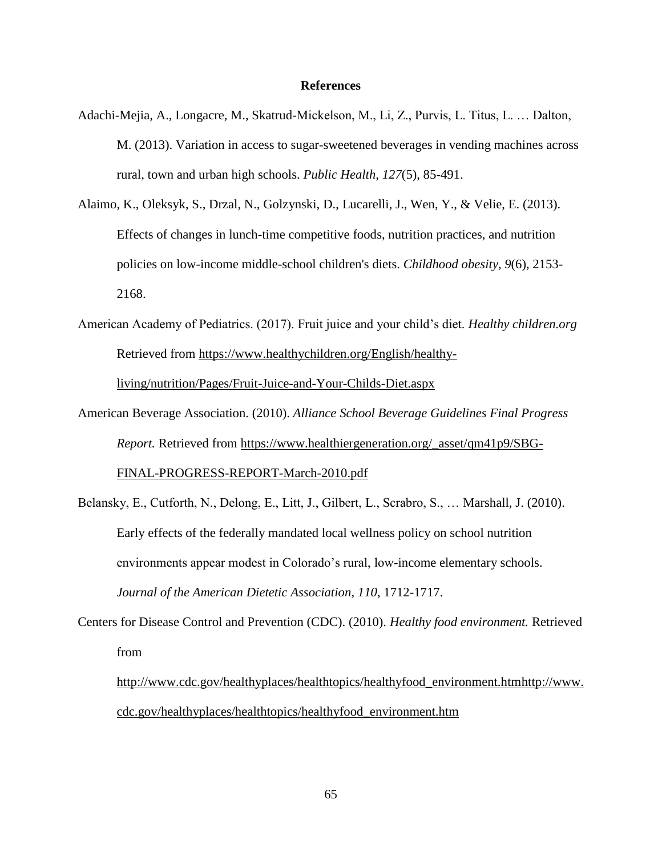#### **References**

- Adachi-Mejia, A., Longacre, M., Skatrud-Mickelson, M., Li, Z., Purvis, L. Titus, L. … Dalton, M. (2013). Variation in access to sugar-sweetened beverages in vending machines across rural, town and urban high schools. *Public Health, 127*(5), 85-491.
- Alaimo, K., Oleksyk, S., Drzal, N., Golzynski, D., Lucarelli, J., Wen, Y., & Velie, E. (2013). Effects of changes in lunch-time competitive foods, nutrition practices, and nutrition policies on low-income middle-school children's diets. *Childhood obesity, 9*(6), 2153- 2168.
- American Academy of Pediatrics. (2017). Fruit juice and your child's diet. *Healthy children.org*  Retrieved from [https://www.healthychildren.org/English/healthy](https://www.healthychildren.org/English/healthy-living/nutrition/Pages/Fruit-Juice-and-Your-Childs-Diet.aspx)[living/nutrition/Pages/Fruit-Juice-and-Your-Childs-Diet.aspx](https://www.healthychildren.org/English/healthy-living/nutrition/Pages/Fruit-Juice-and-Your-Childs-Diet.aspx)
- American Beverage Association. (2010). *Alliance School Beverage Guidelines Final Progress Report.* Retrieved from [https://www.healthiergeneration.org/\\_asset/qm41p9/SBG-](https://www.healthiergeneration.org/_asset/qm41p9/SBG-FINAL-PROGRESS-REPORT-March-2010.pdf)[FINAL-PROGRESS-REPORT-March-2010.pdf](https://www.healthiergeneration.org/_asset/qm41p9/SBG-FINAL-PROGRESS-REPORT-March-2010.pdf)
- Belansky, E., Cutforth, N., Delong, E., Litt, J., Gilbert, L., Scrabro, S., … Marshall, J. (2010). Early effects of the federally mandated local wellness policy on school nutrition environments appear modest in Colorado's rural, low-income elementary schools. *Journal of the American Dietetic Association, 110*, 1712-1717.
- Centers for Disease Control and Prevention (CDC). (2010). *Healthy food environment.* Retrieved from

[http://www.cdc.gov/healthyplaces/healthtopics/healthyfood\\_environment.htmhttp://www.](http://www.cdc.gov/healthyplaces/healthtopics/healthyfood_environment.htm) [cdc.gov/healthyplaces/healthtopics/healthyfood\\_environment.htm](http://www.cdc.gov/healthyplaces/healthtopics/healthyfood_environment.htm)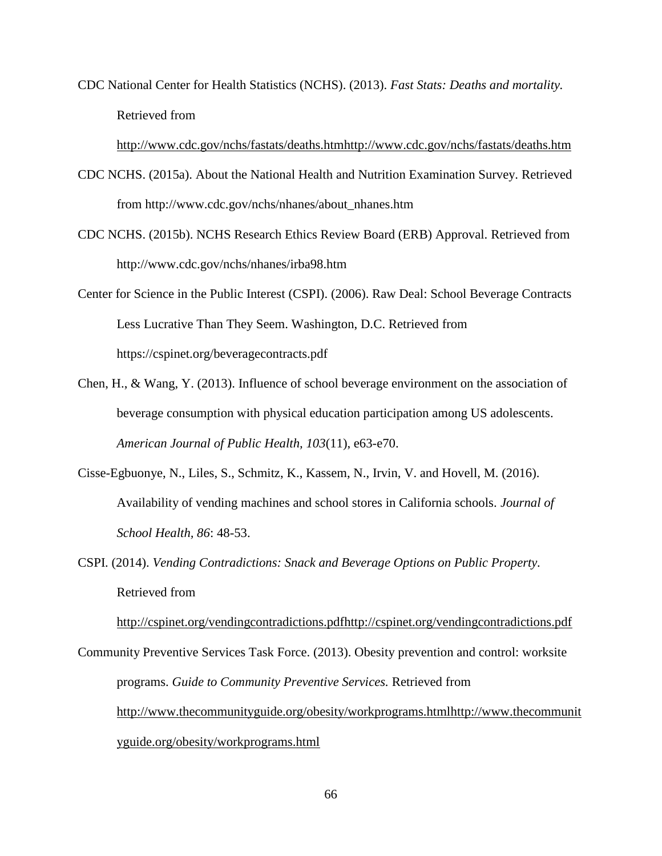CDC National Center for Health Statistics (NCHS). (2013). *Fast Stats: Deaths and mortality.* Retrieved from

[http://www.cdc.gov/nchs/fastats/deaths.htmhttp://www.cdc.gov/nchs/fastats/deaths.htm](http://www.cdc.gov/nchs/fastats/deaths.htm)

- CDC NCHS. (2015a). About the National Health and Nutrition Examination Survey. Retrieved from http://www.cdc.gov/nchs/nhanes/about\_nhanes.htm
- CDC NCHS. (2015b). NCHS Research Ethics Review Board (ERB) Approval. Retrieved from http://www.cdc.gov/nchs/nhanes/irba98.htm
- Center for Science in the Public Interest (CSPI). (2006). Raw Deal: School Beverage Contracts Less Lucrative Than They Seem. Washington, D.C. Retrieved from https://cspinet.org/beveragecontracts.pdf
- Chen, H., & Wang, Y. (2013). Influence of school beverage environment on the association of beverage consumption with physical education participation among US adolescents. *American Journal of Public Health, 103*(11), e63-e70.
- Cisse-Egbuonye, N., Liles, S., Schmitz, K., Kassem, N., Irvin, V. and Hovell, M. (2016). Availability of vending machines and school stores in California schools. *Journal of School Health, 86*: 48-53.
- CSPI. (2014). *Vending Contradictions: Snack and Beverage Options on Public Property.* Retrieved from

[http://cspinet.org/vendingcontradictions.pdfhttp://cspinet.org/vendingcontradictions.pdf](http://cspinet.org/vendingcontradictions.pdf)

Community Preventive Services Task Force. (2013). Obesity prevention and control: worksite programs. *Guide to Community Preventive Services.* Retrieved from [http://www.thecommunityguide.org/obesity/workprograms.htmlhttp://www.thecommunit](http://www.thecommunityguide.org/obesity/workprograms.html) [yguide.org/obesity/workprograms.html](http://www.thecommunityguide.org/obesity/workprograms.html)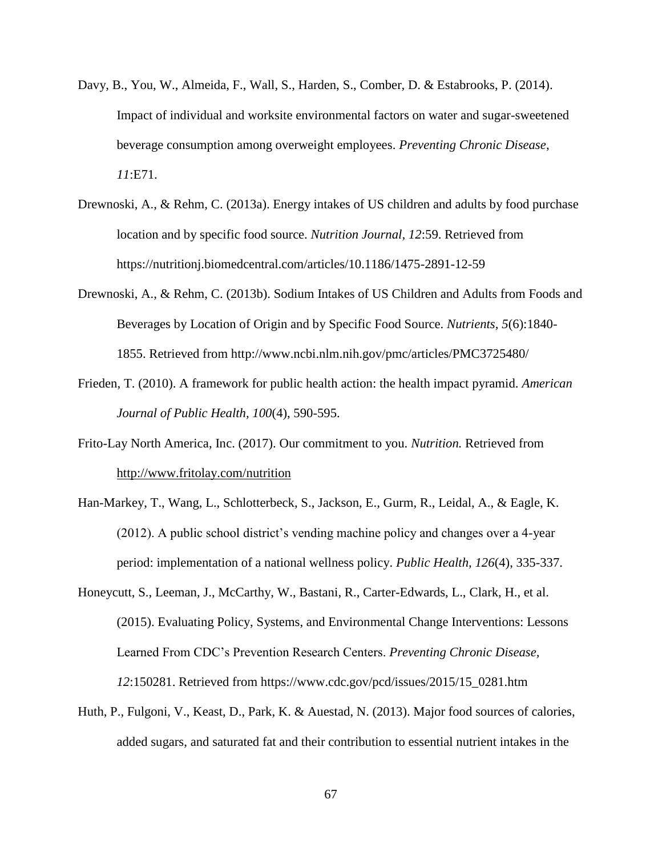- Davy, B., You, W., Almeida, F., Wall, S., Harden, S., Comber, D. & Estabrooks, P. (2014). Impact of individual and worksite environmental factors on water and sugar-sweetened beverage consumption among overweight employees. *Preventing Chronic Disease*, *11*:E71.
- Drewnoski, A., & Rehm, C. (2013a). Energy intakes of US children and adults by food purchase location and by specific food source. *Nutrition Journal, 12*:59. Retrieved from https://nutritionj.biomedcentral.com/articles/10.1186/1475-2891-12-59
- Drewnoski, A., & Rehm, C. (2013b). Sodium Intakes of US Children and Adults from Foods and Beverages by Location of Origin and by Specific Food Source. *Nutrients, 5*(6):1840- 1855. Retrieved from http://www.ncbi.nlm.nih.gov/pmc/articles/PMC3725480/
- Frieden, T. (2010). A framework for public health action: the health impact pyramid. *American Journal of Public Health, 100*(4), 590-595.
- Frito-Lay North America, Inc. (2017). Our commitment to you. *Nutrition.* Retrieved from <http://www.fritolay.com/nutrition>
- Han-Markey, T., Wang, L., Schlotterbeck, S., Jackson, E., Gurm, R., Leidal, A., & Eagle, K. (2012). A public school district's vending machine policy and changes over a 4-year period: implementation of a national wellness policy. *Public Health, 126*(4), 335-337.
- Honeycutt, S., Leeman, J., McCarthy, W., Bastani, R., Carter-Edwards, L., Clark, H., et al. (2015). Evaluating Policy, Systems, and Environmental Change Interventions: Lessons Learned From CDC's Prevention Research Centers. *Preventing Chronic Disease, 12*:150281. Retrieved from https://www.cdc.gov/pcd/issues/2015/15\_0281.htm
- Huth, P., Fulgoni, V., Keast, D., Park, K. & Auestad, N. (2013). Major food sources of calories, added sugars, and saturated fat and their contribution to essential nutrient intakes in the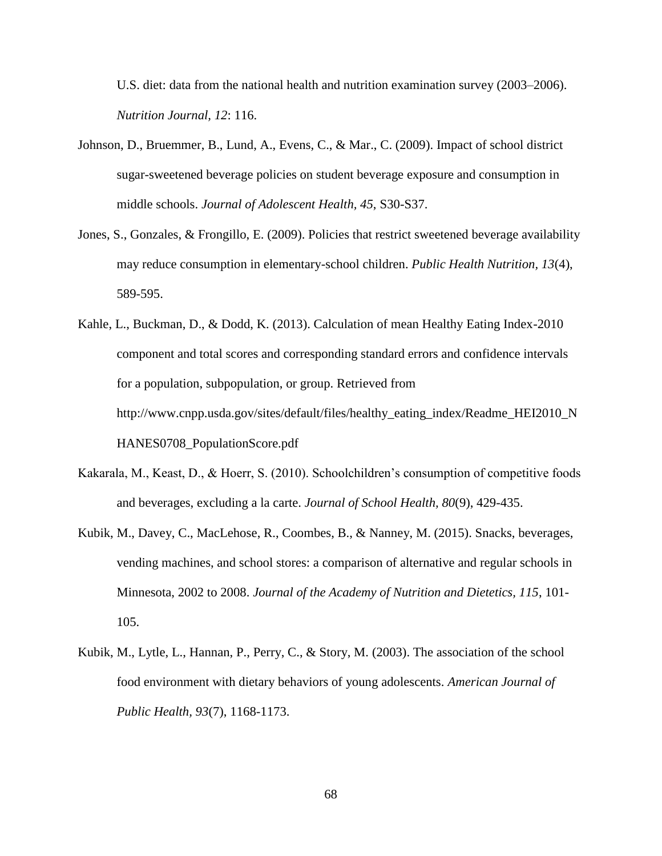U.S. diet: data from the national health and nutrition examination survey (2003–2006). *Nutrition Journal, 12*: 116.

- Johnson, D., Bruemmer, B., Lund, A., Evens, C., & Mar., C. (2009). Impact of school district sugar-sweetened beverage policies on student beverage exposure and consumption in middle schools. *Journal of Adolescent Health, 45*, S30-S37.
- Jones, S., Gonzales, & Frongillo, E. (2009). Policies that restrict sweetened beverage availability may reduce consumption in elementary-school children. *Public Health Nutrition, 13*(4), 589-595.
- Kahle, L., Buckman, D., & Dodd, K. (2013). Calculation of mean Healthy Eating Index-2010 component and total scores and corresponding standard errors and confidence intervals for a population, subpopulation, or group. Retrieved from http://www.cnpp.usda.gov/sites/default/files/healthy\_eating\_index/Readme\_HEI2010\_N HANES0708\_PopulationScore.pdf
- Kakarala, M., Keast, D., & Hoerr, S. (2010). Schoolchildren's consumption of competitive foods and beverages, excluding a la carte. *Journal of School Health, 80*(9), 429-435.
- Kubik, M., Davey, C., MacLehose, R., Coombes, B., & Nanney, M. (2015). Snacks, beverages, vending machines, and school stores: a comparison of alternative and regular schools in Minnesota, 2002 to 2008. *Journal of the Academy of Nutrition and Dietetics, 115*, 101- 105.
- Kubik, M., Lytle, L., Hannan, P., Perry, C., & Story, M. (2003). The association of the school food environment with dietary behaviors of young adolescents. *American Journal of Public Health, 93*(7), 1168-1173.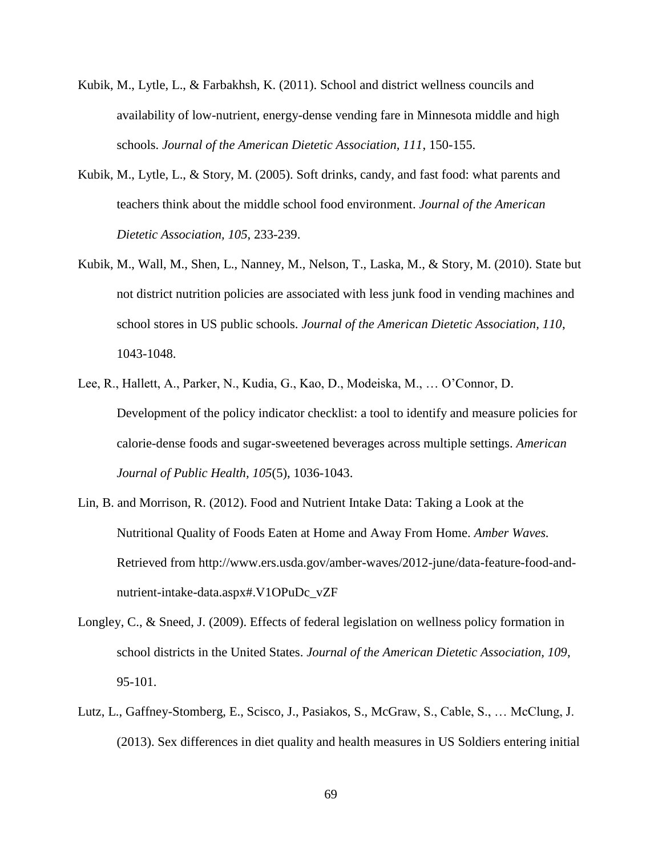- Kubik, M., Lytle, L., & Farbakhsh, K. (2011). School and district wellness councils and availability of low-nutrient, energy-dense vending fare in Minnesota middle and high schools. *Journal of the American Dietetic Association, 111*, 150-155.
- Kubik, M., Lytle, L., & Story, M. (2005). Soft drinks, candy, and fast food: what parents and teachers think about the middle school food environment. *Journal of the American Dietetic Association, 105*, 233-239.
- Kubik, M., Wall, M., Shen, L., Nanney, M., Nelson, T., Laska, M., & Story, M. (2010). State but not district nutrition policies are associated with less junk food in vending machines and school stores in US public schools. *Journal of the American Dietetic Association, 110*, 1043-1048.
- Lee, R., Hallett, A., Parker, N., Kudia, G., Kao, D., Modeiska, M., … O'Connor, D. Development of the policy indicator checklist: a tool to identify and measure policies for calorie-dense foods and sugar-sweetened beverages across multiple settings. *American Journal of Public Health, 105*(5), 1036-1043.
- Lin, B. and Morrison, R. (2012). Food and Nutrient Intake Data: Taking a Look at the Nutritional Quality of Foods Eaten at Home and Away From Home. *Amber Waves.*  Retrieved from http://www.ers.usda.gov/amber-waves/2012-june/data-feature-food-andnutrient-intake-data.aspx#.V1OPuDc\_vZF
- Longley, C., & Sneed, J. (2009). Effects of federal legislation on wellness policy formation in school districts in the United States. *Journal of the American Dietetic Association, 109*, 95-101.
- Lutz, L., Gaffney-Stomberg, E., Scisco, J., Pasiakos, S., McGraw, S., Cable, S., … McClung, J. (2013). Sex differences in diet quality and health measures in US Soldiers entering initial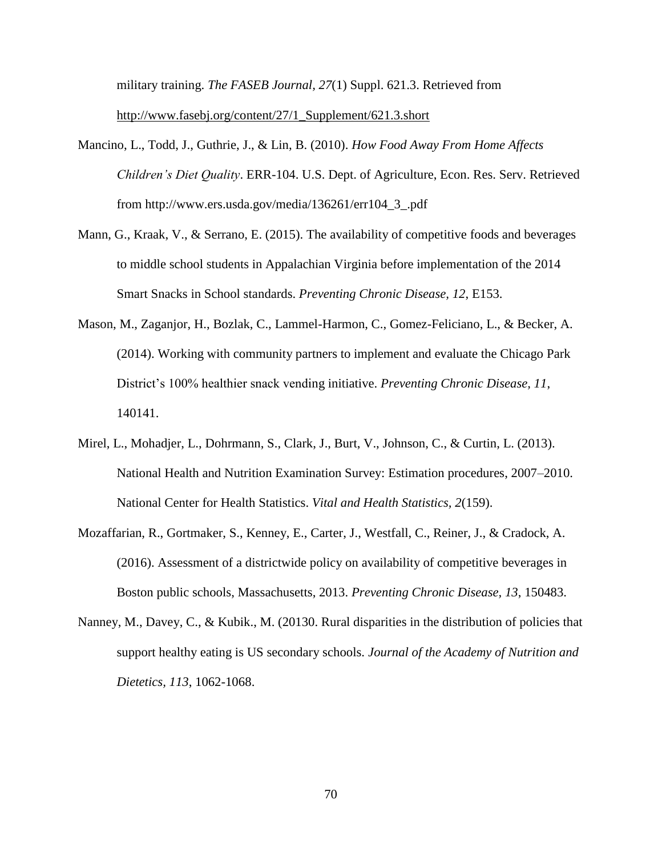military training. *The FASEB Journal, 27*(1) Suppl. 621.3. Retrieved from [http://www.fasebj.org/content/27/1\\_Supplement/621.3.short](http://www.fasebj.org/content/27/1_Supplement/621.3.short)

- Mancino, L., Todd, J., Guthrie, J., & Lin, B. (2010). *How Food Away From Home Affects Children's Diet Quality*. ERR-104. U.S. Dept. of Agriculture, Econ. Res. Serv. Retrieved from http://www.ers.usda.gov/media/136261/err104\_3\_.pdf
- Mann, G., Kraak, V., & Serrano, E. (2015). The availability of competitive foods and beverages to middle school students in Appalachian Virginia before implementation of the 2014 Smart Snacks in School standards. *Preventing Chronic Disease, 12*, E153.
- Mason, M., Zaganjor, H., Bozlak, C., Lammel-Harmon, C., Gomez-Feliciano, L., & Becker, A. (2014). Working with community partners to implement and evaluate the Chicago Park District's 100% healthier snack vending initiative. *Preventing Chronic Disease, 11*, 140141.
- Mirel, L., Mohadjer, L., Dohrmann, S., Clark, J., Burt, V., Johnson, C., & Curtin, L. (2013). National Health and Nutrition Examination Survey: Estimation procedures, 2007–2010. National Center for Health Statistics. *Vital and Health Statistics, 2*(159).
- Mozaffarian, R., Gortmaker, S., Kenney, E., Carter, J., Westfall, C., Reiner, J., & Cradock, A. (2016). Assessment of a districtwide policy on availability of competitive beverages in Boston public schools, Massachusetts, 2013. *Preventing Chronic Disease, 13*, 150483.
- Nanney, M., Davey, C., & Kubik., M. (20130. Rural disparities in the distribution of policies that support healthy eating is US secondary schools. *Journal of the Academy of Nutrition and Dietetics, 113*, 1062-1068.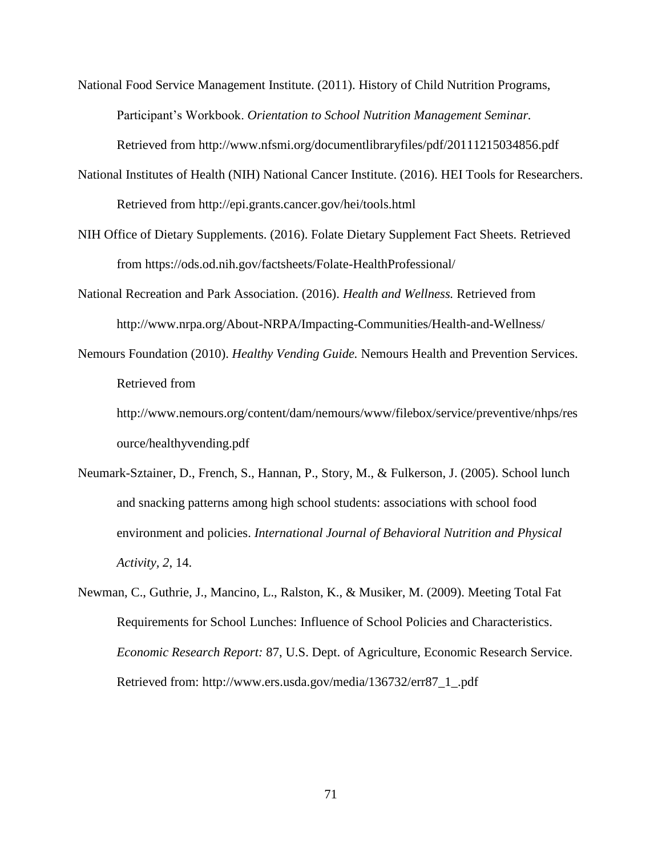National Food Service Management Institute. (2011). History of Child Nutrition Programs, Participant's Workbook. *Orientation to School Nutrition Management Seminar.*  Retrieved from http://www.nfsmi.org/documentlibraryfiles/pdf/20111215034856.pdf

- National Institutes of Health (NIH) National Cancer Institute. (2016). HEI Tools for Researchers. Retrieved from http://epi.grants.cancer.gov/hei/tools.html
- NIH Office of Dietary Supplements. (2016). Folate Dietary Supplement Fact Sheets. Retrieved from https://ods.od.nih.gov/factsheets/Folate-HealthProfessional/
- National Recreation and Park Association. (2016). *Health and Wellness.* Retrieved from http://www.nrpa.org/About-NRPA/Impacting-Communities/Health-and-Wellness/
- Nemours Foundation (2010). *Healthy Vending Guide.* Nemours Health and Prevention Services. Retrieved from

http://www.nemours.org/content/dam/nemours/www/filebox/service/preventive/nhps/res ource/healthyvending.pdf

- Neumark-Sztainer, D., French, S., Hannan, P., Story, M., & Fulkerson, J. (2005). School lunch and snacking patterns among high school students: associations with school food environment and policies. *International Journal of Behavioral Nutrition and Physical Activity, 2*, 14.
- Newman, C., Guthrie, J., Mancino, L., Ralston, K., & Musiker, M. (2009). Meeting Total Fat Requirements for School Lunches: Influence of School Policies and Characteristics. *Economic Research Report:* 87, U.S. Dept. of Agriculture, Economic Research Service. Retrieved from: http://www.ers.usda.gov/media/136732/err87\_1\_.pdf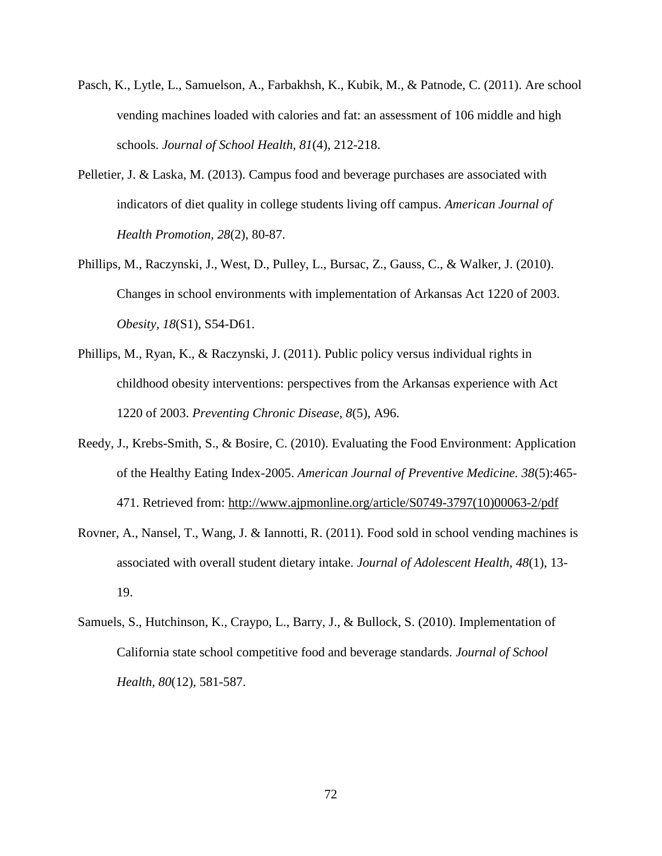- Pasch, K., Lytle, L., Samuelson, A., Farbakhsh, K., Kubik, M., & Patnode, C. (2011). Are school vending machines loaded with calories and fat: an assessment of 106 middle and high schools. *Journal of School Health, 81*(4), 212-218.
- Pelletier, J. & Laska, M. (2013). Campus food and beverage purchases are associated with indicators of diet quality in college students living off campus. *American Journal of Health Promotion, 28*(2), 80-87.
- Phillips, M., Raczynski, J., West, D., Pulley, L., Bursac, Z., Gauss, C., & Walker, J. (2010). Changes in school environments with implementation of Arkansas Act 1220 of 2003. *Obesity, 18*(S1), S54-D61.
- Phillips, M., Ryan, K., & Raczynski, J. (2011). Public policy versus individual rights in childhood obesity interventions: perspectives from the Arkansas experience with Act 1220 of 2003. *Preventing Chronic Disease, 8*(5), A96.
- Reedy, J., Krebs-Smith, S., & Bosire, C. (2010). Evaluating the Food Environment: Application of the Healthy Eating Index-2005. *American Journal of Preventive Medicine. 38*(5):465- 471. Retrieved from: [http://www.ajpmonline.org/article/S0749-3797\(10\)00063-2/pdf](http://www.ajpmonline.org/article/S0749-3797(10)00063-2/pdf)
- Rovner, A., Nansel, T., Wang, J. & Iannotti, R. (2011). Food sold in school vending machines is associated with overall student dietary intake. *Journal of Adolescent Health, 48*(1), 13- 19.
- Samuels, S., Hutchinson, K., Craypo, L., Barry, J., & Bullock, S. (2010). Implementation of California state school competitive food and beverage standards. *Journal of School Health, 80*(12), 581-587.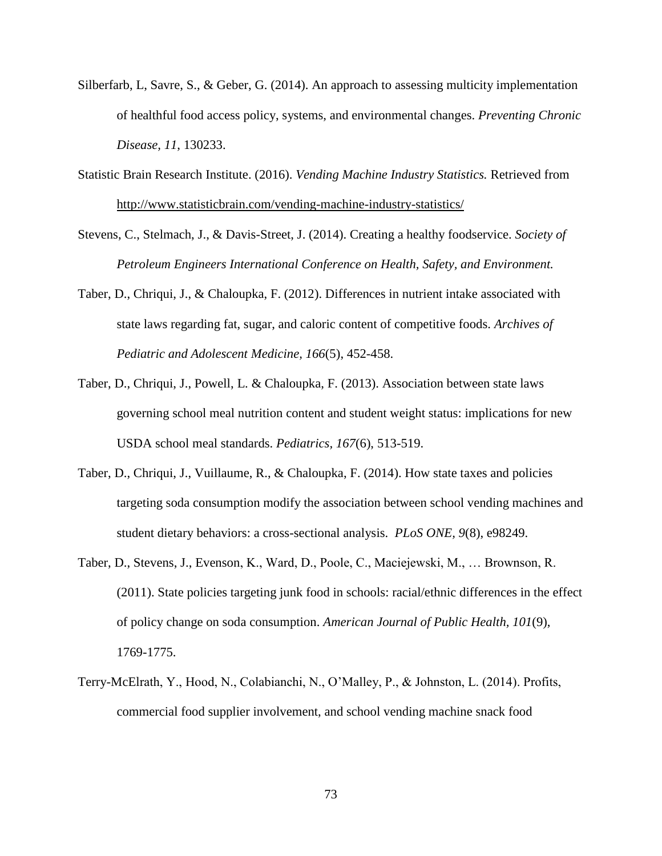- Silberfarb, L, Savre, S., & Geber, G. (2014). An approach to assessing multicity implementation of healthful food access policy, systems, and environmental changes. *Preventing Chronic Disease, 11*, 130233.
- Statistic Brain Research Institute. (2016). *Vending Machine Industry Statistics.* Retrieved from <http://www.statisticbrain.com/vending-machine-industry-statistics/>
- Stevens, C., Stelmach, J., & Davis-Street, J. (2014). Creating a healthy foodservice. *Society of Petroleum Engineers International Conference on Health, Safety, and Environment.*
- Taber, D., Chriqui, J., & Chaloupka, F. (2012). Differences in nutrient intake associated with state laws regarding fat, sugar, and caloric content of competitive foods. *Archives of Pediatric and Adolescent Medicine, 166*(5), 452-458.
- Taber, D., Chriqui, J., Powell, L. & Chaloupka, F. (2013). Association between state laws governing school meal nutrition content and student weight status: implications for new USDA school meal standards. *Pediatrics, 167*(6), 513-519.
- Taber, D., Chriqui, J., Vuillaume, R., & Chaloupka, F. (2014). How state taxes and policies targeting soda consumption modify the association between school vending machines and student dietary behaviors: a cross-sectional analysis. *PLoS ONE, 9*(8), e98249.
- Taber, D., Stevens, J., Evenson, K., Ward, D., Poole, C., Maciejewski, M., … Brownson, R. (2011). State policies targeting junk food in schools: racial/ethnic differences in the effect of policy change on soda consumption. *American Journal of Public Health, 101*(9), 1769-1775.
- Terry-McElrath, Y., Hood, N., Colabianchi, N., O'Malley, P., & Johnston, L. (2014). Profits, commercial food supplier involvement, and school vending machine snack food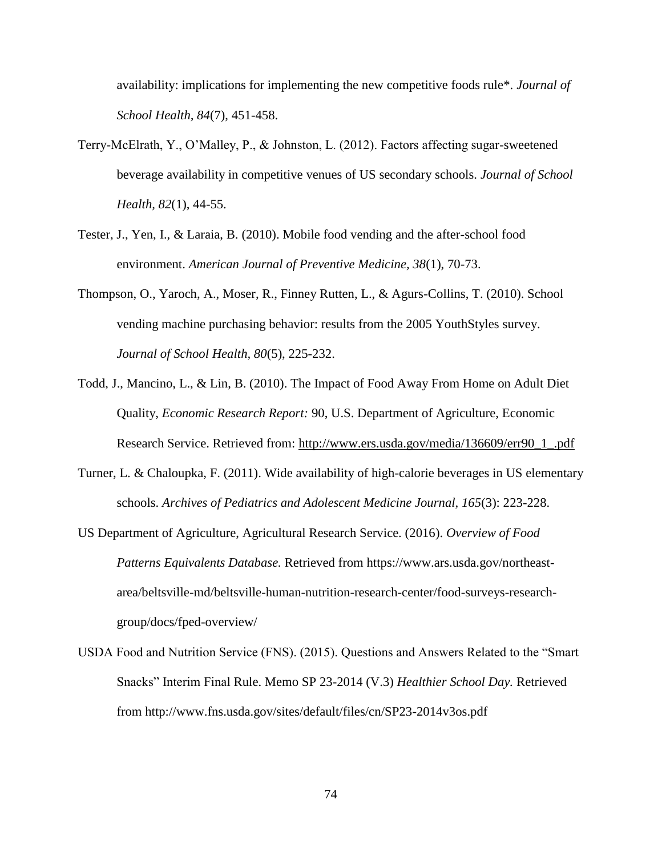availability: implications for implementing the new competitive foods rule\*. *Journal of School Health, 84*(7), 451-458.

- Terry-McElrath, Y., O'Malley, P., & Johnston, L. (2012). Factors affecting sugar-sweetened beverage availability in competitive venues of US secondary schools. *Journal of School Health, 82*(1), 44-55.
- Tester, J., Yen, I., & Laraia, B. (2010). Mobile food vending and the after-school food environment. *American Journal of Preventive Medicine, 38*(1), 70-73.
- Thompson, O., Yaroch, A., Moser, R., Finney Rutten, L., & Agurs-Collins, T. (2010). School vending machine purchasing behavior: results from the 2005 YouthStyles survey. *Journal of School Health, 80*(5), 225-232.
- Todd, J., Mancino, L., & Lin, B. (2010). The Impact of Food Away From Home on Adult Diet Quality, *Economic Research Report:* 90, U.S. Department of Agriculture, Economic Research Service. Retrieved from: [http://www.ers.usda.gov/media/136609/err90\\_1\\_.pdf](http://www.ers.usda.gov/media/136609/err90_1_.pdf)
- Turner, L. & Chaloupka, F. (2011). Wide availability of high-calorie beverages in US elementary schools. *Archives of Pediatrics and Adolescent Medicine Journal, 165*(3): 223-228.
- US Department of Agriculture, Agricultural Research Service. (2016). *Overview of Food Patterns Equivalents Database.* Retrieved from https://www.ars.usda.gov/northeastarea/beltsville-md/beltsville-human-nutrition-research-center/food-surveys-researchgroup/docs/fped-overview/
- USDA Food and Nutrition Service (FNS). (2015). Questions and Answers Related to the "Smart Snacks" Interim Final Rule. Memo SP 23-2014 (V.3) *Healthier School Day.* Retrieved from http://www.fns.usda.gov/sites/default/files/cn/SP23-2014v3os.pdf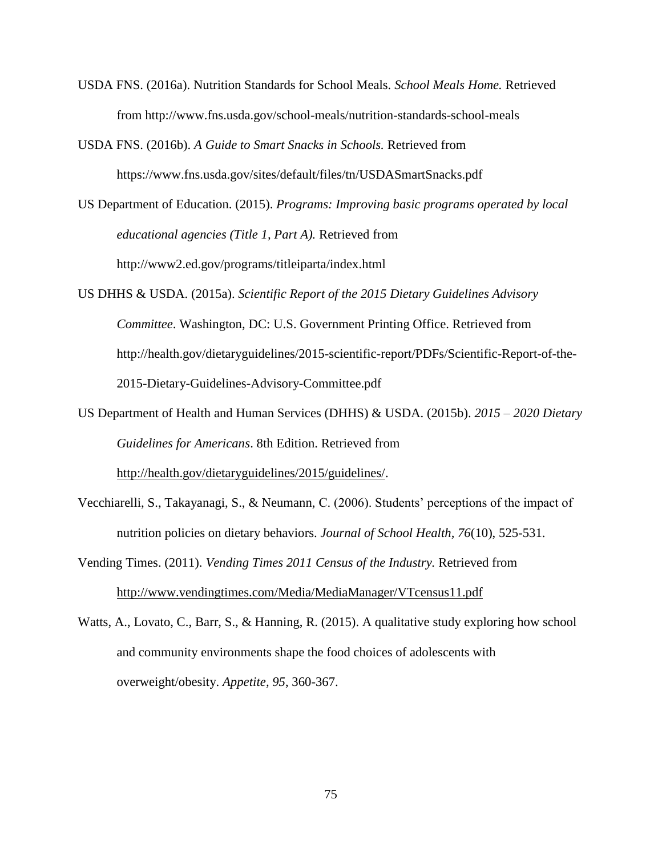- USDA FNS. (2016a). Nutrition Standards for School Meals. *School Meals Home.* Retrieved from http://www.fns.usda.gov/school-meals/nutrition-standards-school-meals
- USDA FNS. (2016b). *A Guide to Smart Snacks in Schools.* Retrieved from https://www.fns.usda.gov/sites/default/files/tn/USDASmartSnacks.pdf
- US Department of Education. (2015). *Programs: Improving basic programs operated by local educational agencies (Title 1, Part A).* Retrieved from http://www2.ed.gov/programs/titleiparta/index.html
- US DHHS & USDA. (2015a). *Scientific Report of the 2015 Dietary Guidelines Advisory Committee*. Washington, DC: U.S. Government Printing Office. Retrieved from http://health.gov/dietaryguidelines/2015-scientific-report/PDFs/Scientific-Report-of-the-2015-Dietary-Guidelines-Advisory-Committee.pdf
- US Department of Health and Human Services (DHHS) & USDA. (2015b). *2015 – 2020 Dietary Guidelines for Americans*. 8th Edition. Retrieved from [http://health.gov/dietaryguidelines/2015/guidelines/.](http://health.gov/dietaryguidelines/2015/guidelines/)
- Vecchiarelli, S., Takayanagi, S., & Neumann, C. (2006). Students' perceptions of the impact of nutrition policies on dietary behaviors. *Journal of School Health, 76*(10), 525-531.
- Vending Times. (2011). *Vending Times 2011 Census of the Industry.* Retrieved from <http://www.vendingtimes.com/Media/MediaManager/VTcensus11.pdf>
- Watts, A., Lovato, C., Barr, S., & Hanning, R. (2015). A qualitative study exploring how school and community environments shape the food choices of adolescents with overweight/obesity. *Appetite, 95*, 360-367.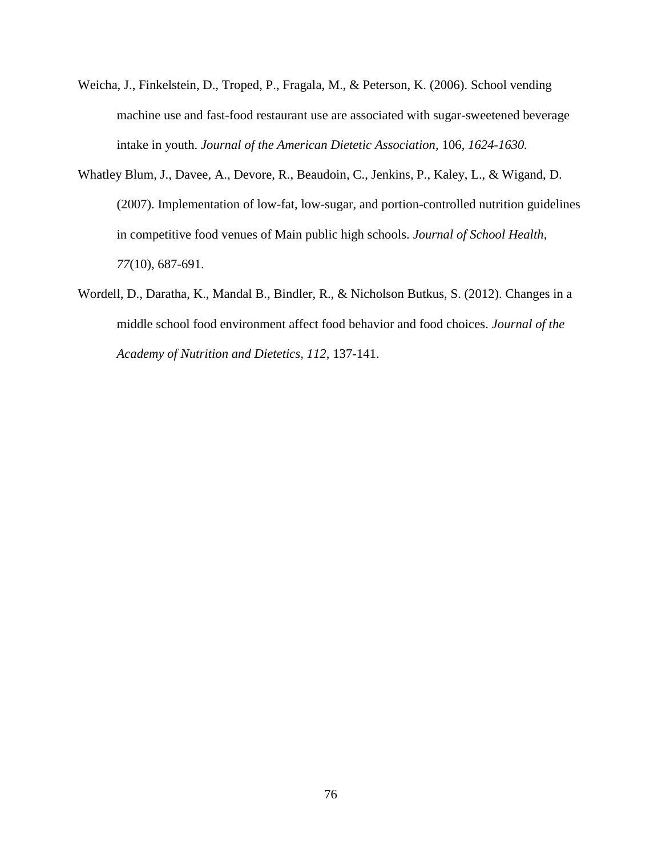- Weicha, J., Finkelstein, D., Troped, P., Fragala, M., & Peterson, K. (2006). School vending machine use and fast-food restaurant use are associated with sugar-sweetened beverage intake in youth. *Journal of the American Dietetic Association,* 106*, 1624-1630.*
- Whatley Blum, J., Davee, A., Devore, R., Beaudoin, C., Jenkins, P., Kaley, L., & Wigand, D. (2007). Implementation of low-fat, low-sugar, and portion-controlled nutrition guidelines in competitive food venues of Main public high schools. *Journal of School Health, 77*(10), 687-691.
- Wordell, D., Daratha, K., Mandal B., Bindler, R., & Nicholson Butkus, S. (2012). Changes in a middle school food environment affect food behavior and food choices. *Journal of the Academy of Nutrition and Dietetics, 112*, 137-141.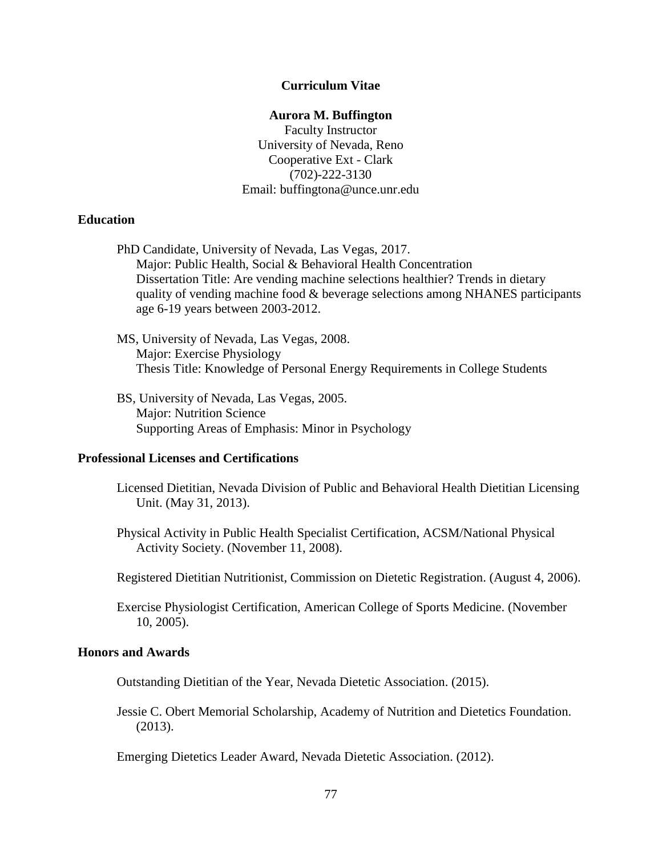#### **Curriculum Vitae**

#### **Aurora M. Buffington**

Faculty Instructor University of Nevada, Reno Cooperative Ext - Clark (702)-222-3130 Email: buffingtona@unce.unr.edu

## **Education**

PhD Candidate, University of Nevada, Las Vegas, 2017. Major: Public Health, Social & Behavioral Health Concentration Dissertation Title: Are vending machine selections healthier? Trends in dietary quality of vending machine food & beverage selections among NHANES participants age 6-19 years between 2003-2012.

MS, University of Nevada, Las Vegas, 2008. Major: Exercise Physiology Thesis Title: Knowledge of Personal Energy Requirements in College Students

BS, University of Nevada, Las Vegas, 2005. Major: Nutrition Science Supporting Areas of Emphasis: Minor in Psychology

## **Professional Licenses and Certifications**

- Licensed Dietitian, Nevada Division of Public and Behavioral Health Dietitian Licensing Unit. (May 31, 2013).
- Physical Activity in Public Health Specialist Certification, ACSM/National Physical Activity Society. (November 11, 2008).
- Registered Dietitian Nutritionist, Commission on Dietetic Registration. (August 4, 2006).
- Exercise Physiologist Certification, American College of Sports Medicine. (November 10, 2005).

#### **Honors and Awards**

Outstanding Dietitian of the Year, Nevada Dietetic Association. (2015).

Jessie C. Obert Memorial Scholarship, Academy of Nutrition and Dietetics Foundation. (2013).

Emerging Dietetics Leader Award, Nevada Dietetic Association. (2012).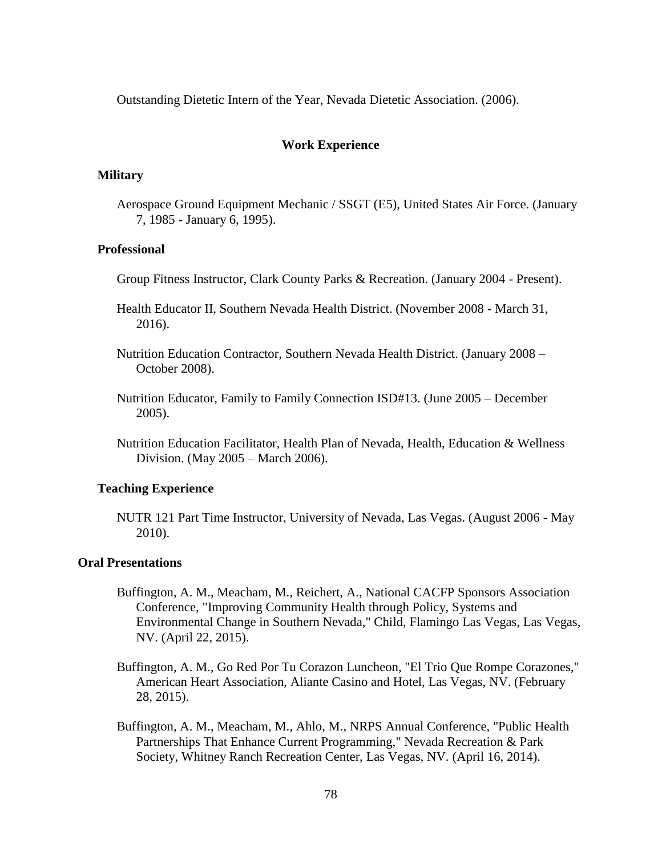Outstanding Dietetic Intern of the Year, Nevada Dietetic Association. (2006).

## **Work Experience**

#### **Military**

Aerospace Ground Equipment Mechanic / SSGT (E5), United States Air Force. (January 7, 1985 - January 6, 1995).

## **Professional**

- Group Fitness Instructor, Clark County Parks & Recreation. (January 2004 Present).
- Health Educator II, Southern Nevada Health District. (November 2008 March 31, 2016).
- Nutrition Education Contractor, Southern Nevada Health District. (January 2008 October 2008).
- Nutrition Educator, Family to Family Connection ISD#13. (June 2005 December 2005).
- Nutrition Education Facilitator, Health Plan of Nevada, Health, Education & Wellness Division. (May 2005 – March 2006).

## **Teaching Experience**

NUTR 121 Part Time Instructor, University of Nevada, Las Vegas. (August 2006 - May 2010).

### **Oral Presentations**

- Buffington, A. M., Meacham, M., Reichert, A., National CACFP Sponsors Association Conference, "Improving Community Health through Policy, Systems and Environmental Change in Southern Nevada," Child, Flamingo Las Vegas, Las Vegas, NV. (April 22, 2015).
- Buffington, A. M., Go Red Por Tu Corazon Luncheon, "El Trio Que Rompe Corazones," American Heart Association, Aliante Casino and Hotel, Las Vegas, NV. (February 28, 2015).
- Buffington, A. M., Meacham, M., Ahlo, M., NRPS Annual Conference, "Public Health Partnerships That Enhance Current Programming," Nevada Recreation & Park Society, Whitney Ranch Recreation Center, Las Vegas, NV. (April 16, 2014).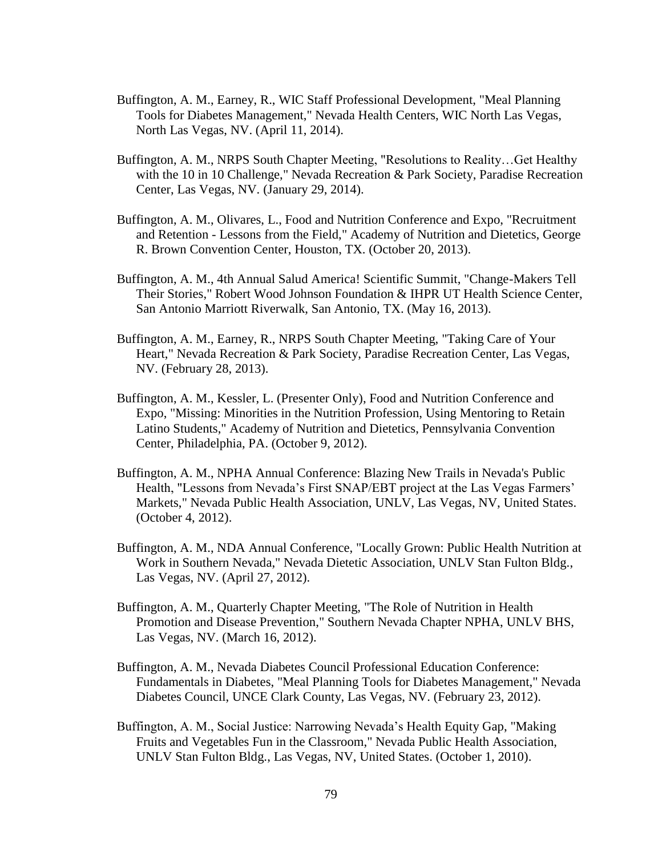- Buffington, A. M., Earney, R., WIC Staff Professional Development, "Meal Planning Tools for Diabetes Management," Nevada Health Centers, WIC North Las Vegas, North Las Vegas, NV. (April 11, 2014).
- Buffington, A. M., NRPS South Chapter Meeting, "Resolutions to Reality…Get Healthy with the 10 in 10 Challenge," Nevada Recreation & Park Society, Paradise Recreation Center, Las Vegas, NV. (January 29, 2014).
- Buffington, A. M., Olivares, L., Food and Nutrition Conference and Expo, "Recruitment and Retention - Lessons from the Field," Academy of Nutrition and Dietetics, George R. Brown Convention Center, Houston, TX. (October 20, 2013).
- Buffington, A. M., 4th Annual Salud America! Scientific Summit, "Change-Makers Tell Their Stories," Robert Wood Johnson Foundation & IHPR UT Health Science Center, San Antonio Marriott Riverwalk, San Antonio, TX. (May 16, 2013).
- Buffington, A. M., Earney, R., NRPS South Chapter Meeting, "Taking Care of Your Heart," Nevada Recreation & Park Society, Paradise Recreation Center, Las Vegas, NV. (February 28, 2013).
- Buffington, A. M., Kessler, L. (Presenter Only), Food and Nutrition Conference and Expo, "Missing: Minorities in the Nutrition Profession, Using Mentoring to Retain Latino Students," Academy of Nutrition and Dietetics, Pennsylvania Convention Center, Philadelphia, PA. (October 9, 2012).
- Buffington, A. M., NPHA Annual Conference: Blazing New Trails in Nevada's Public Health, "Lessons from Nevada's First SNAP/EBT project at the Las Vegas Farmers' Markets," Nevada Public Health Association, UNLV, Las Vegas, NV, United States. (October 4, 2012).
- Buffington, A. M., NDA Annual Conference, "Locally Grown: Public Health Nutrition at Work in Southern Nevada," Nevada Dietetic Association, UNLV Stan Fulton Bldg., Las Vegas, NV. (April 27, 2012).
- Buffington, A. M., Quarterly Chapter Meeting, "The Role of Nutrition in Health Promotion and Disease Prevention," Southern Nevada Chapter NPHA, UNLV BHS, Las Vegas, NV. (March 16, 2012).
- Buffington, A. M., Nevada Diabetes Council Professional Education Conference: Fundamentals in Diabetes, "Meal Planning Tools for Diabetes Management," Nevada Diabetes Council, UNCE Clark County, Las Vegas, NV. (February 23, 2012).
- Buffington, A. M., Social Justice: Narrowing Nevada's Health Equity Gap, "Making Fruits and Vegetables Fun in the Classroom," Nevada Public Health Association, UNLV Stan Fulton Bldg., Las Vegas, NV, United States. (October 1, 2010).